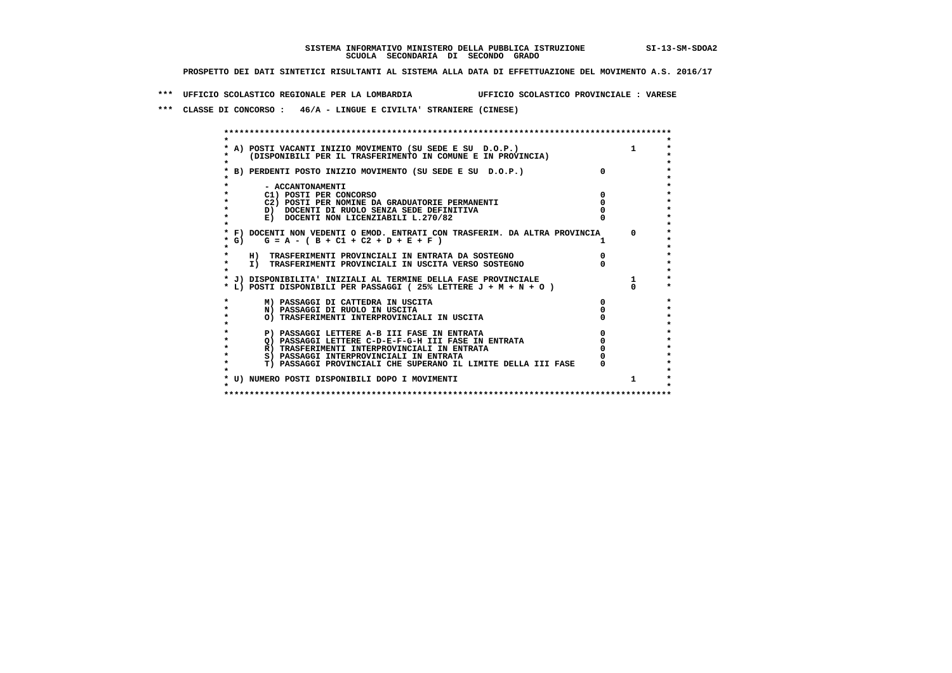## **SISTEMA INFORMATIVO MINISTERO DELLA PUBBLICA ISTRUZIONE SI-13-SM-SDOA2 SCUOLA SECONDARIA DI SECONDO GRADO**

 **PROSPETTO DEI DATI SINTETICI RISULTANTI AL SISTEMA ALLA DATA DI EFFETTUAZIONE DEL MOVIMENTO A.S. 2016/17**

 **\*\*\* UFFICIO SCOLASTICO REGIONALE PER LA LOMBARDIA UFFICIO SCOLASTICO PROVINCIALE : VARESE**

 **\*\*\* CLASSE DI CONCORSO : 46/A - LINGUE E CIVILTA' STRANIERE (CINESE)**

|        | * A) POSTI VACANTI INIZIO MOVIMENTO (SU SEDE E SU D.O.P.)<br>(DISPONIBILI PER IL TRASFERIMENTO IN COMUNE E IN PROVINCIA) |   | 1        |
|--------|--------------------------------------------------------------------------------------------------------------------------|---|----------|
|        | * B) PERDENTI POSTO INIZIO MOVIMENTO (SU SEDE E SU D.O.P.)                                                               |   |          |
|        | - ACCANTONAMENTI                                                                                                         |   |          |
|        | C1) POSTI PER CONCORSO                                                                                                   |   |          |
|        | C2) POSTI PER NOMINE DA GRADUATORIE PERMANENTI                                                                           |   |          |
|        | D) DOCENTI DI RUOLO SENZA SEDE DEFINITIVA                                                                                |   |          |
|        | E) DOCENTI NON LICENZIABILI L.270/82                                                                                     |   |          |
|        | * F) DOCENTI NON VEDENTI O EMOD. ENTRATI CON TRASFERIM. DA ALTRA PROVINCIA                                               |   | $\Omega$ |
| $*$ G) | $G = A - (B + C1 + C2 + D + E + F)$                                                                                      |   |          |
|        | H) TRASFERIMENTI PROVINCIALI IN ENTRATA DA SOSTEGNO                                                                      |   |          |
|        | I) TRASFERIMENTI PROVINCIALI IN USCITA VERSO SOSTEGNO                                                                    |   |          |
|        | * J) DISPONIBILITA' INIZIALI AL TERMINE DELLA FASE PROVINCIALE                                                           |   | 1        |
|        | * L) POSTI DISPONIBILI PER PASSAGGI (25% LETTERE J + M + N + O)                                                          |   |          |
|        | M) PASSAGGI DI CATTEDRA IN USCITA                                                                                        | 0 |          |
|        | N) PASSAGGI DI RUOLO IN USCITA                                                                                           |   |          |
|        | O) TRASFERIMENTI INTERPROVINCIALI IN USCITA                                                                              |   |          |
|        | P) PASSAGGI LETTERE A-B III FASE IN ENTRATA                                                                              |   |          |
|        | O) PASSAGGI LETTERE C-D-E-F-G-H III FASE IN ENTRATA                                                                      |   |          |
|        | R) TRASFERIMENTI INTERPROVINCIALI IN ENTRATA                                                                             |   |          |
|        | S) PASSAGGI INTERPROVINCIALI IN ENTRATA                                                                                  |   |          |
|        | T) PASSAGGI PROVINCIALI CHE SUPERANO IL LIMITE DELLA III FASE                                                            |   |          |
|        |                                                                                                                          |   |          |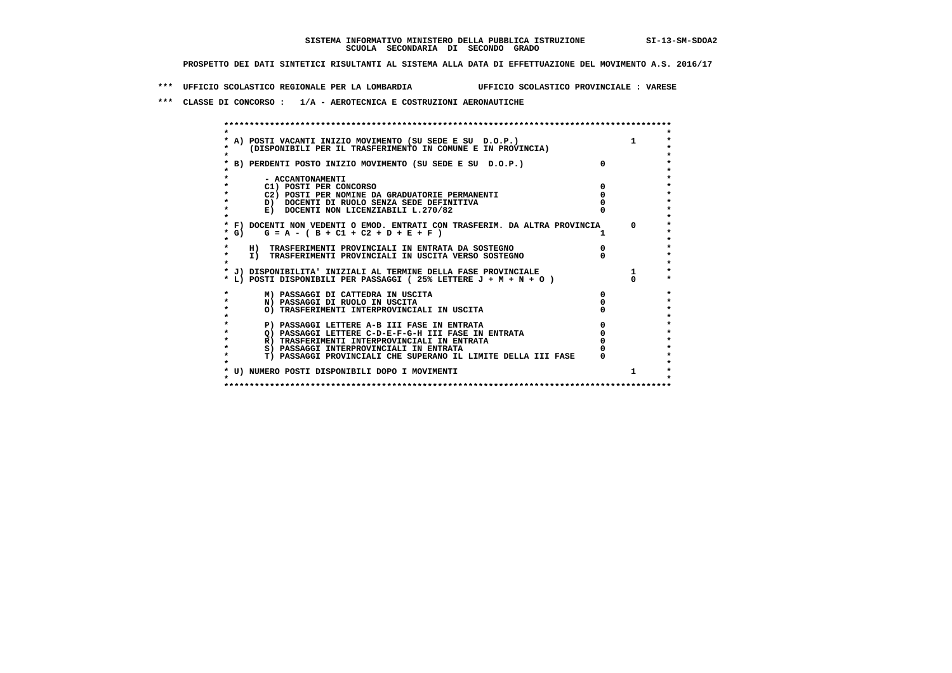**\*\*\* UFFICIO SCOLASTICO REGIONALE PER LA LOMBARDIA UFFICIO SCOLASTICO PROVINCIALE : VARESE**

 **\*\*\* CLASSE DI CONCORSO : 1/A - AEROTECNICA E COSTRUZIONI AERONAUTICHE**

|        | A) POSTI VACANTI INIZIO MOVIMENTO (SU SEDE E SU D.O.P.)                    |            |
|--------|----------------------------------------------------------------------------|------------|
|        | (DISPONIBILI PER IL TRASFERIMENTO IN COMUNE E IN PROVINCIA)                |            |
|        | B) PERDENTI POSTO INIZIO MOVIMENTO (SU SEDE E SU D.O.P.)                   |            |
|        |                                                                            |            |
|        | - ACCANTONAMENTI                                                           |            |
|        | C1) POSTI PER CONCORSO                                                     |            |
|        | C2) POSTI PER NOMINE DA GRADUATORIE PERMANENTI                             |            |
|        | D) DOCENTI DI RUOLO SENZA SEDE DEFINITIVA                                  |            |
|        | E) DOCENTI NON LICENZIABILI L.270/82                                       |            |
|        |                                                                            |            |
|        | * F) DOCENTI NON VEDENTI O EMOD. ENTRATI CON TRASFERIM. DA ALTRA PROVINCIA | $^{\circ}$ |
| $*$ G) | $G = A - (B + C1 + C2 + D + E + F)$                                        |            |
|        |                                                                            |            |
|        | H) TRASFERIMENTI PROVINCIALI IN ENTRATA DA SOSTEGNO                        |            |
|        | I) TRASFERIMENTI PROVINCIALI IN USCITA VERSO SOSTEGNO                      |            |
|        | * J) DISPONIBILITA' INIZIALI AL TERMINE DELLA FASE PROVINCIALE             |            |
|        | * L) POSTI DISPONIBILI PER PASSAGGI (25% LETTERE J + M + N + O )           |            |
|        |                                                                            |            |
|        | M) PASSAGGI DI CATTEDRA IN USCITA                                          |            |
|        | N) PASSAGGI DI RUOLO IN USCITA                                             |            |
|        | O) TRASFERIMENTI INTERPROVINCIALI IN USCITA                                |            |
|        |                                                                            |            |
|        | P) PASSAGGI LETTERE A-B III FASE IN ENTRATA                                |            |
|        | Q) PASSAGGI LETTERE C-D-E-F-G-H III FASE IN ENTRATA                        |            |
|        | R) TRASFERIMENTI INTERPROVINCIALI IN ENTRATA                               |            |
|        | S) PASSAGGI INTERPROVINCIALI IN ENTRATA                                    |            |
|        | T) PASSAGGI PROVINCIALI CHE SUPERANO IL LIMITE DELLA III FASE              |            |
|        | * U) NUMERO POSTI DISPONIBILI DOPO I MOVIMENTI                             |            |
|        |                                                                            |            |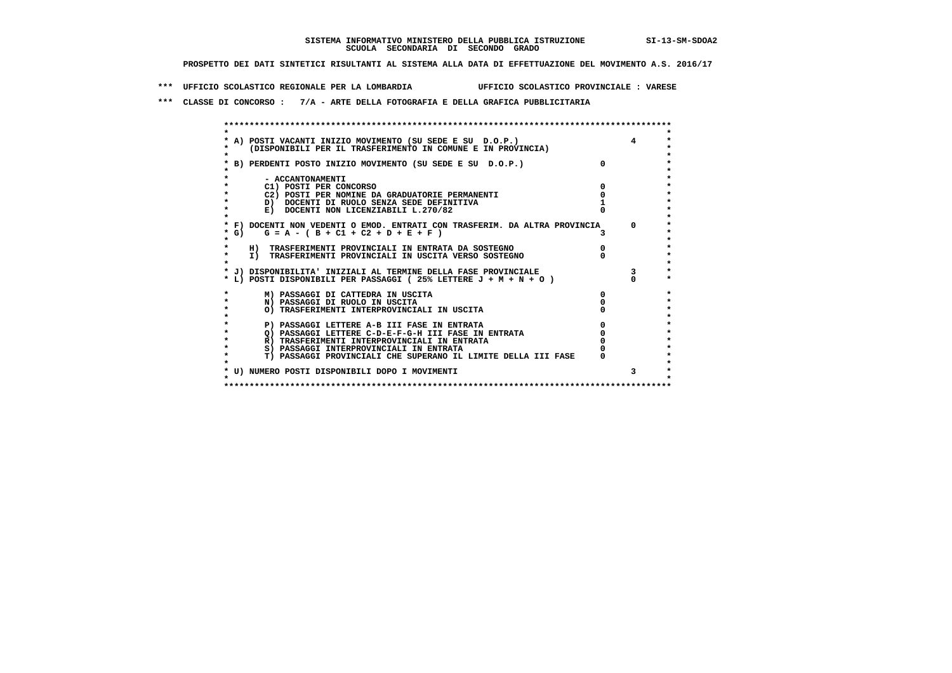**\*\*\* UFFICIO SCOLASTICO REGIONALE PER LA LOMBARDIA UFFICIO SCOLASTICO PROVINCIALE : VARESE**

 **\*\*\* CLASSE DI CONCORSO : 7/A - ARTE DELLA FOTOGRAFIA E DELLA GRAFICA PUBBLICITARIA**

|         | * A) POSTI VACANTI INIZIO MOVIMENTO (SU SEDE E SU D.O.P.)                  |                |
|---------|----------------------------------------------------------------------------|----------------|
|         | (DISPONIBILI PER IL TRASFERIMENTO IN COMUNE E IN PROVINCIA)                |                |
|         |                                                                            |                |
|         | * B) PERDENTI POSTO INIZIO MOVIMENTO (SU SEDE E SU D.O.P.)                 |                |
|         |                                                                            |                |
|         | - ACCANTONAMENTI                                                           |                |
|         | C1) POSTI PER CONCORSO                                                     |                |
|         | C2) POSTI PER NOMINE DA GRADUATORIE PERMANENTI                             |                |
|         | D) DOCENTI DI RUOLO SENZA SEDE DEFINITIVA                                  |                |
|         | E) DOCENTI NON LICENZIABILI L.270/82                                       |                |
|         |                                                                            |                |
|         | * F) DOCENTI NON VEDENTI O EMOD. ENTRATI CON TRASFERIM. DA ALTRA PROVINCIA | $\Omega$       |
| $*$ G)  | $G = A - (B + C1 + C2 + D + E + F)$                                        |                |
|         |                                                                            |                |
|         | H) TRASFERIMENTI PROVINCIALI IN ENTRATA DA SOSTEGNO                        |                |
| $\star$ | I) TRASFERIMENTI PROVINCIALI IN USCITA VERSO SOSTEGNO                      |                |
|         |                                                                            |                |
|         | * J) DISPONIBILITA' INIZIALI AL TERMINE DELLA FASE PROVINCIALE             | $\overline{3}$ |
|         | * L) POSTI DISPONIBILI PER PASSAGGI (25% LETTERE J + M + N + O)            |                |
|         |                                                                            |                |
|         | M) PASSAGGI DI CATTEDRA IN USCITA                                          |                |
|         | N) PASSAGGI DI RUOLO IN USCITA                                             |                |
|         | O) TRASFERIMENTI INTERPROVINCIALI IN USCITA                                |                |
|         |                                                                            |                |
|         | P) PASSAGGI LETTERE A-B III FASE IN ENTRATA                                |                |
|         | O) PASSAGGI LETTERE C-D-E-F-G-H III FASE IN ENTRATA                        |                |
|         | R) TRASFERIMENTI INTERPROVINCIALI IN ENTRATA                               |                |
|         | S) PASSAGGI INTERPROVINCIALI IN ENTRATA                                    |                |
|         | T) PASSAGGI PROVINCIALI CHE SUPERANO IL LIMITE DELLA III FASE              |                |
|         |                                                                            |                |
|         | * U) NUMERO POSTI DISPONIBILI DOPO I MOVIMENTI                             | 3.             |
|         |                                                                            |                |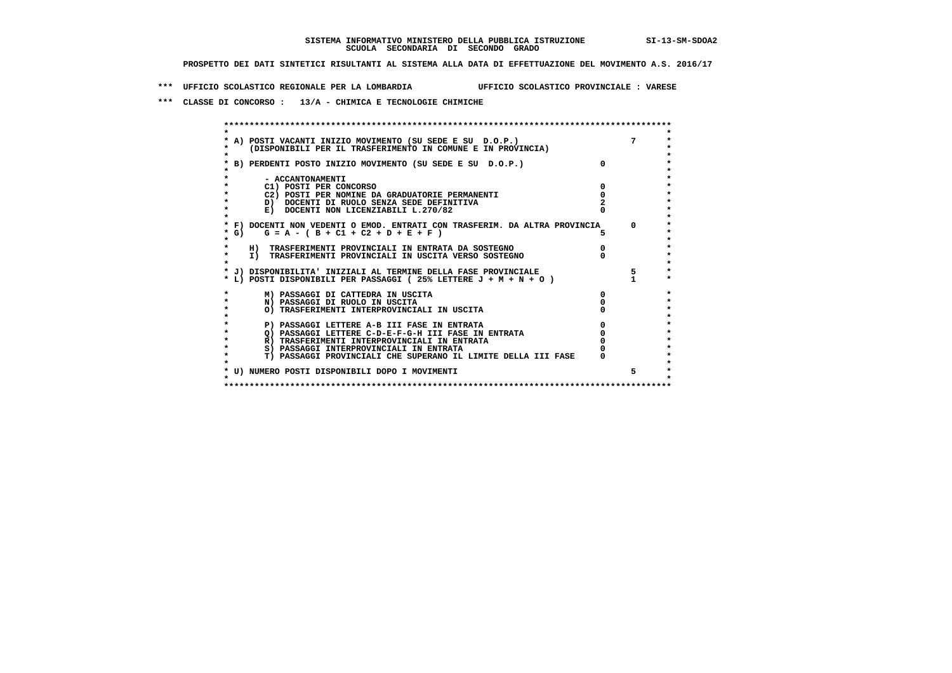**\*\*\* UFFICIO SCOLASTICO REGIONALE PER LA LOMBARDIA UFFICIO SCOLASTICO PROVINCIALE : VARESE**

 **\*\*\* CLASSE DI CONCORSO : 13/A - CHIMICA E TECNOLOGIE CHIMICHE**

|        | A) POSTI VACANTI INIZIO MOVIMENTO (SU SEDE E SU D.O.P.)<br>(DISPONIBILI PER IL TRASFERIMENTO IN COMUNE E IN PROVINCIA) |          |
|--------|------------------------------------------------------------------------------------------------------------------------|----------|
|        | B) PERDENTI POSTO INIZIO MOVIMENTO (SU SEDE E SU D.O.P.)                                                               |          |
|        | - ACCANTONAMENTI                                                                                                       |          |
|        | C1) POSTI PER CONCORSO                                                                                                 |          |
|        | C2) POSTI PER NOMINE DA GRADUATORIE PERMANENTI                                                                         |          |
|        | D) DOCENTI DI RUOLO SENZA SEDE DEFINITIVA                                                                              |          |
|        | E) DOCENTI NON LICENZIABILI L.270/82                                                                                   |          |
|        | * F) DOCENTI NON VEDENTI O EMOD. ENTRATI CON TRASFERIM. DA ALTRA PROVINCIA                                             | $\Omega$ |
| $*$ G) | $G = A - (B + C1 + C2 + D + E + F)$                                                                                    |          |
|        | H) TRASFERIMENTI PROVINCIALI IN ENTRATA DA SOSTEGNO                                                                    |          |
|        | I) TRASFERIMENTI PROVINCIALI IN USCITA VERSO SOSTEGNO                                                                  |          |
|        | * J) DISPONIBILITA' INIZIALI AL TERMINE DELLA FASE PROVINCIALE                                                         | 5        |
|        | * L) POSTI DISPONIBILI PER PASSAGGI (25% LETTERE J + M + N + O)                                                        |          |
|        | M) PASSAGGI DI CATTEDRA IN USCITA                                                                                      |          |
|        | N) PASSAGGI DI RUOLO IN USCITA                                                                                         |          |
|        | O) TRASFERIMENTI INTERPROVINCIALI IN USCITA                                                                            |          |
|        | P) PASSAGGI LETTERE A-B III FASE IN ENTRATA                                                                            |          |
|        | O) PASSAGGI LETTERE C-D-E-F-G-H III FASE IN ENTRATA                                                                    |          |
|        | R) TRASFERIMENTI INTERPROVINCIALI IN ENTRATA                                                                           |          |
|        | S) PASSAGGI INTERPROVINCIALI IN ENTRATA                                                                                |          |
|        | T) PASSAGGI PROVINCIALI CHE SUPERANO IL LIMITE DELLA III FASE                                                          |          |
|        | * U) NUMERO POSTI DISPONIBILI DOPO I MOVIMENTI                                                                         | 5.       |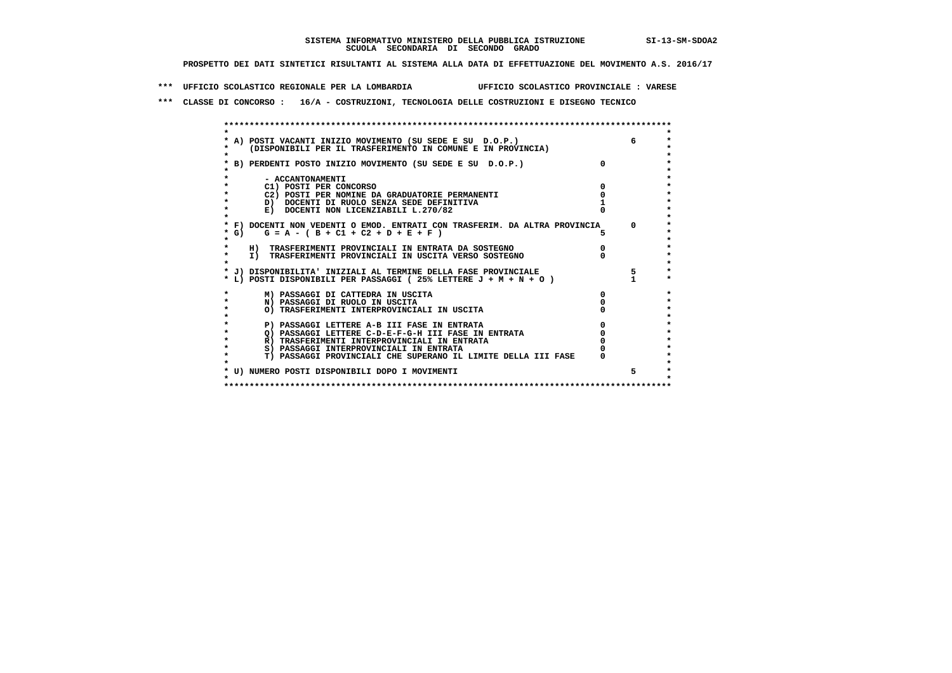**\*\*\* UFFICIO SCOLASTICO REGIONALE PER LA LOMBARDIA UFFICIO SCOLASTICO PROVINCIALE : VARESE**

 **\*\*\* CLASSE DI CONCORSO : 16/A - COSTRUZIONI, TECNOLOGIA DELLE COSTRUZIONI E DISEGNO TECNICO**

 **\*\*\*\*\*\*\*\*\*\*\*\*\*\*\*\*\*\*\*\*\*\*\*\*\*\*\*\*\*\*\*\*\*\*\*\*\*\*\*\*\*\*\*\*\*\*\*\*\*\*\*\*\*\*\*\*\*\*\*\*\*\*\*\*\*\*\*\*\*\*\*\*\*\*\*\*\*\*\*\*\*\*\*\*\*\*\*\* \* \*** $\ddot{\phantom{0}}$  **\* A) POSTI VACANTI INIZIO MOVIMENTO (SU SEDE E SU D.O.P.) 6 \*** $\star$  **\* (DISPONIBILI PER IL TRASFERIMENTO IN COMUNE E IN PROVINCIA) \*** $\bullet$  **\* \* \* B) PERDENTI POSTO INIZIO MOVIMENTO (SU SEDE E SU D.O.P.) 0 \* \* \* \* - ACCANTONAMENTI \* \* C1) POSTI PER CONCORSO 0 \* \* C2) POSTI PER NOMINE DA GRADUATORIE PERMANENTI 0 \*b**  $\overline{D}$  **docenti di RUOLO SENZA SEDE DEFINITIVA** 1<br> **E DOCENTI NON** LICENZIABILI I. 270/82 1 **1 E) DOCENTI NON LICENZIABILI L.270/82 \* \* \* F) DOCENTI NON VEDENTI O EMOD. ENTRATI CON TRASFERIM. DA ALTRA PROVINCIA 0 \***  $\star$  **G)** G = A - ( B + C1 + C2 + D + E + F )  **\* \*** $\bullet$  **\* H) TRASFERIMENTI PROVINCIALI IN ENTRATA DA SOSTEGNO 0 \* \* I) TRASFERIMENTI PROVINCIALI IN USCITA VERSO SOSTEGNO 0 \* \* \* \* J) DISPONIBILITA' INIZIALI AL TERMINE DELLA FASE PROVINCIALE 5 \* \* L) POSTI DISPONIBILI PER PASSAGGI ( 25% LETTERE J + M + N + O ) 1 \* \* M) PASSAGGI DI CATTEDRA IN USCITA 0 \* \* N) PASSAGGI DI RUOLO IN USCITA 0 \*** $\star$  **\* O) TRASFERIMENTI INTERPROVINCIALI IN USCITA 0 \* \* \* \* P) PASSAGGI LETTERE A-B III FASE IN ENTRATA 0 \*** $\star$  **\* Q) PASSAGGI LETTERE C-D-E-F-G-H III FASE IN ENTRATA 0 \* \* R) TRASFERIMENTI INTERPROVINCIALI IN ENTRATA 0 \* \* S) PASSAGGI INTERPROVINCIALI IN ENTRATA 0 \*** $\bullet$  **\* T) PASSAGGI PROVINCIALI CHE SUPERANO IL LIMITE DELLA III FASE 0 \*** $\star$  **\* \* \* U) NUMERO POSTI DISPONIBILI DOPO I MOVIMENTI 5 \* \* \* \*\*\*\*\*\*\*\*\*\*\*\*\*\*\*\*\*\*\*\*\*\*\*\*\*\*\*\*\*\*\*\*\*\*\*\*\*\*\*\*\*\*\*\*\*\*\*\*\*\*\*\*\*\*\*\*\*\*\*\*\*\*\*\*\*\*\*\*\*\*\*\*\*\*\*\*\*\*\*\*\*\*\*\*\*\*\*\***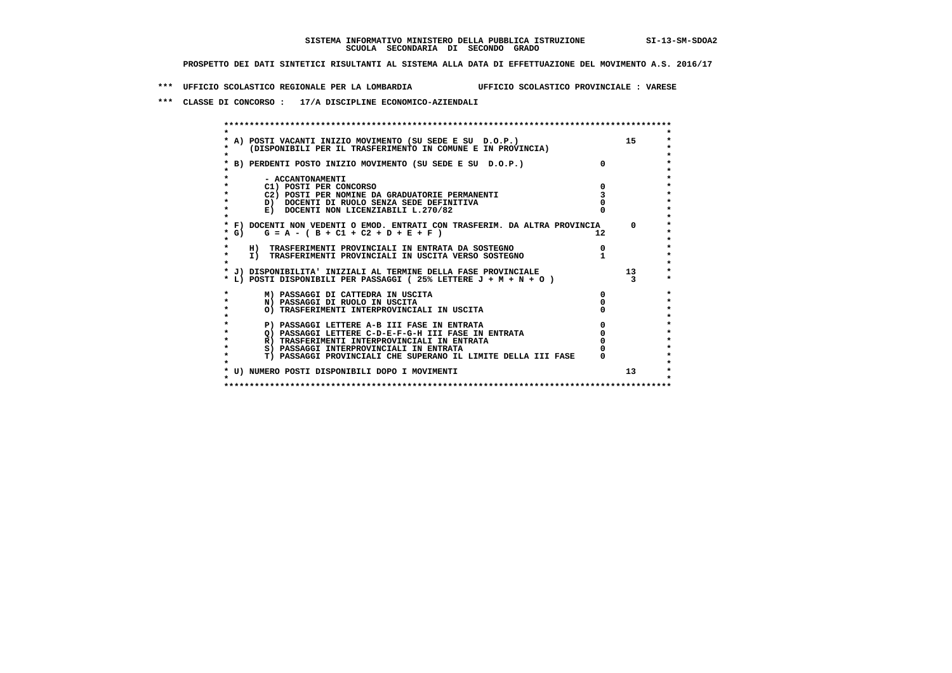**\*\*\* UFFICIO SCOLASTICO REGIONALE PER LA LOMBARDIA UFFICIO SCOLASTICO PROVINCIALE : VARESE**

 **\*\*\* CLASSE DI CONCORSO : 17/A DISCIPLINE ECONOMICO-AZIENDALI**

|        | A) POSTI VACANTI INIZIO MOVIMENTO (SU SEDE E SU D.O.P.)                                            |              | 15              |
|--------|----------------------------------------------------------------------------------------------------|--------------|-----------------|
|        | (DISPONIBILI PER IL TRASFERIMENTO IN COMUNE E IN PROVINCIA)                                        |              |                 |
|        |                                                                                                    |              |                 |
|        | B) PERDENTI POSTO INIZIO MOVIMENTO (SU SEDE E SU D.O.P.)                                           |              |                 |
|        |                                                                                                    |              |                 |
|        | - ACCANTONAMENTI                                                                                   |              |                 |
|        | C1) POSTI PER CONCORSO                                                                             |              |                 |
|        | C2) POSTI PER NOMINE DA GRADUATORIE PERMANENTI                                                     |              |                 |
|        | D) DOCENTI DI RUOLO SENZA SEDE DEFINITIVA                                                          |              |                 |
|        | E) DOCENTI NON LICENZIABILI L.270/82                                                               |              |                 |
|        | * F) DOCENTI NON VEDENTI O EMOD. ENTRATI CON TRASFERIM. DA ALTRA PROVINCIA                         |              | 0               |
| $*$ G) | $G = A - (B + C1 + C2 + D + E + F)$                                                                | $12^{\circ}$ |                 |
|        |                                                                                                    |              |                 |
|        | H) TRASFERIMENTI PROVINCIALI IN ENTRATA DA SOSTEGNO                                                |              |                 |
|        | I) TRASFERIMENTI PROVINCIALI IN USCITA VERSO SOSTEGNO                                              |              |                 |
|        |                                                                                                    |              |                 |
|        | * J) DISPONIBILITA' INIZIALI AL TERMINE DELLA FASE PROVINCIALE                                     |              | 13              |
|        | * L) POSTI DISPONIBILI PER PASSAGGI (25% LETTERE J + M + N + O)                                    |              |                 |
|        |                                                                                                    |              |                 |
|        | M) PASSAGGI DI CATTEDRA IN USCITA                                                                  |              |                 |
|        | N) PASSAGGI DI RUOLO IN USCITA                                                                     |              |                 |
|        | O) TRASFERIMENTI INTERPROVINCIALI IN USCITA                                                        |              |                 |
|        |                                                                                                    |              |                 |
|        | P) PASSAGGI LETTERE A-B III FASE IN ENTRATA<br>O) PASSAGGI LETTERE C-D-E-F-G-H III FASE IN ENTRATA |              |                 |
|        | R) TRASFERIMENTI INTERPROVINCIALI IN ENTRATA                                                       |              |                 |
|        | S) PASSAGGI INTERPROVINCIALI IN ENTRATA                                                            |              |                 |
|        | T) PASSAGGI PROVINCIALI CHE SUPERANO IL LIMITE DELLA III FASE                                      |              |                 |
|        |                                                                                                    |              |                 |
|        | * U) NUMERO POSTI DISPONIBILI DOPO I MOVIMENTI                                                     |              | 13 <sup>2</sup> |
|        |                                                                                                    |              |                 |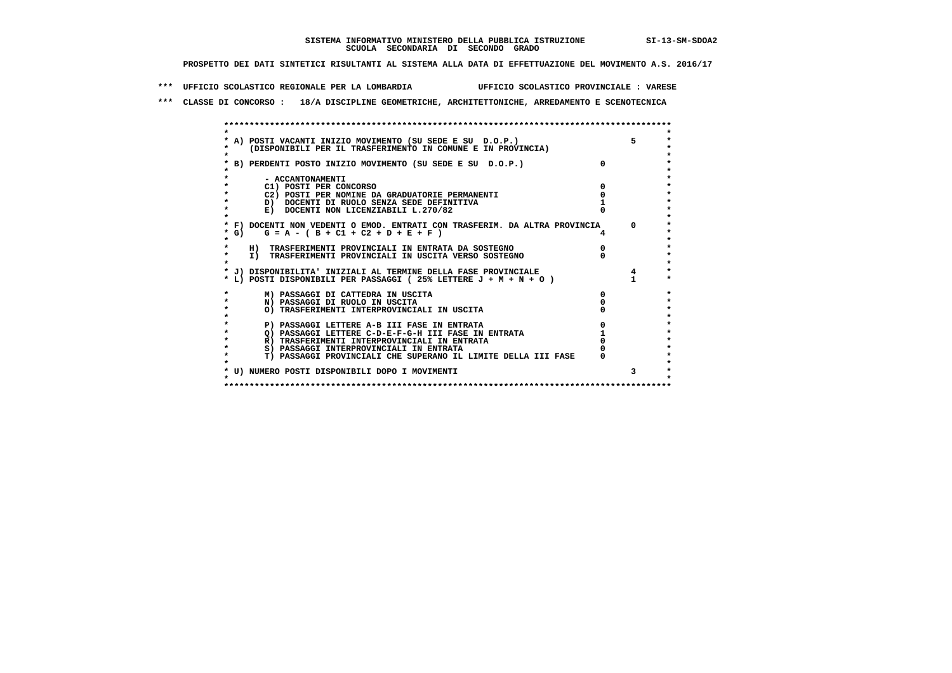**\*\*\* UFFICIO SCOLASTICO REGIONALE PER LA LOMBARDIA UFFICIO SCOLASTICO PROVINCIALE : VARESE**

 **\*\*\* CLASSE DI CONCORSO : 18/A DISCIPLINE GEOMETRICHE, ARCHITETTONICHE, ARREDAMENTO E SCENOTECNICA**

|                  | * A) POSTI VACANTI INIZIO MOVIMENTO (SU SEDE E SU D.O.P.)                  |                | 5          |
|------------------|----------------------------------------------------------------------------|----------------|------------|
|                  | (DISPONIBILI PER IL TRASFERIMENTO IN COMUNE E IN PROVINCIA)                |                |            |
|                  |                                                                            |                |            |
|                  | * B) PERDENTI POSTO INIZIO MOVIMENTO (SU SEDE E SU D.O.P.)                 | $\Omega$       |            |
|                  |                                                                            |                |            |
| - ACCANTONAMENTI |                                                                            |                |            |
|                  | C1) POSTI PER CONCORSO                                                     |                |            |
|                  | C2) POSTI PER NOMINE DA GRADUATORIE PERMANENTI                             |                |            |
|                  | D) DOCENTI DI RUOLO SENZA SEDE DEFINITIVA                                  |                |            |
|                  | E) DOCENTI NON LICENZIABILI L.270/82                                       |                |            |
|                  |                                                                            |                |            |
|                  | * F) DOCENTI NON VEDENTI O EMOD. ENTRATI CON TRASFERIM. DA ALTRA PROVINCIA |                | $^{\circ}$ |
| $*$ G)           | $G = A - (B + C1 + C2 + D + E + F)$                                        | $\overline{4}$ |            |
|                  |                                                                            |                |            |
|                  | H) TRASFERIMENTI PROVINCIALI IN ENTRATA DA SOSTEGNO                        |                |            |
|                  | I) TRASFERIMENTI PROVINCIALI IN USCITA VERSO SOSTEGNO                      |                |            |
|                  |                                                                            |                |            |
|                  | * J) DISPONIBILITA' INIZIALI AL TERMINE DELLA FASE PROVINCIALE             |                |            |
|                  | * L) POSTI DISPONIBILI PER PASSAGGI (25% LETTERE $J + M + N + O$ )         |                |            |
|                  |                                                                            |                |            |
|                  | M) PASSAGGI DI CATTEDRA IN USCITA                                          | <sup>0</sup>   |            |
|                  | N) PASSAGGI DI RUOLO IN USCITA                                             |                |            |
|                  | O) TRASFERIMENTI INTERPROVINCIALI IN USCITA                                |                |            |
|                  |                                                                            |                |            |
|                  | P) PASSAGGI LETTERE A-B III FASE IN ENTRATA                                |                |            |
|                  | O) PASSAGGI LETTERE C-D-E-F-G-H III FASE IN ENTRATA                        |                |            |
|                  | R) TRASFERIMENTI INTERPROVINCIALI IN ENTRATA                               |                |            |
|                  | S) PASSAGGI INTERPROVINCIALI IN ENTRATA                                    |                |            |
|                  | T) PASSAGGI PROVINCIALI CHE SUPERANO IL LIMITE DELLA III FASE              |                |            |
|                  |                                                                            |                |            |
|                  | * U) NUMERO POSTI DISPONIBILI DOPO I MOVIMENTI                             |                | 3          |
|                  |                                                                            |                |            |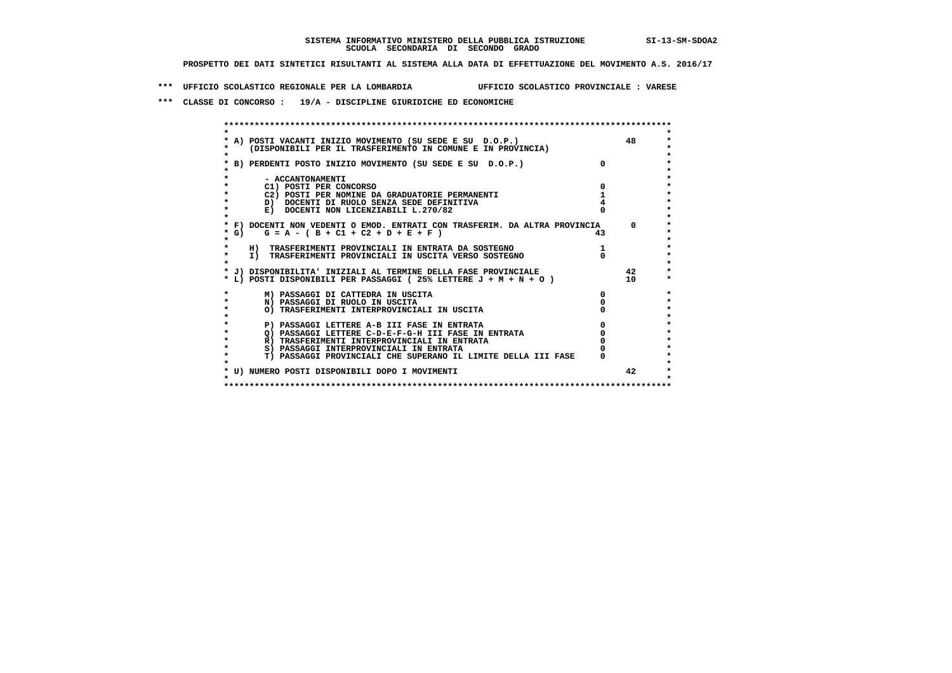**\*\*\* UFFICIO SCOLASTICO REGIONALE PER LA LOMBARDIA UFFICIO SCOLASTICO PROVINCIALE : VARESE**

 **\*\*\* CLASSE DI CONCORSO : 19/A - DISCIPLINE GIURIDICHE ED ECONOMICHE**

|        | A) POSTI VACANTI INIZIO MOVIMENTO (SU SEDE E SU D.O.P.)                             |    | 48 |
|--------|-------------------------------------------------------------------------------------|----|----|
|        | (DISPONIBILI PER IL TRASFERIMENTO IN COMUNE E IN PROVINCIA)                         |    |    |
|        | B) PERDENTI POSTO INIZIO MOVIMENTO (SU SEDE E SU D.O.P.)                            |    |    |
|        |                                                                                     |    |    |
|        | - ACCANTONAMENTI                                                                    |    |    |
|        | C1) POSTI PER CONCORSO                                                              |    |    |
|        | C2) POSTI PER NOMINE DA GRADUATORIE PERMANENTI                                      |    |    |
|        | D) DOCENTI DI RUOLO SENZA SEDE DEFINITIVA                                           |    |    |
|        | E) DOCENTI NON LICENZIABILI L.270/82                                                |    |    |
|        |                                                                                     |    |    |
|        | * F) DOCENTI NON VEDENTI O EMOD. ENTRATI CON TRASFERIM. DA ALTRA PROVINCIA          |    |    |
| $*$ G) | $G = A - (B + C1 + C2 + D + E + F)$                                                 | 43 |    |
|        |                                                                                     |    |    |
|        | H) TRASFERIMENTI PROVINCIALI IN ENTRATA DA SOSTEGNO                                 |    |    |
|        | I) TRASFERIMENTI PROVINCIALI IN USCITA VERSO SOSTEGNO                               |    |    |
|        |                                                                                     |    |    |
|        | * J) DISPONIBILITA' INIZIALI AL TERMINE DELLA FASE PROVINCIALE                      |    | 42 |
|        | * L)        POSTI    DISPONIBILI        PER PASSAGGI  ( 25% LETTERE J + M + N + O ) |    | 10 |
|        |                                                                                     |    |    |
|        | M) PASSAGGI DI CATTEDRA IN USCITA                                                   | 0  |    |
|        | N) PASSAGGI DI RUOLO IN USCITA                                                      |    |    |
|        | O) TRASFERIMENTI INTERPROVINCIALI IN USCITA                                         |    |    |
|        |                                                                                     |    |    |
|        | P) PASSAGGI LETTERE A-B III FASE IN ENTRATA                                         |    |    |
|        | O) PASSAGGI LETTERE C-D-E-F-G-H III FASE IN ENTRATA                                 |    |    |
|        | R) TRASFERIMENTI INTERPROVINCIALI IN ENTRATA                                        |    |    |
|        | S) PASSAGGI INTERPROVINCIALI IN ENTRATA                                             |    |    |
|        | T) PASSAGGI PROVINCIALI CHE SUPERANO IL LIMITE DELLA III FASE                       |    |    |
|        |                                                                                     |    | 42 |
|        | * U) NUMERO POSTI DISPONIBILI DOPO I MOVIMENTI                                      |    |    |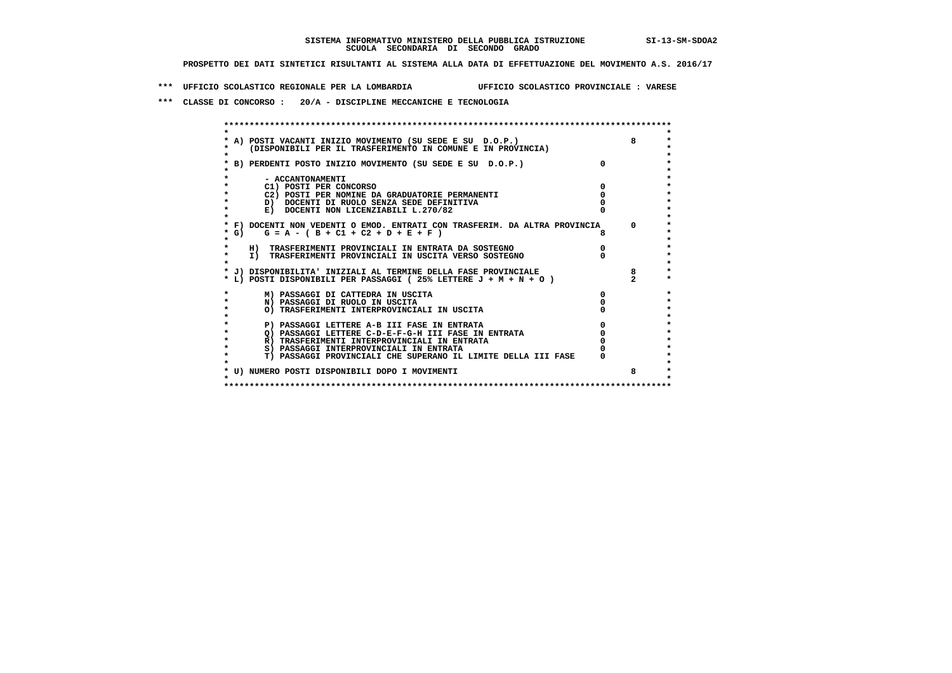**\*\*\* UFFICIO SCOLASTICO REGIONALE PER LA LOMBARDIA UFFICIO SCOLASTICO PROVINCIALE : VARESE**

 **\*\*\* CLASSE DI CONCORSO : 20/A - DISCIPLINE MECCANICHE E TECNOLOGIA**

|        | A) POSTI VACANTI INIZIO MOVIMENTO (SU SEDE E SU D.O.P.)                                                                            |          |
|--------|------------------------------------------------------------------------------------------------------------------------------------|----------|
|        | (DISPONIBILI PER IL TRASFERIMENTO IN COMUNE E IN PROVINCIA)                                                                        |          |
|        | B) PERDENTI POSTO INIZIO MOVIMENTO (SU SEDE E SU D.O.P.)                                                                           |          |
|        |                                                                                                                                    |          |
|        | - ACCANTONAMENTI                                                                                                                   |          |
|        | C1) POSTI PER CONCORSO                                                                                                             |          |
|        | C2) POSTI PER NOMINE DA GRADUATORIE PERMANENTI                                                                                     |          |
|        | D) DOCENTI DI RUOLO SENZA SEDE DEFINITIVA                                                                                          |          |
|        | E) DOCENTI NON LICENZIABILI L.270/82                                                                                               |          |
|        |                                                                                                                                    |          |
|        | * F) DOCENTI NON VEDENTI O EMOD. ENTRATI CON TRASFERIM. DA ALTRA PROVINCIA                                                         | $\Omega$ |
| $*$ G) | $G = A - (B + C1 + C2 + D + E + F)$                                                                                                |          |
|        |                                                                                                                                    |          |
|        | H) TRASFERIMENTI PROVINCIALI IN ENTRATA DA SOSTEGNO                                                                                |          |
|        | I) TRASFERIMENTI PROVINCIALI IN USCITA VERSO SOSTEGNO                                                                              |          |
|        |                                                                                                                                    |          |
|        | * J) DISPONIBILITA' INIZIALI AL TERMINE DELLA FASE PROVINCIALE<br>* L) POSTI DISPONIBILI PER PASSAGGI (25% LETTERE J + M + N + O ) |          |
|        |                                                                                                                                    |          |
|        | M) PASSAGGI DI CATTEDRA IN USCITA                                                                                                  |          |
|        | N) PASSAGGI DI RUOLO IN USCITA                                                                                                     |          |
|        | O) TRASFERIMENTI INTERPROVINCIALI IN USCITA                                                                                        |          |
|        |                                                                                                                                    |          |
|        | P) PASSAGGI LETTERE A-B III FASE IN ENTRATA                                                                                        |          |
|        | Q) PASSAGGI LETTERE C-D-E-F-G-H III FASE IN ENTRATA                                                                                |          |
|        | R) TRASFERIMENTI INTERPROVINCIALI IN ENTRATA                                                                                       |          |
|        | S) PASSAGGI INTERPROVINCIALI IN ENTRATA                                                                                            |          |
|        | T) PASSAGGI PROVINCIALI CHE SUPERANO IL LIMITE DELLA III FASE                                                                      |          |
|        | * U) NUMERO POSTI DISPONIBILI DOPO I MOVIMENTI                                                                                     |          |
|        |                                                                                                                                    |          |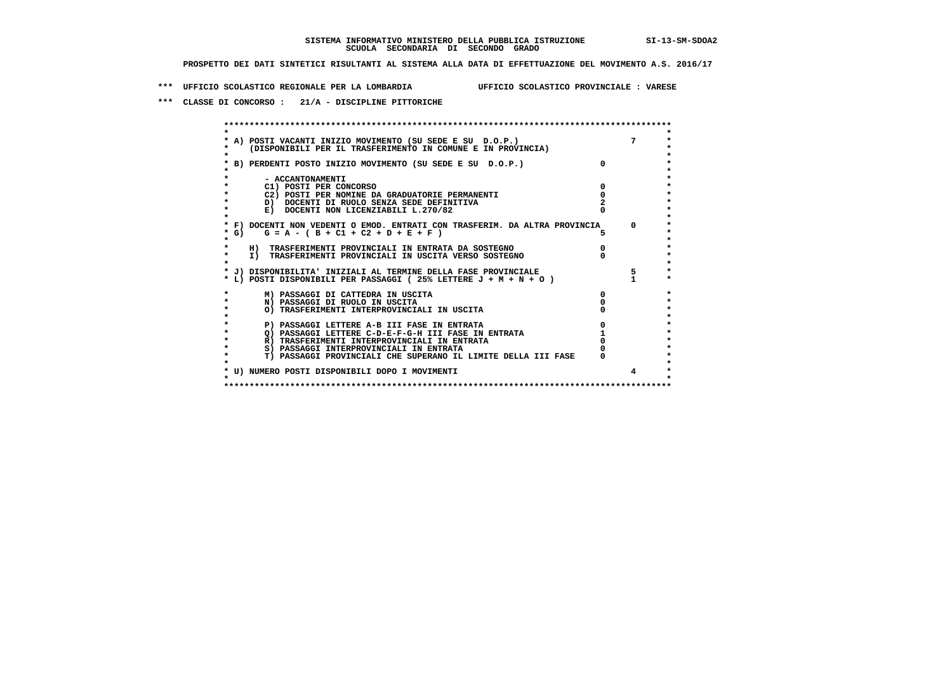**\*\*\* UFFICIO SCOLASTICO REGIONALE PER LA LOMBARDIA UFFICIO SCOLASTICO PROVINCIALE : VARESE**

 **\*\*\* CLASSE DI CONCORSO : 21/A - DISCIPLINE PITTORICHE**

|        | * A) POSTI VACANTI INIZIO MOVIMENTO (SU SEDE E SU D.O.P.)                  |          | $7^{\circ}$ |
|--------|----------------------------------------------------------------------------|----------|-------------|
|        | (DISPONIBILI PER IL TRASFERIMENTO IN COMUNE E IN PROVINCIA)                |          |             |
|        | B) PERDENTI POSTO INIZIO MOVIMENTO (SU SEDE E SU D.O.P.)                   | $\Omega$ |             |
|        | - ACCANTONAMENTI                                                           |          |             |
|        | C1) POSTI PER CONCORSO                                                     |          |             |
|        | C2) POSTI PER NOMINE DA GRADUATORIE PERMANENTI                             |          |             |
|        | D) DOCENTI DI RUOLO SENZA SEDE DEFINITIVA                                  |          |             |
|        | E) DOCENTI NON LICENZIABILI L.270/82                                       |          |             |
|        | * F) DOCENTI NON VEDENTI O EMOD. ENTRATI CON TRASFERIM. DA ALTRA PROVINCIA |          | $^{\circ}$  |
| $*$ G) | $G = A - (B + C1 + C2 + D + E + F)$                                        | 5.       |             |
|        | H) TRASFERIMENTI PROVINCIALI IN ENTRATA DA SOSTEGNO                        |          |             |
|        | I) TRASFERIMENTI PROVINCIALI IN USCITA VERSO SOSTEGNO                      |          |             |
|        | * J) DISPONIBILITA' INIZIALI AL TERMINE DELLA FASE PROVINCIALE             |          | 5           |
|        | * L) POSTI DISPONIBILI PER PASSAGGI (25% LETTERE $J + M + N + O$ )         |          |             |
|        | M) PASSAGGI DI CATTEDRA IN USCITA                                          |          |             |
|        | N) PASSAGGI DI RUOLO IN USCITA                                             |          |             |
|        | O) TRASFERIMENTI INTERPROVINCIALI IN USCITA                                |          |             |
|        |                                                                            |          |             |
|        | P) PASSAGGI LETTERE A-B III FASE IN ENTRATA                                |          |             |
|        | O) PASSAGGI LETTERE C-D-E-F-G-H III FASE IN ENTRATA                        |          |             |
|        | R) TRASFERIMENTI INTERPROVINCIALI IN ENTRATA                               |          |             |
|        | S) PASSAGGI INTERPROVINCIALI IN ENTRATA                                    |          |             |
|        | T) PASSAGGI PROVINCIALI CHE SUPERANO IL LIMITE DELLA III FASE              |          |             |
|        | * U) NUMERO POSTI DISPONIBILI DOPO I MOVIMENTI                             |          |             |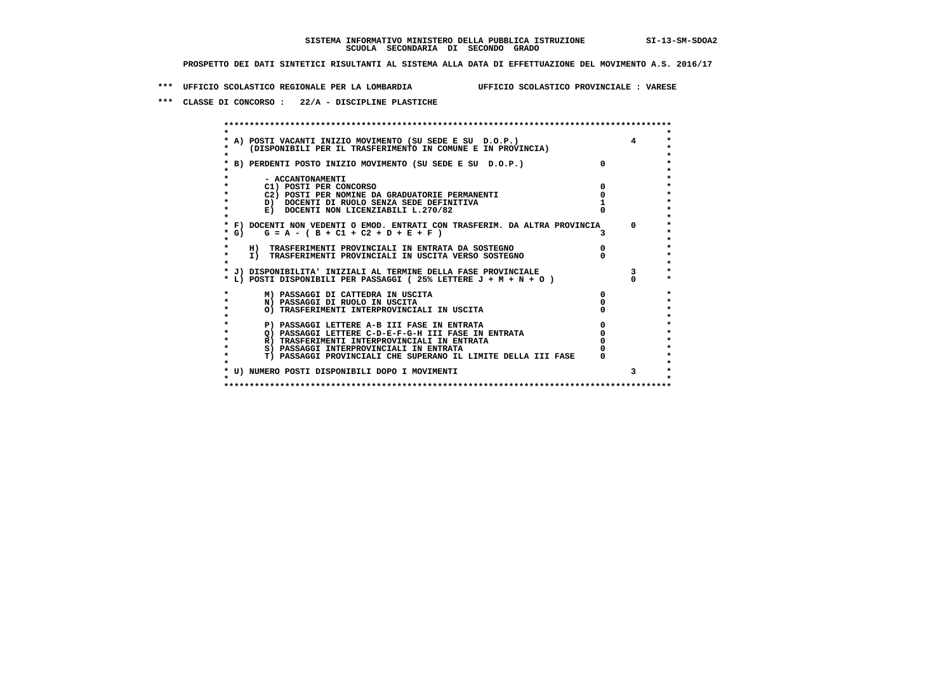**\*\*\* UFFICIO SCOLASTICO REGIONALE PER LA LOMBARDIA UFFICIO SCOLASTICO PROVINCIALE : VARESE**

 **\*\*\* CLASSE DI CONCORSO : 22/A - DISCIPLINE PLASTICHE**

|            | * A) POSTI VACANTI INIZIO MOVIMENTO (SU SEDE E SU D.O.P.)<br>(DISPONIBILI PER IL TRASFERIMENTO IN COMUNE E IN PROVINCIA) |          |              |
|------------|--------------------------------------------------------------------------------------------------------------------------|----------|--------------|
|            | B) PERDENTI POSTO INIZIO MOVIMENTO (SU SEDE E SU D.O.P.)                                                                 | $\Omega$ |              |
|            | - ACCANTONAMENTI                                                                                                         |          |              |
|            | C1) POSTI PER CONCORSO                                                                                                   |          |              |
|            | C2) POSTI PER NOMINE DA GRADUATORIE PERMANENTI                                                                           |          |              |
|            | D) DOCENTI DI RUOLO SENZA SEDE DEFINITIVA                                                                                |          |              |
|            | E) DOCENTI NON LICENZIABILI L.270/82                                                                                     |          |              |
|            |                                                                                                                          |          |              |
|            | * F) DOCENTI NON VEDENTI O EMOD. ENTRATI CON TRASFERIM. DA ALTRA PROVINCIA                                               |          | $\mathbf{0}$ |
| $\star$ G) | $G = A - (B + C1 + C2 + D + E + F)$                                                                                      |          |              |
|            |                                                                                                                          |          |              |
|            | H) TRASFERIMENTI PROVINCIALI IN ENTRATA DA SOSTEGNO                                                                      |          |              |
|            | I) TRASFERIMENTI PROVINCIALI IN USCITA VERSO SOSTEGNO                                                                    |          |              |
|            |                                                                                                                          |          |              |
|            | * J) DISPONIBILITA' INIZIALI AL TERMINE DELLA FASE PROVINCIALE                                                           |          |              |
|            | * L) POSTI DISPONIBILI PER PASSAGGI (25% LETTERE J + M + N + O)                                                          |          |              |
|            | M) PASSAGGI DI CATTEDRA IN USCITA                                                                                        |          |              |
|            | N) PASSAGGI DI RUOLO IN USCITA                                                                                           |          |              |
|            | O) TRASFERIMENTI INTERPROVINCIALI IN USCITA                                                                              |          |              |
|            |                                                                                                                          |          |              |
|            | P) PASSAGGI LETTERE A-B III FASE IN ENTRATA                                                                              |          |              |
|            | O) PASSAGGI LETTERE C-D-E-F-G-H III FASE IN ENTRATA                                                                      |          |              |
|            | R) TRASFERIMENTI INTERPROVINCIALI IN ENTRATA                                                                             |          |              |
|            | S) PASSAGGI INTERPROVINCIALI IN ENTRATA                                                                                  |          |              |
|            | T) PASSAGGI PROVINCIALI CHE SUPERANO IL LIMITE DELLA III FASE                                                            |          |              |
|            |                                                                                                                          |          |              |
|            | * U) NUMERO POSTI DISPONIBILI DOPO I MOVIMENTI                                                                           |          | 3            |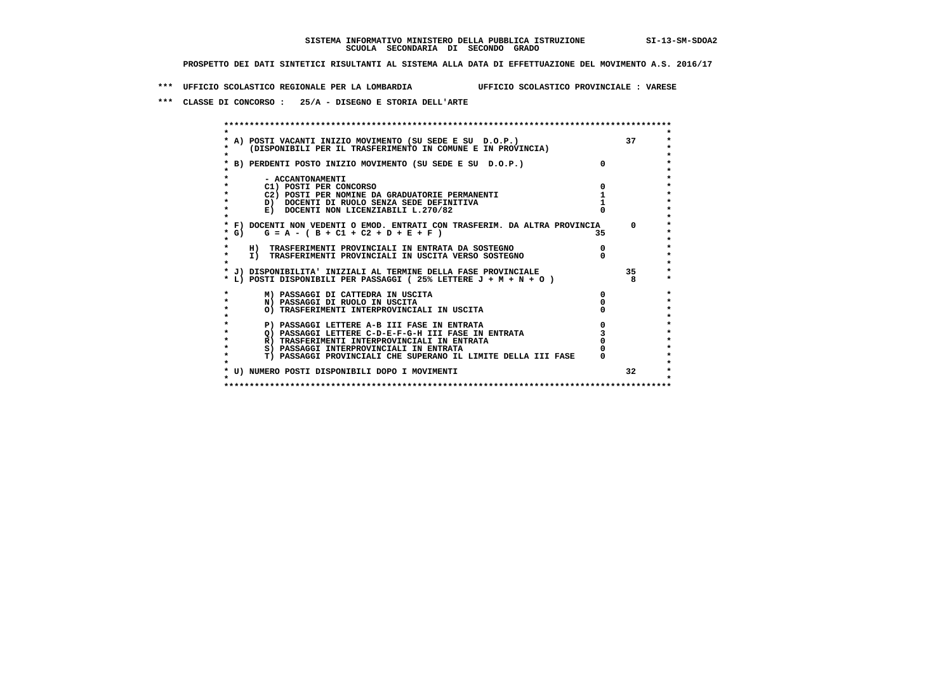**\*\*\* UFFICIO SCOLASTICO REGIONALE PER LA LOMBARDIA UFFICIO SCOLASTICO PROVINCIALE : VARESE**

 **\*\*\* CLASSE DI CONCORSO : 25/A - DISEGNO E STORIA DELL'ARTE**

|           |                                                                                                                          |    | 37              |
|-----------|--------------------------------------------------------------------------------------------------------------------------|----|-----------------|
|           | * A) POSTI VACANTI INIZIO MOVIMENTO (SU SEDE E SU D.O.P.)<br>(DISPONIBILI PER IL TRASFERIMENTO IN COMUNE E IN PROVINCIA) |    |                 |
|           |                                                                                                                          |    |                 |
|           | * B) PERDENTI POSTO INIZIO MOVIMENTO (SU SEDE E SU D.O.P.)                                                               |    |                 |
|           |                                                                                                                          |    |                 |
|           | - ACCANTONAMENTI                                                                                                         |    |                 |
|           | C1) POSTI PER CONCORSO                                                                                                   |    |                 |
|           | C2) POSTI PER NOMINE DA GRADUATORIE PERMANENTI                                                                           |    |                 |
|           | D) DOCENTI DI RUOLO SENZA SEDE DEFINITIVA                                                                                |    |                 |
|           | E) DOCENTI NON LICENZIABILI L.270/82                                                                                     |    |                 |
|           |                                                                                                                          |    |                 |
|           | * F) DOCENTI NON VEDENTI O EMOD. ENTRATI CON TRASFERIM. DA ALTRA PROVINCIA                                               |    | $^{\circ}$      |
| $*$ G)    | $G = A - (B + C1 + C2 + D + E + F)$                                                                                      | 35 |                 |
|           |                                                                                                                          |    |                 |
|           | H) TRASFERIMENTI PROVINCIALI IN ENTRATA DA SOSTEGNO                                                                      |    |                 |
| $\star$   | I) TRASFERIMENTI PROVINCIALI IN USCITA VERSO SOSTEGNO                                                                    |    |                 |
|           |                                                                                                                          |    |                 |
|           | * J) DISPONIBILITA' INIZIALI AL TERMINE DELLA FASE PROVINCIALE                                                           |    | 35              |
|           | * L) POSTI DISPONIBILI PER PASSAGGI (25% LETTERE J + M + N + O )                                                         |    |                 |
|           | M) PASSAGGI DI CATTEDRA IN USCITA                                                                                        |    |                 |
| $\star$   | N) PASSAGGI DI RUOLO IN USCITA                                                                                           |    |                 |
| $\bullet$ | O) TRASFERIMENTI INTERPROVINCIALI IN USCITA                                                                              |    |                 |
|           |                                                                                                                          |    |                 |
|           | P) PASSAGGI LETTERE A-B III FASE IN ENTRATA                                                                              |    |                 |
|           | O) PASSAGGI LETTERE C-D-E-F-G-H III FASE IN ENTRATA                                                                      |    |                 |
|           | R) TRASFERIMENTI INTERPROVINCIALI IN ENTRATA                                                                             |    |                 |
| $\star$   | S) PASSAGGI INTERPROVINCIALI IN ENTRATA                                                                                  |    |                 |
|           | T) PASSAGGI PROVINCIALI CHE SUPERANO IL LIMITE DELLA III FASE                                                            |    |                 |
|           |                                                                                                                          |    | 32 <sup>2</sup> |
|           | * U) NUMERO POSTI DISPONIBILI DOPO I MOVIMENTI                                                                           |    |                 |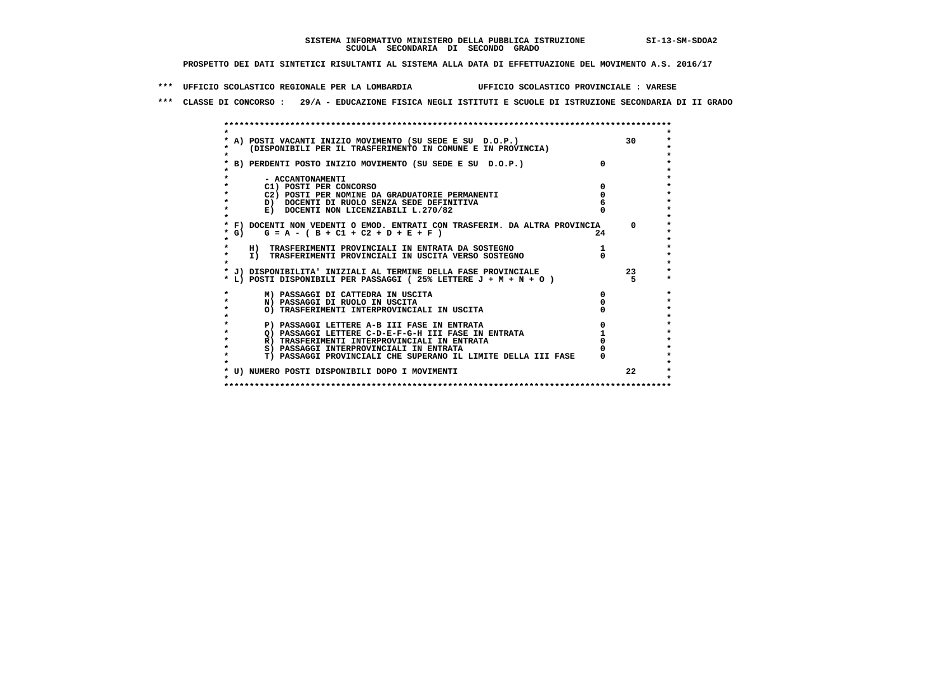**\*\*\* UFFICIO SCOLASTICO REGIONALE PER LA LOMBARDIA UFFICIO SCOLASTICO PROVINCIALE : VARESE**

 **\*\*\* CLASSE DI CONCORSO : 29/A - EDUCAZIONE FISICA NEGLI ISTITUTI E SCUOLE DI ISTRUZIONE SECONDARIA DI II GRADO**

|         | * A) POSTI VACANTI INIZIO MOVIMENTO (SU SEDE E SU D.O.P.)                  |              | 30 <sup>2</sup> |
|---------|----------------------------------------------------------------------------|--------------|-----------------|
|         | (DISPONIBILI PER IL TRASFERIMENTO IN COMUNE E IN PROVINCIA)                |              |                 |
|         | * B) PERDENTI POSTO INIZIO MOVIMENTO (SU SEDE E SU D.O.P.)                 |              |                 |
|         |                                                                            |              |                 |
|         | - ACCANTONAMENTI                                                           |              |                 |
|         | C1) POSTI PER CONCORSO                                                     |              |                 |
|         | C2) POSTI PER NOMINE DA GRADUATORIE PERMANENTI                             |              |                 |
| $\star$ | D) DOCENTI DI RUOLO SENZA SEDE DEFINITIVA                                  |              |                 |
| $\star$ | E) DOCENTI NON LICENZIABILI L.270/82                                       |              |                 |
|         | * F) DOCENTI NON VEDENTI O EMOD. ENTRATI CON TRASFERIM. DA ALTRA PROVINCIA |              | $\Omega$        |
| * G)    | $G = A - (B + C1 + C2 + D + E + F)$                                        | 24           |                 |
|         |                                                                            |              |                 |
|         | H) TRASFERIMENTI PROVINCIALI IN ENTRATA DA SOSTEGNO                        |              |                 |
| $\star$ | I) TRASFERIMENTI PROVINCIALI IN USCITA VERSO SOSTEGNO                      |              |                 |
|         |                                                                            |              |                 |
|         | * J) DISPONIBILITA' INIZIALI AL TERMINE DELLA FASE PROVINCIALE             |              | 23              |
|         | * L) POSTI DISPONIBILI PER PASSAGGI (25% LETTERE J + M + N + O)            |              |                 |
| $\star$ | M) PASSAGGI DI CATTEDRA IN USCITA                                          | <sup>0</sup> |                 |
| $\star$ | N) PASSAGGI DI RUOLO IN USCITA                                             |              |                 |
| $\star$ | O) TRASFERIMENTI INTERPROVINCIALI IN USCITA                                |              |                 |
|         |                                                                            |              |                 |
| $\star$ | P) PASSAGGI LETTERE A-B III FASE IN ENTRATA                                |              |                 |
| $\star$ | O) PASSAGGI LETTERE C-D-E-F-G-H III FASE IN ENTRATA                        |              |                 |
| $\star$ | R) TRASFERIMENTI INTERPROVINCIALI IN ENTRATA                               |              |                 |
| $\star$ | S) PASSAGGI INTERPROVINCIALI IN ENTRATA                                    |              |                 |
| *       | T) PASSAGGI PROVINCIALI CHE SUPERANO IL LIMITE DELLA III FASE              |              |                 |
|         | * U) NUMERO POSTI DISPONIBILI DOPO I MOVIMENTI                             |              | 22              |
|         |                                                                            |              |                 |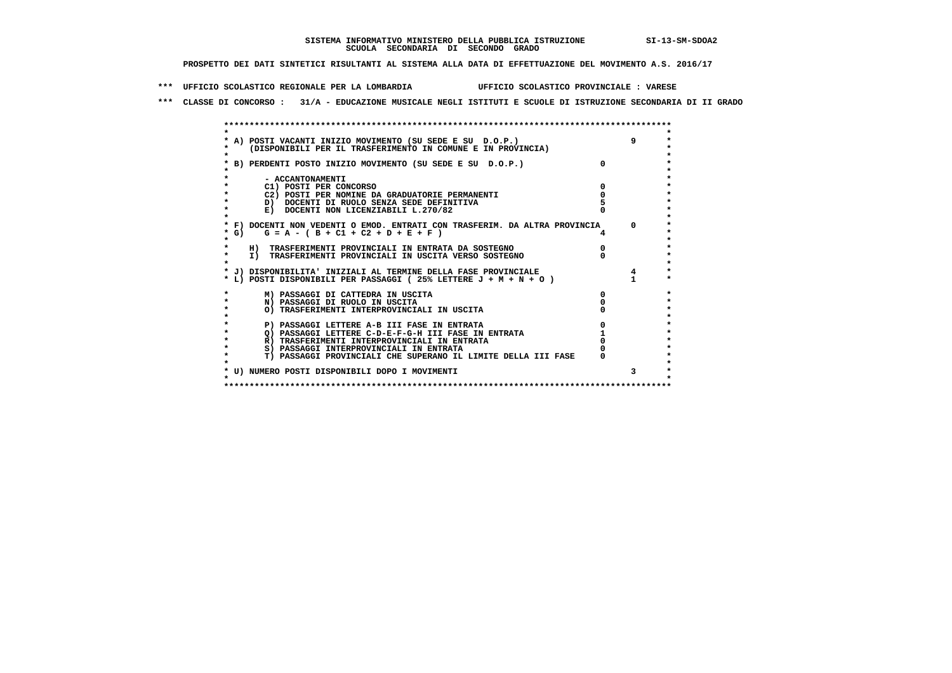**\*\*\* UFFICIO SCOLASTICO REGIONALE PER LA LOMBARDIA UFFICIO SCOLASTICO PROVINCIALE : VARESE**

 **\*\*\* CLASSE DI CONCORSO : 31/A - EDUCAZIONE MUSICALE NEGLI ISTITUTI E SCUOLE DI ISTRUZIONE SECONDARIA DI II GRADO**

|           | A) POSTI VACANTI INIZIO MOVIMENTO (SU SEDE E SU D.O.P.)                    | 9          |
|-----------|----------------------------------------------------------------------------|------------|
|           | (DISPONIBILI PER IL TRASFERIMENTO IN COMUNE E IN PROVINCIA)                |            |
|           | B) PERDENTI POSTO INIZIO MOVIMENTO (SU SEDE E SU D.O.P.)                   |            |
|           |                                                                            |            |
|           | - ACCANTONAMENTI                                                           |            |
|           | C1) POSTI PER CONCORSO                                                     |            |
|           | C2) POSTI PER NOMINE DA GRADUATORIE PERMANENTI                             |            |
|           | D) DOCENTI DI RUOLO SENZA SEDE DEFINITIVA                                  |            |
|           | E) DOCENTI NON LICENZIABILI L.270/82                                       |            |
|           |                                                                            |            |
|           | * F) DOCENTI NON VEDENTI O EMOD. ENTRATI CON TRASFERIM. DA ALTRA PROVINCIA | $^{\circ}$ |
| * G)      | $G = A - (B + C1 + C2 + D + E + F)$                                        |            |
|           |                                                                            |            |
|           | H) TRASFERIMENTI PROVINCIALI IN ENTRATA DA SOSTEGNO                        |            |
| $\star$   | I) TRASFERIMENTI PROVINCIALI IN USCITA VERSO SOSTEGNO                      |            |
|           |                                                                            |            |
|           | * J) DISPONIBILITA' INIZIALI AL TERMINE DELLA FASE PROVINCIALE             |            |
|           | * L) POSTI DISPONIBILI PER PASSAGGI (25% LETTERE J + M + N + O)            |            |
|           |                                                                            |            |
|           | M) PASSAGGI DI CATTEDRA IN USCITA                                          |            |
| $\star$   | N) PASSAGGI DI RUOLO IN USCITA                                             |            |
| $\bullet$ | O) TRASFERIMENTI INTERPROVINCIALI IN USCITA                                |            |
|           |                                                                            |            |
|           | P) PASSAGGI LETTERE A-B III FASE IN ENTRATA                                |            |
|           | O) PASSAGGI LETTERE C-D-E-F-G-H III FASE IN ENTRATA                        |            |
|           | R) TRASFERIMENTI INTERPROVINCIALI IN ENTRATA                               |            |
|           | S) PASSAGGI INTERPROVINCIALI IN ENTRATA                                    |            |
|           | T) PASSAGGI PROVINCIALI CHE SUPERANO IL LIMITE DELLA III FASE              |            |
|           |                                                                            |            |
|           | * U) NUMERO POSTI DISPONIBILI DOPO I MOVIMENTI                             |            |
|           |                                                                            |            |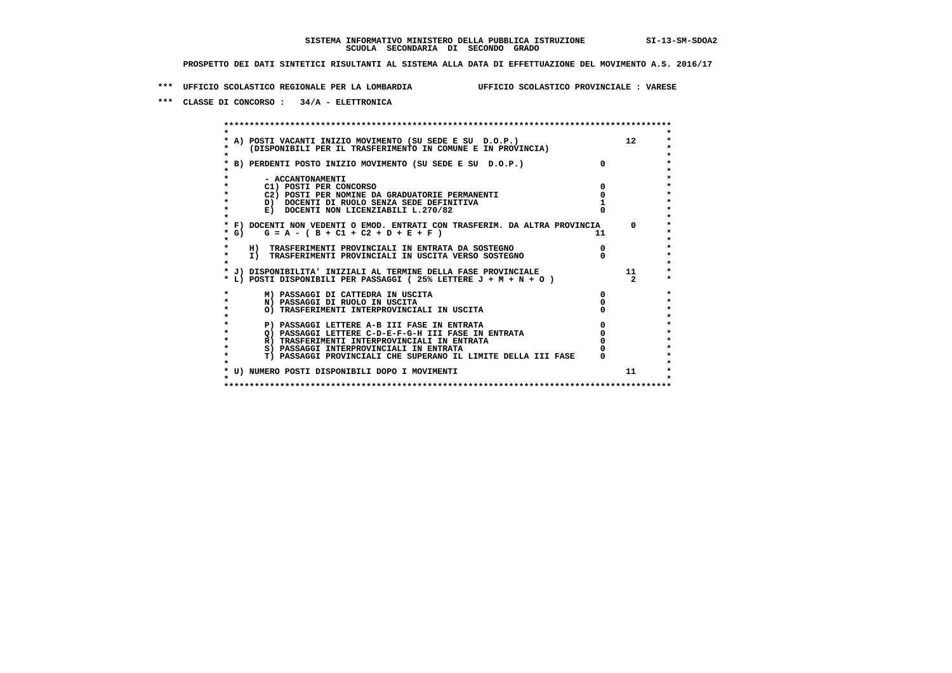**\*\*\* UFFICIO SCOLASTICO REGIONALE PER LA LOMBARDIA UFFICIO SCOLASTICO PROVINCIALE : VARESE**

 **\*\*\* CLASSE DI CONCORSO : 34/A - ELETTRONICA**

 **\*\*\*\*\*\*\*\*\*\*\*\*\*\*\*\*\*\*\*\*\*\*\*\*\*\*\*\*\*\*\*\*\*\*\*\*\*\*\*\*\*\*\*\*\*\*\*\*\*\*\*\*\*\*\*\*\*\*\*\*\*\*\*\*\*\*\*\*\*\*\*\*\*\*\*\*\*\*\*\*\*\*\*\*\*\*\*\* \* \*** $\ddot{\phantom{0}}$  **\* A) POSTI VACANTI INIZIO MOVIMENTO (SU SEDE E SU D.O.P.) 12 \*** $\star$  **\* (DISPONIBILI PER IL TRASFERIMENTO IN COMUNE E IN PROVINCIA) \*** $\bullet$  **\* \* \* B) PERDENTI POSTO INIZIO MOVIMENTO (SU SEDE E SU D.O.P.) 0 \* \* \* \* - ACCANTONAMENTI \* \* C1) POSTI PER CONCORSO 0 \* \* C2) POSTI PER NOMINE DA GRADUATORIE PERMANENTI 0 \* \* D) DOCENTI DI RUOLO SENZA SEDE DEFINITIVA 1 \*E) DOCENTI NON LICENZIABILI L.270/82 \* \* \* F) DOCENTI NON VEDENTI O EMOD. ENTRATI CON TRASFERIM. DA ALTRA PROVINCIA 0 \***  $\star$  **G)** G = A - ( B + C1 + C2 + D + E + F )  **\* \*** $\bullet$  **\* H) TRASFERIMENTI PROVINCIALI IN ENTRATA DA SOSTEGNO 0 \* \* I) TRASFERIMENTI PROVINCIALI IN USCITA VERSO SOSTEGNO 0 \* \* \* \* J) DISPONIBILITA' INIZIALI AL TERMINE DELLA FASE PROVINCIALE 11 \* \* L) POSTI DISPONIBILI PER PASSAGGI ( 25% LETTERE J + M + N + O ) 2 \*** $\ddot{\phantom{1}}$  **\* M) PASSAGGI DI CATTEDRA IN USCITA 0 \* \* N) PASSAGGI DI RUOLO IN USCITA 0 \*** $\star$  **\* O) TRASFERIMENTI INTERPROVINCIALI IN USCITA 0 \* \* \*** $\star$  **P) PASSAGGI LETTERE A-B III FASE IN ENTRATA**  $\begin{array}{c} 0 \\ 0 \\ 1 \end{array}$  $\begin{array}{c} 0 \\ \text{PASSAGGI LETERE} \end{array}$  $\begin{array}{c} 0 \\ \text{PASSAGGI LETERE} \end{array}$  $\star$  **\* Q) PASSAGGI LETTERE C-D-E-F-G-H III FASE IN ENTRATA 0 \*R) TRASFERIMENTI INTERPROVINCIALI IN ENTRATA** 0<br> **S)** PASSAGGI INTERPROVINCIALI IN ENTRATA 0 **\*** S) PASSAGGI INTERPROVINCIALI IN ENTRATA  $\bullet$  **\* T) PASSAGGI PROVINCIALI CHE SUPERANO IL LIMITE DELLA III FASE 0 \*** $\star$  **\* \*** $\star$  **\* U) NUMERO POSTI DISPONIBILI DOPO I MOVIMENTI 11 \* \* \* \*\*\*\*\*\*\*\*\*\*\*\*\*\*\*\*\*\*\*\*\*\*\*\*\*\*\*\*\*\*\*\*\*\*\*\*\*\*\*\*\*\*\*\*\*\*\*\*\*\*\*\*\*\*\*\*\*\*\*\*\*\*\*\*\*\*\*\*\*\*\*\*\*\*\*\*\*\*\*\*\*\*\*\*\*\*\*\***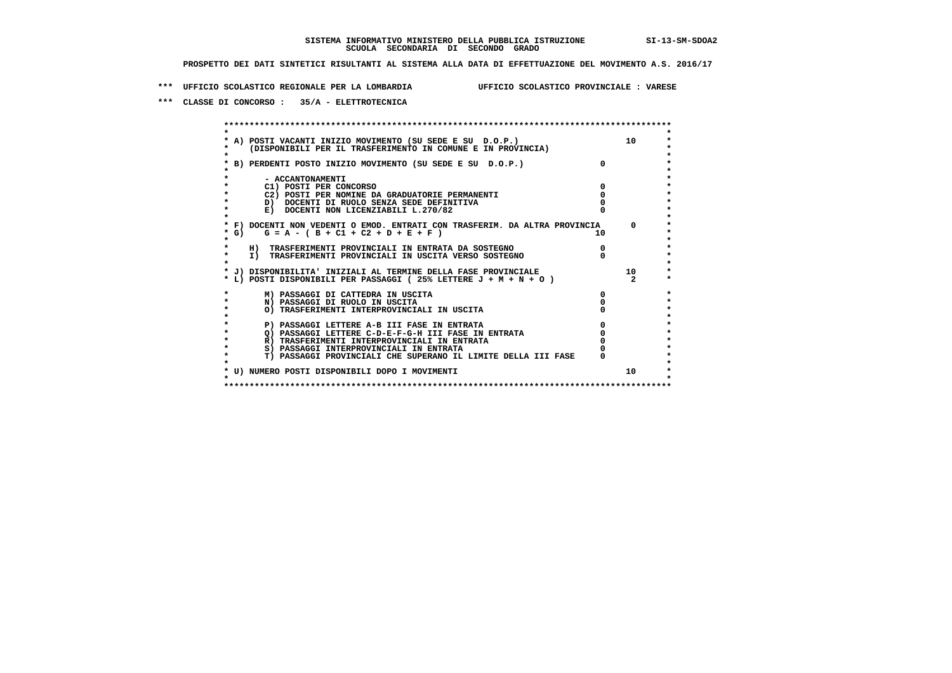**\*\*\* UFFICIO SCOLASTICO REGIONALE PER LA LOMBARDIA UFFICIO SCOLASTICO PROVINCIALE : VARESE**

 **\*\*\* CLASSE DI CONCORSO : 35/A - ELETTROTECNICA**

 **\*\*\*\*\*\*\*\*\*\*\*\*\*\*\*\*\*\*\*\*\*\*\*\*\*\*\*\*\*\*\*\*\*\*\*\*\*\*\*\*\*\*\*\*\*\*\*\*\*\*\*\*\*\*\*\*\*\*\*\*\*\*\*\*\*\*\*\*\*\*\*\*\*\*\*\*\*\*\*\*\*\*\*\*\*\*\*\* \* \*** $\ddot{\phantom{1}}$  **\* A) POSTI VACANTI INIZIO MOVIMENTO (SU SEDE E SU D.O.P.) 10 \*** $\star$  **\* (DISPONIBILI PER IL TRASFERIMENTO IN COMUNE E IN PROVINCIA) \*** $\bullet$  **\* \* \* B) PERDENTI POSTO INIZIO MOVIMENTO (SU SEDE E SU D.O.P.) 0 \* \* \* \* - ACCANTONAMENTI \* \* C1) POSTI PER CONCORSO 0 \* \* C2) POSTI PER NOMINE DA GRADUATORIE PERMANENTI 0 \*b b** docenti di RUOLO SENZA SEDE DEFINITIVA  $\overline{D}$  **b**  $\overline{D}$  0  $\overline{D}$  0  $\overline{D}$  0  $\overline{D}$  0  $\overline{D}$  0  $\overline{D}$  0  $\overline{D}$  0  $\overline{D}$  0  $\overline{D}$  0  $\overline{D}$  0  $\overline{D}$  0  $\overline{D}$  0  $\overline{D}$  0  $\overline{D}$  0  $\overline{D}$ **E) DOCENTI NON LICENZIABILI L.270/82 \* \* \* F) DOCENTI NON VEDENTI O EMOD. ENTRATI CON TRASFERIM. DA ALTRA PROVINCIA 0 \* \* G) G = A - ( B + C1 + C2 + D + E + F ) 10 \* \* \*** $\bullet$  **\* H) TRASFERIMENTI PROVINCIALI IN ENTRATA DA SOSTEGNO 0 \* \* I) TRASFERIMENTI PROVINCIALI IN USCITA VERSO SOSTEGNO 0 \* \* \* \* J) DISPONIBILITA' INIZIALI AL TERMINE DELLA FASE PROVINCIALE 10 \* \* L) POSTI DISPONIBILI PER PASSAGGI ( 25% LETTERE J + M + N + O ) 2 \*** $\bullet$  **\* M) PASSAGGI DI CATTEDRA IN USCITA 0 \* \* N) PASSAGGI DI RUOLO IN USCITA 0 \*** $\star$  **\* O) TRASFERIMENTI INTERPROVINCIALI IN USCITA 0 \* \* \*** $\star$  **P) PASSAGGI LETTERE A-B III FASE IN ENTRATA**  $\begin{array}{c} 0 \\ 0 \\ 1 \end{array}$  $\begin{array}{c} 0 \\ \text{PASSAGGI LETERE} \\ \text{N} \end{array}$  $\star$  **\* Q) PASSAGGI LETTERE C-D-E-F-G-H III FASE IN ENTRATA 0 \*R) TRASFERIMENTI INTERPROVINCIALI IN ENTRATA** 0<br> **S)** PASSAGGI INTERPROVINCIALI IN ENTRATA 0 **\*** S) PASSAGGI INTERPROVINCIALI IN ENTRATA  $\bullet$  **\* T) PASSAGGI PROVINCIALI CHE SUPERANO IL LIMITE DELLA III FASE 0 \*** $\star$  **\* \*** $\star$  **\* U) NUMERO POSTI DISPONIBILI DOPO I MOVIMENTI 10 \* \* \* \*\*\*\*\*\*\*\*\*\*\*\*\*\*\*\*\*\*\*\*\*\*\*\*\*\*\*\*\*\*\*\*\*\*\*\*\*\*\*\*\*\*\*\*\*\*\*\*\*\*\*\*\*\*\*\*\*\*\*\*\*\*\*\*\*\*\*\*\*\*\*\*\*\*\*\*\*\*\*\*\*\*\*\*\*\*\*\***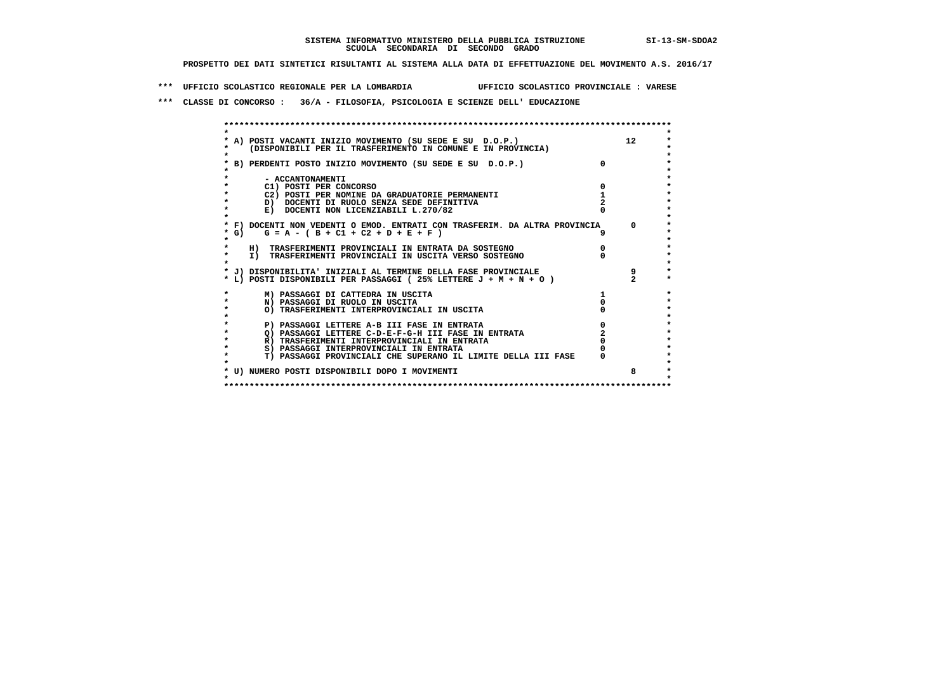**\*\*\* UFFICIO SCOLASTICO REGIONALE PER LA LOMBARDIA UFFICIO SCOLASTICO PROVINCIALE : VARESE**

 **\*\*\* CLASSE DI CONCORSO : 36/A - FILOSOFIA, PSICOLOGIA E SCIENZE DELL' EDUCAZIONE**

 **\*\*\*\*\*\*\*\*\*\*\*\*\*\*\*\*\*\*\*\*\*\*\*\*\*\*\*\*\*\*\*\*\*\*\*\*\*\*\*\*\*\*\*\*\*\*\*\*\*\*\*\*\*\*\*\*\*\*\*\*\*\*\*\*\*\*\*\*\*\*\*\*\*\*\*\*\*\*\*\*\*\*\*\*\*\*\*\* \* \*** $\ddot{\phantom{1}}$  **\* A) POSTI VACANTI INIZIO MOVIMENTO (SU SEDE E SU D.O.P.) 12 \*** $\star$  **\* (DISPONIBILI PER IL TRASFERIMENTO IN COMUNE E IN PROVINCIA) \*** $\bullet$  **\* \* \* B) PERDENTI POSTO INIZIO MOVIMENTO (SU SEDE E SU D.O.P.) 0 \* \* \* \* - ACCANTONAMENTI \* \* C1) POSTI PER CONCORSO 0 \* \* C2) POSTI PER NOMINE DA GRADUATORIE PERMANENTI 1 \*b b** docenti di RUOLO SENZA SEDE DEFINITIVA  $\overline{2}$  **b**  $\overline{2}$   $\overline{2}$   $\overline{2}$   $\overline{2}$   $\overline{2}$   $\overline{2}$   $\overline{2}$   $\overline{2}$   $\overline{2}$   $\overline{2}$   $\overline{2}$   $\overline{2}$   $\overline{2}$   $\overline{2}$   $\overline{2}$   $\overline{2}$   $\overline{2}$   $\overline{2}$  **E) DOCENTI NON LICENZIABILI L.270/82 \* \* \* F) DOCENTI NON VEDENTI O EMOD. ENTRATI CON TRASFERIM. DA ALTRA PROVINCIA 0 \* \* G) G = A - ( B + C1 + C2 + D + E + F ) 9 \* \* \*** $\bullet$  **\* H) TRASFERIMENTI PROVINCIALI IN ENTRATA DA SOSTEGNO 0 \* \* I) TRASFERIMENTI PROVINCIALI IN USCITA VERSO SOSTEGNO 0 \* \* \* \* J) DISPONIBILITA' INIZIALI AL TERMINE DELLA FASE PROVINCIALE 9 \* \* L) POSTI DISPONIBILI PER PASSAGGI ( 25% LETTERE J + M + N + O ) 2 \*** $\ddot{\phantom{0}}$  **\* M) PASSAGGI DI CATTEDRA IN USCITA 1 \* \* N) PASSAGGI DI RUOLO IN USCITA 0 \*** $\star$  **\* O) TRASFERIMENTI INTERPROVINCIALI IN USCITA 0 \* \* \* \* P) PASSAGGI LETTERE A-B III FASE IN ENTRATA 0 \*** $\star$  **\* Q) PASSAGGI LETTERE C-D-E-F-G-H III FASE IN ENTRATA 2 \*R) TRASFERIMENTI INTERPROVINCIALI IN ENTRATA** 0<br> **8) PASSAGGI INTERPROVINCIALI IN ENTRATA** 0 **\*** S) PASSAGGI INTERPROVINCIALI IN ENTRATA  $\ddot{\phantom{1}}$  **\* T) PASSAGGI PROVINCIALI CHE SUPERANO IL LIMITE DELLA III FASE 0 \*** $\star$  **\* \* \* U) NUMERO POSTI DISPONIBILI DOPO I MOVIMENTI 8 \* \* \* \*\*\*\*\*\*\*\*\*\*\*\*\*\*\*\*\*\*\*\*\*\*\*\*\*\*\*\*\*\*\*\*\*\*\*\*\*\*\*\*\*\*\*\*\*\*\*\*\*\*\*\*\*\*\*\*\*\*\*\*\*\*\*\*\*\*\*\*\*\*\*\*\*\*\*\*\*\*\*\*\*\*\*\*\*\*\*\***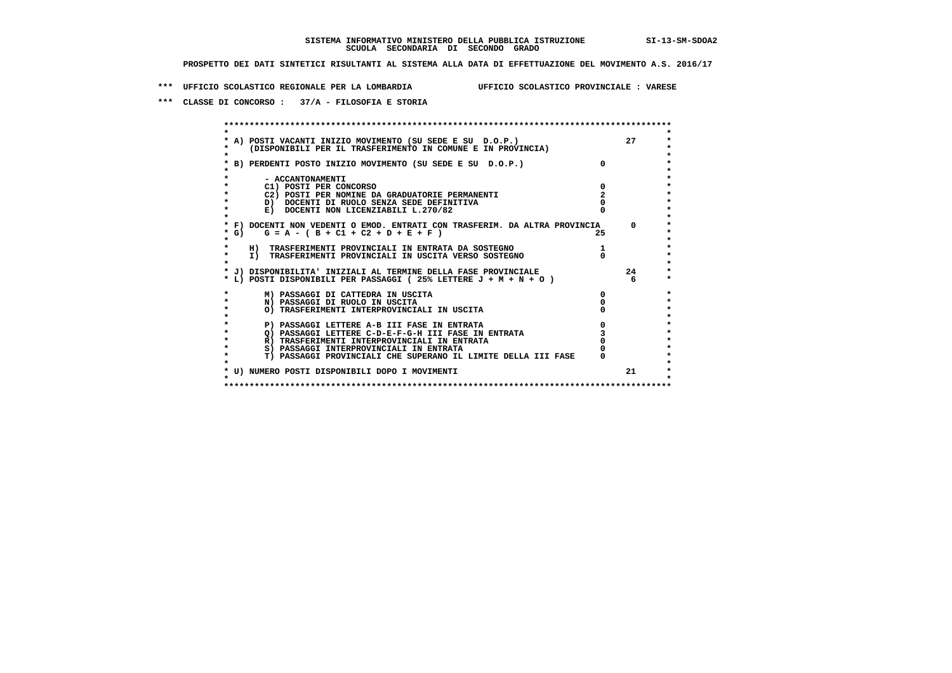**\*\*\* UFFICIO SCOLASTICO REGIONALE PER LA LOMBARDIA UFFICIO SCOLASTICO PROVINCIALE : VARESE**

 **\*\*\* CLASSE DI CONCORSO : 37/A - FILOSOFIA E STORIA**

|         | A) POSTI VACANTI INIZIO MOVIMENTO (SU SEDE E SU D.O.P.)                                                                              |              | 27       |
|---------|--------------------------------------------------------------------------------------------------------------------------------------|--------------|----------|
|         | (DISPONIBILI PER IL TRASFERIMENTO IN COMUNE E IN PROVINCIA)                                                                          |              |          |
|         | B) PERDENTI POSTO INIZIO MOVIMENTO (SU SEDE E SU D.O.P.)                                                                             | $\mathsf{n}$ |          |
|         |                                                                                                                                      |              |          |
|         | - ACCANTONAMENTI                                                                                                                     |              |          |
|         | C1) POSTI PER CONCORSO<br>C2) POSTI PER NOMINE DA GRADUATORIE PERMANENTI                                                             |              |          |
|         | D) DOCENTI DI RUOLO SENZA SEDE DEFINITIVA                                                                                            |              |          |
|         | E) DOCENTI NON LICENZIABILI L.270/82                                                                                                 |              |          |
|         |                                                                                                                                      |              |          |
|         | * F) DOCENTI NON VEDENTI O EMOD. ENTRATI CON TRASFERIM. DA ALTRA PROVINCIA                                                           |              | $\Omega$ |
| $*$ G)  | $G = A - (B + C1 + C2 + D + E + F)$                                                                                                  | 25.          |          |
|         |                                                                                                                                      |              |          |
|         | H) TRASFERIMENTI PROVINCIALI IN ENTRATA DA SOSTEGNO                                                                                  |              |          |
| $\star$ | I) TRASFERIMENTI PROVINCIALI IN USCITA VERSO SOSTEGNO                                                                                |              |          |
|         |                                                                                                                                      |              | 24       |
|         | * J) DISPONIBILITA' INIZIALI AL TERMINE DELLA FASE PROVINCIALE<br>* L) POSTI DISPONIBILI PER PASSAGGI (25% LETTERE $J + M + N + O$ ) |              | 6        |
|         |                                                                                                                                      |              |          |
|         | M) PASSAGGI DI CATTEDRA IN USCITA                                                                                                    | 0            |          |
|         | N) PASSAGGI DI RUOLO IN USCITA                                                                                                       |              |          |
|         | O) TRASFERIMENTI INTERPROVINCIALI IN USCITA                                                                                          |              |          |
|         |                                                                                                                                      |              |          |
|         | P) PASSAGGI LETTERE A-B III FASE IN ENTRATA                                                                                          |              |          |
|         | O) PASSAGGI LETTERE C-D-E-F-G-H III FASE IN ENTRATA                                                                                  |              |          |
|         | R) TRASFERIMENTI INTERPROVINCIALI IN ENTRATA                                                                                         |              |          |
|         | S) PASSAGGI INTERPROVINCIALI IN ENTRATA                                                                                              |              |          |
|         | T) PASSAGGI PROVINCIALI CHE SUPERANO IL LIMITE DELLA III FASE                                                                        |              |          |
|         | * U) NUMERO POSTI DISPONIBILI DOPO I MOVIMENTI                                                                                       |              | 21       |
|         |                                                                                                                                      |              |          |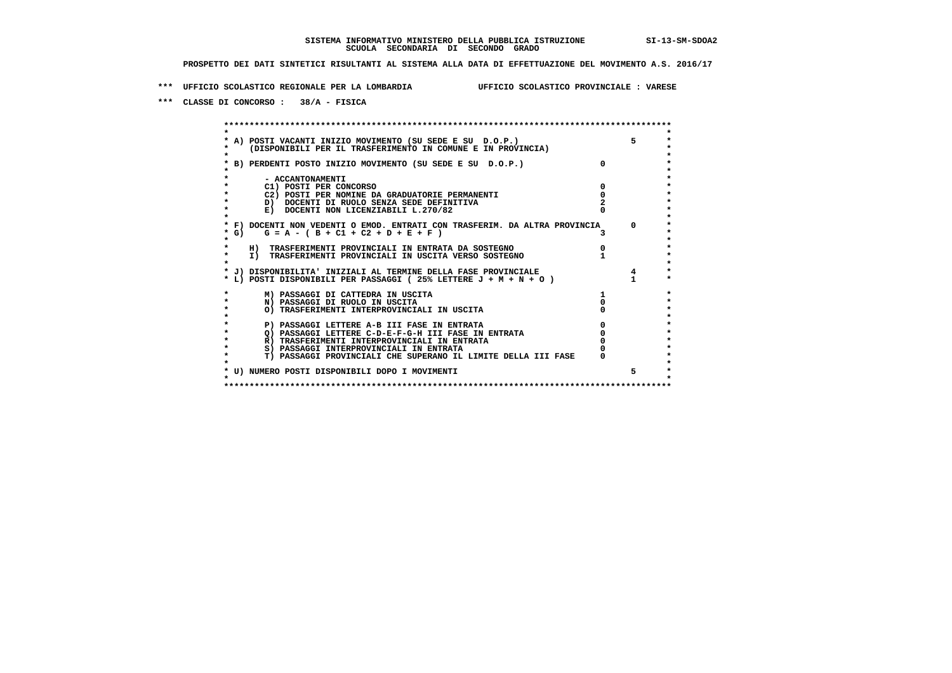**\*\*\* UFFICIO SCOLASTICO REGIONALE PER LA LOMBARDIA UFFICIO SCOLASTICO PROVINCIALE : VARESE**

 **\*\*\* CLASSE DI CONCORSO : 38/A - FISICA**

 **\*\*\*\*\*\*\*\*\*\*\*\*\*\*\*\*\*\*\*\*\*\*\*\*\*\*\*\*\*\*\*\*\*\*\*\*\*\*\*\*\*\*\*\*\*\*\*\*\*\*\*\*\*\*\*\*\*\*\*\*\*\*\*\*\*\*\*\*\*\*\*\*\*\*\*\*\*\*\*\*\*\*\*\*\*\*\*\* \* \*** $\ddot{\phantom{0}}$  **\* A) POSTI VACANTI INIZIO MOVIMENTO (SU SEDE E SU D.O.P.) 5 \*** $\star$  **\* (DISPONIBILI PER IL TRASFERIMENTO IN COMUNE E IN PROVINCIA) \*** $\bullet$  **\* \* \* B) PERDENTI POSTO INIZIO MOVIMENTO (SU SEDE E SU D.O.P.) 0 \* \* \* \* - ACCANTONAMENTI \* \* C1) POSTI PER CONCORSO 0 \* \* C2) POSTI PER NOMINE DA GRADUATORIE PERMANENTI 0 \*b b** docenti di RUOLO SENZA SEDE DEFINITIVA  $\overline{2}$  **b**  $\overline{2}$   $\overline{2}$   $\overline{2}$   $\overline{2}$   $\overline{2}$   $\overline{2}$   $\overline{2}$   $\overline{2}$   $\overline{2}$   $\overline{2}$   $\overline{2}$   $\overline{2}$   $\overline{2}$   $\overline{2}$   $\overline{2}$   $\overline{2}$   $\overline{2}$   $\overline{2}$  **E)** DOCENTI NON LICENZIABILI L.270/82  **\* \* \* F) DOCENTI NON VEDENTI O EMOD. ENTRATI CON TRASFERIM. DA ALTRA PROVINCIA 0 \* \* G) G = A - ( B + C1 + C2 + D + E + F ) 3 \* \* \*** $\bullet$  **\* H) TRASFERIMENTI PROVINCIALI IN ENTRATA DA SOSTEGNO 0 \* \* I) TRASFERIMENTI PROVINCIALI IN USCITA VERSO SOSTEGNO 1 \* \* \* \* J) DISPONIBILITA' INIZIALI AL TERMINE DELLA FASE PROVINCIALE 4 \* \* L) POSTI DISPONIBILI PER PASSAGGI ( 25% LETTERE J + M + N + O ) 1 \* \* M) PASSAGGI DI CATTEDRA IN USCITA 1 \* \* N) PASSAGGI DI RUOLO IN USCITA 0 \*** $\star$  **\* O) TRASFERIMENTI INTERPROVINCIALI IN USCITA 0 \* \* \* \* P) PASSAGGI LETTERE A-B III FASE IN ENTRATA 0 \*** $\star$  **\* Q) PASSAGGI LETTERE C-D-E-F-G-H III FASE IN ENTRATA 0 \*R) TRASFERIMENTI INTERPROVINCIALI IN ENTRATA** 0<br> **S)** PASSAGGI INTERPROVINCIALI IN ENTRATA 0 **\*** S) PASSAGGI INTERPROVINCIALI IN ENTRATA  $\ddot{\phantom{1}}$  **\* T) PASSAGGI PROVINCIALI CHE SUPERANO IL LIMITE DELLA III FASE 0 \*** $\star$  **\* \* \* U) NUMERO POSTI DISPONIBILI DOPO I MOVIMENTI 5 \* \* \* \*\*\*\*\*\*\*\*\*\*\*\*\*\*\*\*\*\*\*\*\*\*\*\*\*\*\*\*\*\*\*\*\*\*\*\*\*\*\*\*\*\*\*\*\*\*\*\*\*\*\*\*\*\*\*\*\*\*\*\*\*\*\*\*\*\*\*\*\*\*\*\*\*\*\*\*\*\*\*\*\*\*\*\*\*\*\*\***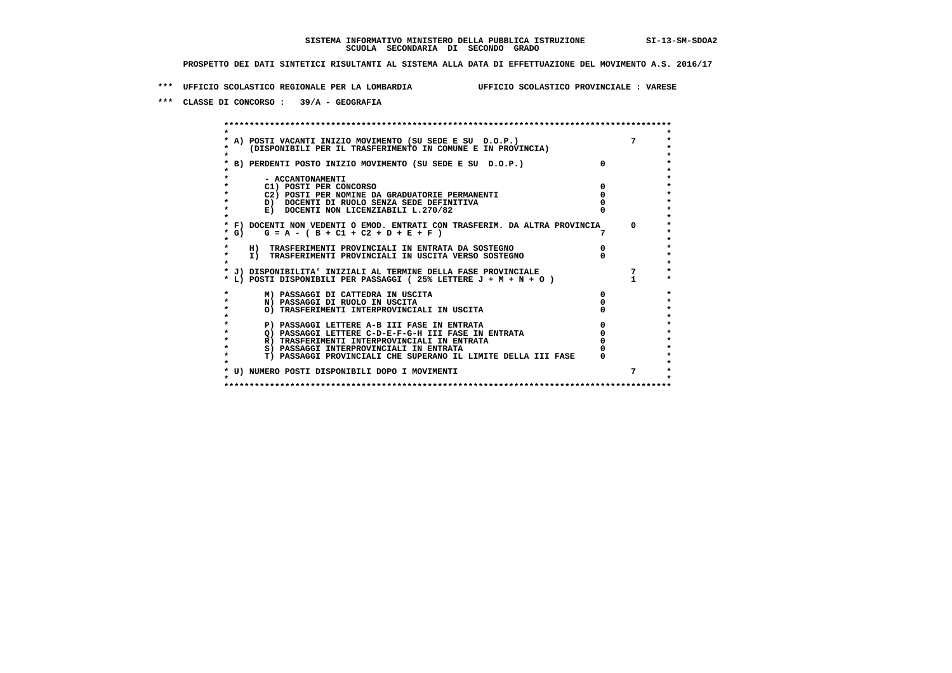**\*\*\* UFFICIO SCOLASTICO REGIONALE PER LA LOMBARDIA UFFICIO SCOLASTICO PROVINCIALE : VARESE**

 **\*\*\* CLASSE DI CONCORSO : 39/A - GEOGRAFIA**

 **\*\*\*\*\*\*\*\*\*\*\*\*\*\*\*\*\*\*\*\*\*\*\*\*\*\*\*\*\*\*\*\*\*\*\*\*\*\*\*\*\*\*\*\*\*\*\*\*\*\*\*\*\*\*\*\*\*\*\*\*\*\*\*\*\*\*\*\*\*\*\*\*\*\*\*\*\*\*\*\*\*\*\*\*\*\*\*\* \* \*** $\ddot{\phantom{0}}$  **\* A) POSTI VACANTI INIZIO MOVIMENTO (SU SEDE E SU D.O.P.) 7 \* \* (DISPONIBILI PER IL TRASFERIMENTO IN COMUNE E IN PROVINCIA) \* \* \* \* B) PERDENTI POSTO INIZIO MOVIMENTO (SU SEDE E SU D.O.P.) 0 \* \* \* \* - ACCANTONAMENTI \* \* C1) POSTI PER CONCORSO 0 \* \* C2) POSTI PER NOMINE DA GRADUATORIE PERMANENTI 0 \*b b** docenti di RUOLO SENZA SEDE DEFINITIVA  $\overline{D}$  **b**  $\overline{D}$  0  $\overline{D}$  0  $\overline{D}$  0  $\overline{D}$  0  $\overline{D}$  0  $\overline{D}$  0  $\overline{D}$  0  $\overline{D}$  0  $\overline{D}$  0  $\overline{D}$  0  $\overline{D}$  0  $\overline{D}$  0  $\overline{D}$  0  $\overline{D}$  0  $\overline{D}$ **E)** DOCENTI NON LICENZIABILI L.270/82  **\* \* \* F) DOCENTI NON VEDENTI O EMOD. ENTRATI CON TRASFERIM. DA ALTRA PROVINCIA 0 \* \* G) G = A - ( B + C1 + C2 + D + E + F ) 7 \* \* \*** $\bullet$  **\* H) TRASFERIMENTI PROVINCIALI IN ENTRATA DA SOSTEGNO 0 \* \* I) TRASFERIMENTI PROVINCIALI IN USCITA VERSO SOSTEGNO 0 \* \* \* \* J) DISPONIBILITA' INIZIALI AL TERMINE DELLA FASE PROVINCIALE 7 \* \* L) POSTI DISPONIBILI PER PASSAGGI ( 25% LETTERE J + M + N + O ) 1 \* \* M) PASSAGGI DI CATTEDRA IN USCITA 0 \* \* N) PASSAGGI DI RUOLO IN USCITA 0 \*** $\star$  **\* O) TRASFERIMENTI INTERPROVINCIALI IN USCITA 0 \* \* \* \* P) PASSAGGI LETTERE A-B III FASE IN ENTRATA 0 \*** $\star$  **\* Q) PASSAGGI LETTERE C-D-E-F-G-H III FASE IN ENTRATA 0 \*R) TRASFERIMENTI INTERPROVINCIALI IN ENTRATA** 0<br> **S)** PASSAGGI INTERPROVINCIALI IN ENTRATA 0 **\*** S) PASSAGGI INTERPROVINCIALI IN ENTRATA  $\ddot{\phantom{1}}$  **\* T) PASSAGGI PROVINCIALI CHE SUPERANO IL LIMITE DELLA III FASE 0 \*** $\star$  **\* \* \* U) NUMERO POSTI DISPONIBILI DOPO I MOVIMENTI 7 \* \* \* \*\*\*\*\*\*\*\*\*\*\*\*\*\*\*\*\*\*\*\*\*\*\*\*\*\*\*\*\*\*\*\*\*\*\*\*\*\*\*\*\*\*\*\*\*\*\*\*\*\*\*\*\*\*\*\*\*\*\*\*\*\*\*\*\*\*\*\*\*\*\*\*\*\*\*\*\*\*\*\*\*\*\*\*\*\*\*\***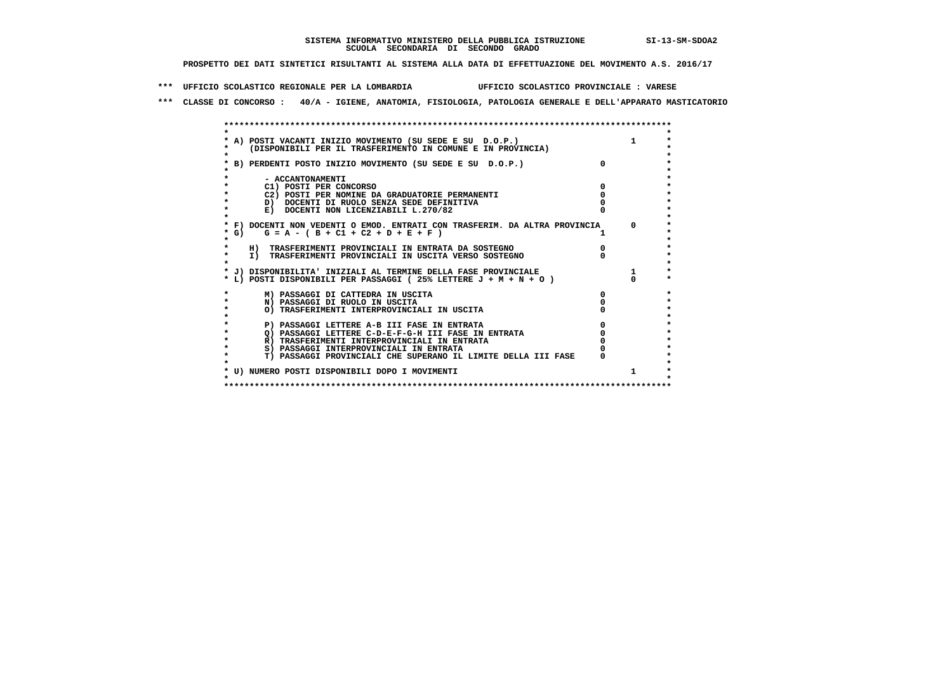**\*\*\* UFFICIO SCOLASTICO REGIONALE PER LA LOMBARDIA UFFICIO SCOLASTICO PROVINCIALE : VARESE**

 **\*\*\* CLASSE DI CONCORSO : 40/A - IGIENE, ANATOMIA, FISIOLOGIA, PATOLOGIA GENERALE E DELL'APPARATO MASTICATORIO**

|         | * A) POSTI VACANTI INIZIO MOVIMENTO (SU SEDE E SU D.O.P.)                  |            |
|---------|----------------------------------------------------------------------------|------------|
|         | (DISPONIBILI PER IL TRASFERIMENTO IN COMUNE E IN PROVINCIA)                |            |
|         |                                                                            |            |
|         | * B) PERDENTI POSTO INIZIO MOVIMENTO (SU SEDE E SU D.O.P.)                 |            |
|         |                                                                            |            |
|         | - ACCANTONAMENTI                                                           |            |
|         | C1) POSTI PER CONCORSO                                                     |            |
|         | C2) POSTI PER NOMINE DA GRADUATORIE PERMANENTI                             |            |
|         | D) DOCENTI DI RUOLO SENZA SEDE DEFINITIVA                                  |            |
|         | E) DOCENTI NON LICENZIABILI L.270/82                                       |            |
|         |                                                                            |            |
|         | * F) DOCENTI NON VEDENTI O EMOD. ENTRATI CON TRASFERIM. DA ALTRA PROVINCIA | $^{\circ}$ |
| $*$ G)  | $G = A - (B + C1 + C2 + D + E + F)$                                        |            |
|         |                                                                            |            |
|         | H) TRASFERIMENTI PROVINCIALI IN ENTRATA DA SOSTEGNO                        |            |
| $\star$ | I) TRASFERIMENTI PROVINCIALI IN USCITA VERSO SOSTEGNO                      |            |
|         |                                                                            |            |
|         | * J) DISPONIBILITA' INIZIALI AL TERMINE DELLA FASE PROVINCIALE             |            |
|         | * L) POSTI DISPONIBILI PER PASSAGGI (25% LETTERE J + M + N + O )           |            |
|         | M) PASSAGGI DI CATTEDRA IN USCITA                                          |            |
|         | N) PASSAGGI DI RUOLO IN USCITA                                             |            |
|         | O) TRASFERIMENTI INTERPROVINCIALI IN USCITA                                |            |
|         |                                                                            |            |
|         | P) PASSAGGI LETTERE A-B III FASE IN ENTRATA                                |            |
|         | O) PASSAGGI LETTERE C-D-E-F-G-H III FASE IN ENTRATA                        |            |
| $\star$ | R) TRASFERIMENTI INTERPROVINCIALI IN ENTRATA                               |            |
|         | S) PASSAGGI INTERPROVINCIALI IN ENTRATA                                    |            |
|         | T) PASSAGGI PROVINCIALI CHE SUPERANO IL LIMITE DELLA III FASE              |            |
|         |                                                                            |            |
|         | * U) NUMERO POSTI DISPONIBILI DOPO I MOVIMENTI                             |            |
|         |                                                                            |            |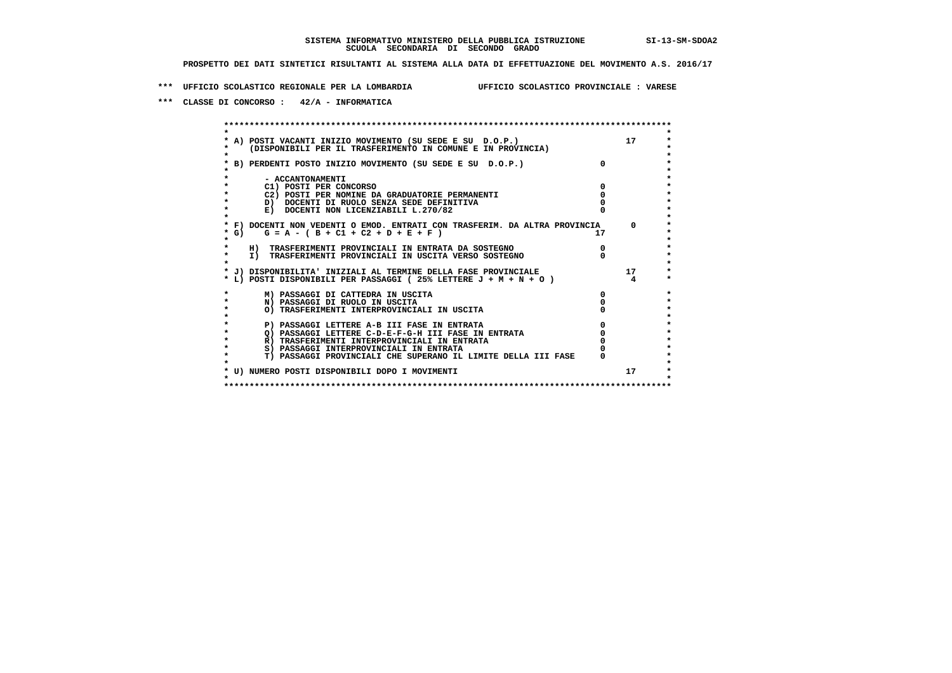**\*\*\* UFFICIO SCOLASTICO REGIONALE PER LA LOMBARDIA UFFICIO SCOLASTICO PROVINCIALE : VARESE**

 **\*\*\* CLASSE DI CONCORSO : 42/A - INFORMATICA**

 **\*\*\*\*\*\*\*\*\*\*\*\*\*\*\*\*\*\*\*\*\*\*\*\*\*\*\*\*\*\*\*\*\*\*\*\*\*\*\*\*\*\*\*\*\*\*\*\*\*\*\*\*\*\*\*\*\*\*\*\*\*\*\*\*\*\*\*\*\*\*\*\*\*\*\*\*\*\*\*\*\*\*\*\*\*\*\*\* \* \*** $\ddot{\phantom{0}}$  **\* A) POSTI VACANTI INIZIO MOVIMENTO (SU SEDE E SU D.O.P.) 17 \*** $\star$  **\* (DISPONIBILI PER IL TRASFERIMENTO IN COMUNE E IN PROVINCIA) \*** $\bullet$  **\* \* \* B) PERDENTI POSTO INIZIO MOVIMENTO (SU SEDE E SU D.O.P.) 0 \* \* \* \* - ACCANTONAMENTI \* \* C1) POSTI PER CONCORSO 0 \* \* C2) POSTI PER NOMINE DA GRADUATORIE PERMANENTI 0 \*b b** docenti di RUOLO SENZA SEDE DEFINITIVA  $\overline{D}$  **b**  $\overline{D}$  0  $\overline{D}$  0  $\overline{D}$  0  $\overline{D}$  0  $\overline{D}$  0  $\overline{D}$  0  $\overline{D}$  0  $\overline{D}$  0  $\overline{D}$  0  $\overline{D}$  0  $\overline{D}$  0  $\overline{D}$  0  $\overline{D}$  0  $\overline{D}$  0  $\overline{D}$ **E) DOCENTI NON LICENZIABILI L.270/82 \* \* \* F) DOCENTI NON VEDENTI O EMOD. ENTRATI CON TRASFERIM. DA ALTRA PROVINCIA 0 \* \* G) G = A - ( B + C1 + C2 + D + E + F ) 17 \* \* \* \* H) TRASFERIMENTI PROVINCIALI IN ENTRATA DA SOSTEGNO 0 \* \* I) TRASFERIMENTI PROVINCIALI IN USCITA VERSO SOSTEGNO 0 \* \* \* \* J) DISPONIBILITA' INIZIALI AL TERMINE DELLA FASE PROVINCIALE 17 \* \* L) POSTI DISPONIBILI PER PASSAGGI ( 25% LETTERE J + M + N + O ) 4 \*** $\ddot{\phantom{1}}$  **\* M) PASSAGGI DI CATTEDRA IN USCITA 0 \* \* N) PASSAGGI DI RUOLO IN USCITA 0 \*** $\star$  **\* O) TRASFERIMENTI INTERPROVINCIALI IN USCITA 0 \* \* \*** $\star$  **P) PASSAGGI LETTERE A-B III FASE IN ENTRATA**  $\begin{array}{c} 0 \\ 0 \\ 1 \end{array}$  $\begin{array}{c} 0 \\ \text{PASSAGGI LETERE} \\ \text{N} \end{array}$  $\star$  **\* Q) PASSAGGI LETTERE C-D-E-F-G-H III FASE IN ENTRATA 0 \*R) TRASFERIMENTI INTERPROVINCIALI IN ENTRATA** 0<br> **S)** PASSAGGI INTERPROVINCIALI IN ENTRATA 0 **\*** S) PASSAGGI INTERPROVINCIALI IN ENTRATA  $\ddot{\phantom{1}}$  **\* T) PASSAGGI PROVINCIALI CHE SUPERANO IL LIMITE DELLA III FASE 0 \*** $\star$  **\* \*** $\star$  **\* U) NUMERO POSTI DISPONIBILI DOPO I MOVIMENTI 17 \* \* \* \*\*\*\*\*\*\*\*\*\*\*\*\*\*\*\*\*\*\*\*\*\*\*\*\*\*\*\*\*\*\*\*\*\*\*\*\*\*\*\*\*\*\*\*\*\*\*\*\*\*\*\*\*\*\*\*\*\*\*\*\*\*\*\*\*\*\*\*\*\*\*\*\*\*\*\*\*\*\*\*\*\*\*\*\*\*\*\***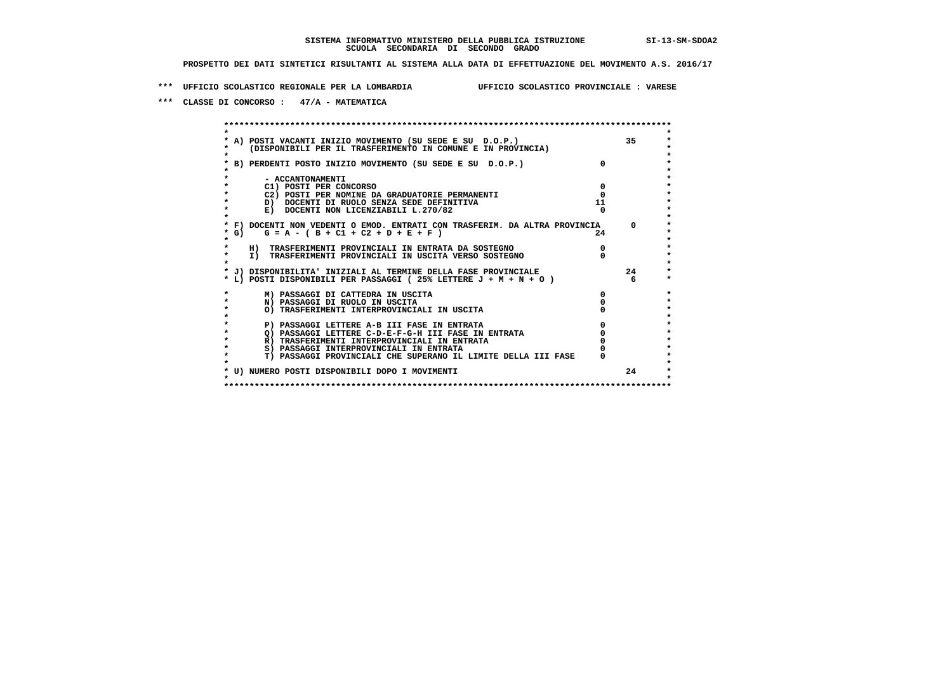**\*\*\* UFFICIO SCOLASTICO REGIONALE PER LA LOMBARDIA UFFICIO SCOLASTICO PROVINCIALE : VARESE**

 **\*\*\* CLASSE DI CONCORSO : 47/A - MATEMATICA**

 **\*\*\*\*\*\*\*\*\*\*\*\*\*\*\*\*\*\*\*\*\*\*\*\*\*\*\*\*\*\*\*\*\*\*\*\*\*\*\*\*\*\*\*\*\*\*\*\*\*\*\*\*\*\*\*\*\*\*\*\*\*\*\*\*\*\*\*\*\*\*\*\*\*\*\*\*\*\*\*\*\*\*\*\*\*\*\*\* \* \*** $\ddot{\phantom{1}}$  **\* A) POSTI VACANTI INIZIO MOVIMENTO (SU SEDE E SU D.O.P.) 35 \*** $\star$  **\* (DISPONIBILI PER IL TRASFERIMENTO IN COMUNE E IN PROVINCIA) \*** $\bullet$  **\* \* \* B) PERDENTI POSTO INIZIO MOVIMENTO (SU SEDE E SU D.O.P.) 0 \* \* \* \* - ACCANTONAMENTI \* \* C1) POSTI PER CONCORSO 0 \* \* C2) POSTI PER NOMINE DA GRADUATORIE PERMANENTI 0 \* \* D) DOCENTI DI RUOLO SENZA SEDE DEFINITIVA 11 \*E)** DOCENTI NON LICENZIABILI L.270/82  **\* \* \* F) DOCENTI NON VEDENTI O EMOD. ENTRATI CON TRASFERIM. DA ALTRA PROVINCIA 0 \* \* G) G = A - ( B + C1 + C2 + D + E + F ) 24 \* \* \*** $\star$  **\* H) TRASFERIMENTI PROVINCIALI IN ENTRATA DA SOSTEGNO 0 \* \* I) TRASFERIMENTI PROVINCIALI IN USCITA VERSO SOSTEGNO 0 \* \* \* \* J) DISPONIBILITA' INIZIALI AL TERMINE DELLA FASE PROVINCIALE 24 \* \* L) POSTI DISPONIBILI PER PASSAGGI ( 25% LETTERE J + M + N + O ) 6 \*** $\ddot{\phantom{1}}$  **\* M) PASSAGGI DI CATTEDRA IN USCITA 0 \* \* N) PASSAGGI DI RUOLO IN USCITA 0 \*** $\star$  **\* O) TRASFERIMENTI INTERPROVINCIALI IN USCITA 0 \* \* \*** $\star$  **P) PASSAGGI LETTERE A-B III FASE IN ENTRATA**  $\begin{array}{c} 0 \\ 0 \\ 1 \end{array}$  $\begin{array}{c} 0 \\ \text{PASSAGGI LETERE} \\ \text{N} \end{array}$  $\star$  **\* Q) PASSAGGI LETTERE C-D-E-F-G-H III FASE IN ENTRATA 0 \*R) TRASFERIMENTI INTERPROVINCIALI IN ENTRATA** 0<br> **S)** PASSAGGI INTERPROVINCIALI IN ENTRATA 0 **\*** S) PASSAGGI INTERPROVINCIALI IN ENTRATA  $\bullet$  **\* T) PASSAGGI PROVINCIALI CHE SUPERANO IL LIMITE DELLA III FASE 0 \*** $\star$  **\* \*** $\star$  **\* U) NUMERO POSTI DISPONIBILI DOPO I MOVIMENTI 24 \* \* \* \*\*\*\*\*\*\*\*\*\*\*\*\*\*\*\*\*\*\*\*\*\*\*\*\*\*\*\*\*\*\*\*\*\*\*\*\*\*\*\*\*\*\*\*\*\*\*\*\*\*\*\*\*\*\*\*\*\*\*\*\*\*\*\*\*\*\*\*\*\*\*\*\*\*\*\*\*\*\*\*\*\*\*\*\*\*\*\***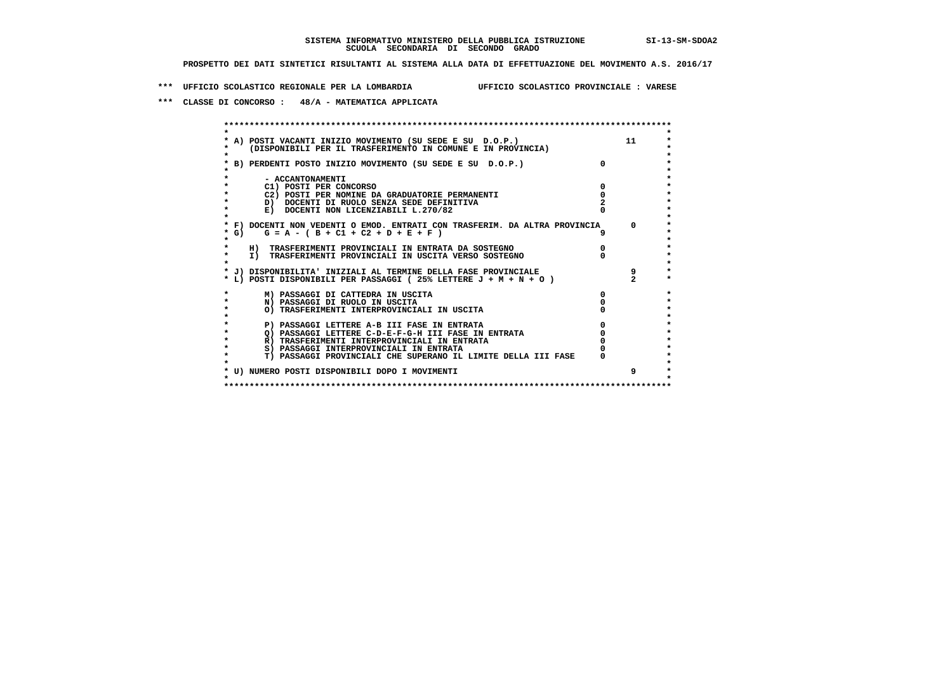**\*\*\* UFFICIO SCOLASTICO REGIONALE PER LA LOMBARDIA UFFICIO SCOLASTICO PROVINCIALE : VARESE**

 **\*\*\* CLASSE DI CONCORSO : 48/A - MATEMATICA APPLICATA**

|                                                                                                                                                                                                                                          | A) POSTI VACANTI INIZIO MOVIMENTO (SU SEDE E SU D.O.P.)<br>(DISPONIBILI PER IL TRASFERIMENTO IN COMUNE E IN PROVINCIA) |          | 11       |
|------------------------------------------------------------------------------------------------------------------------------------------------------------------------------------------------------------------------------------------|------------------------------------------------------------------------------------------------------------------------|----------|----------|
|                                                                                                                                                                                                                                          | B) PERDENTI POSTO INIZIO MOVIMENTO (SU SEDE E SU D.O.P.)                                                               | $\Omega$ |          |
|                                                                                                                                                                                                                                          | - ACCANTONAMENTI                                                                                                       |          |          |
|                                                                                                                                                                                                                                          | C1) POSTI PER CONCORSO                                                                                                 |          |          |
|                                                                                                                                                                                                                                          | C2) POSTI PER NOMINE DA GRADUATORIE PERMANENTI                                                                         |          |          |
|                                                                                                                                                                                                                                          | D) DOCENTI DI RUOLO SENZA SEDE DEFINITIVA                                                                              |          |          |
|                                                                                                                                                                                                                                          | E) DOCENTI NON LICENZIABILI L.270/82                                                                                   |          |          |
|                                                                                                                                                                                                                                          | * F) DOCENTI NON VEDENTI O EMOD. ENTRATI CON TRASFERIM. DA ALTRA PROVINCIA                                             |          | $\Omega$ |
| G) and the set of the set of the set of the set of the set of the set of the set of the set of the set of the<br>Set of the set of the set of the set of the set of the set of the set of the set of the set of the set of the<br>S<br>* | $G = A - (B + C1 + C2 + D + E + F)$                                                                                    |          |          |
|                                                                                                                                                                                                                                          | H) TRASFERIMENTI PROVINCIALI IN ENTRATA DA SOSTEGNO                                                                    |          |          |
|                                                                                                                                                                                                                                          | I) TRASFERIMENTI PROVINCIALI IN USCITA VERSO SOSTEGNO                                                                  |          |          |
|                                                                                                                                                                                                                                          | * J) DISPONIBILITA' INIZIALI AL TERMINE DELLA FASE PROVINCIALE                                                         |          | 9        |
|                                                                                                                                                                                                                                          | * L) POSTI DISPONIBILI PER PASSAGGI (25% LETTERE $J + M + N + O$ )                                                     |          |          |
|                                                                                                                                                                                                                                          | M) PASSAGGI DI CATTEDRA IN USCITA                                                                                      |          |          |
|                                                                                                                                                                                                                                          | N) PASSAGGI DI RUOLO IN USCITA                                                                                         |          |          |
|                                                                                                                                                                                                                                          | O) TRASFERIMENTI INTERPROVINCIALI IN USCITA                                                                            |          |          |
|                                                                                                                                                                                                                                          | P) PASSAGGI LETTERE A-B III FASE IN ENTRATA                                                                            |          |          |
|                                                                                                                                                                                                                                          | O) PASSAGGI LETTERE C-D-E-F-G-H III FASE IN ENTRATA                                                                    |          |          |
|                                                                                                                                                                                                                                          | R) TRASFERIMENTI INTERPROVINCIALI IN ENTRATA                                                                           |          |          |
|                                                                                                                                                                                                                                          | S) PASSAGGI INTERPROVINCIALI IN ENTRATA                                                                                |          |          |
|                                                                                                                                                                                                                                          | T) PASSAGGI PROVINCIALI CHE SUPERANO IL LIMITE DELLA III FASE                                                          |          |          |
|                                                                                                                                                                                                                                          | * U) NUMERO POSTI DISPONIBILI DOPO I MOVIMENTI                                                                         |          | 9        |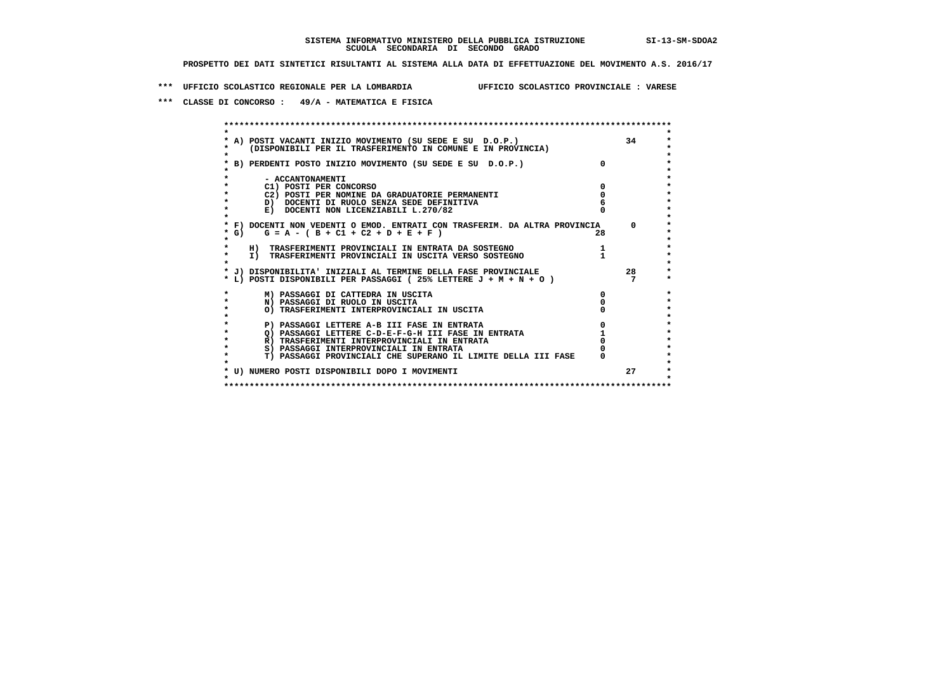**\*\*\* UFFICIO SCOLASTICO REGIONALE PER LA LOMBARDIA UFFICIO SCOLASTICO PROVINCIALE : VARESE**

 **\*\*\* CLASSE DI CONCORSO : 49/A - MATEMATICA E FISICA**

|        | A) POSTI VACANTI INIZIO MOVIMENTO (SU SEDE E SU D.O.P.)<br>(DISPONIBILI PER IL TRASFERIMENTO IN COMUNE E IN PROVINCIA) |              | 34       |
|--------|------------------------------------------------------------------------------------------------------------------------|--------------|----------|
|        | B) PERDENTI POSTO INIZIO MOVIMENTO (SU SEDE E SU D.O.P.)                                                               | $\mathsf{n}$ |          |
|        | - ACCANTONAMENTI                                                                                                       |              |          |
|        | C1) POSTI PER CONCORSO                                                                                                 |              |          |
|        | C2) POSTI PER NOMINE DA GRADUATORIE PERMANENTI                                                                         |              |          |
|        | D) DOCENTI DI RUOLO SENZA SEDE DEFINITIVA                                                                              |              |          |
|        | E) DOCENTI NON LICENZIABILI L.270/82                                                                                   |              |          |
|        | * F) DOCENTI NON VEDENTI O EMOD. ENTRATI CON TRASFERIM. DA ALTRA PROVINCIA                                             |              | $\Omega$ |
| $*$ G) | $G = A - (B + C1 + C2 + D + E + F)$                                                                                    | 28           |          |
|        | H) TRASFERIMENTI PROVINCIALI IN ENTRATA DA SOSTEGNO                                                                    |              |          |
| *      | I) TRASFERIMENTI PROVINCIALI IN USCITA VERSO SOSTEGNO                                                                  |              |          |
|        | * J) DISPONIBILITA' INIZIALI AL TERMINE DELLA FASE PROVINCIALE                                                         |              | 28       |
|        | * L) POSTI DISPONIBILI PER PASSAGGI (25% LETTERE $J + M + N + O$ )                                                     |              |          |
|        | M) PASSAGGI DI CATTEDRA IN USCITA                                                                                      | <sup>0</sup> |          |
|        | N) PASSAGGI DI RUOLO IN USCITA                                                                                         |              |          |
|        | O) TRASFERIMENTI INTERPROVINCIALI IN USCITA                                                                            |              |          |
|        | P) PASSAGGI LETTERE A-B III FASE IN ENTRATA                                                                            |              |          |
|        | O) PASSAGGI LETTERE C-D-E-F-G-H III FASE IN ENTRATA                                                                    |              |          |
|        | R) TRASFERIMENTI INTERPROVINCIALI IN ENTRATA                                                                           |              |          |
|        | S) PASSAGGI INTERPROVINCIALI IN ENTRATA                                                                                |              |          |
|        | T) PASSAGGI PROVINCIALI CHE SUPERANO IL LIMITE DELLA III FASE                                                          |              |          |
|        | * U) NUMERO POSTI DISPONIBILI DOPO I MOVIMENTI                                                                         |              | 27       |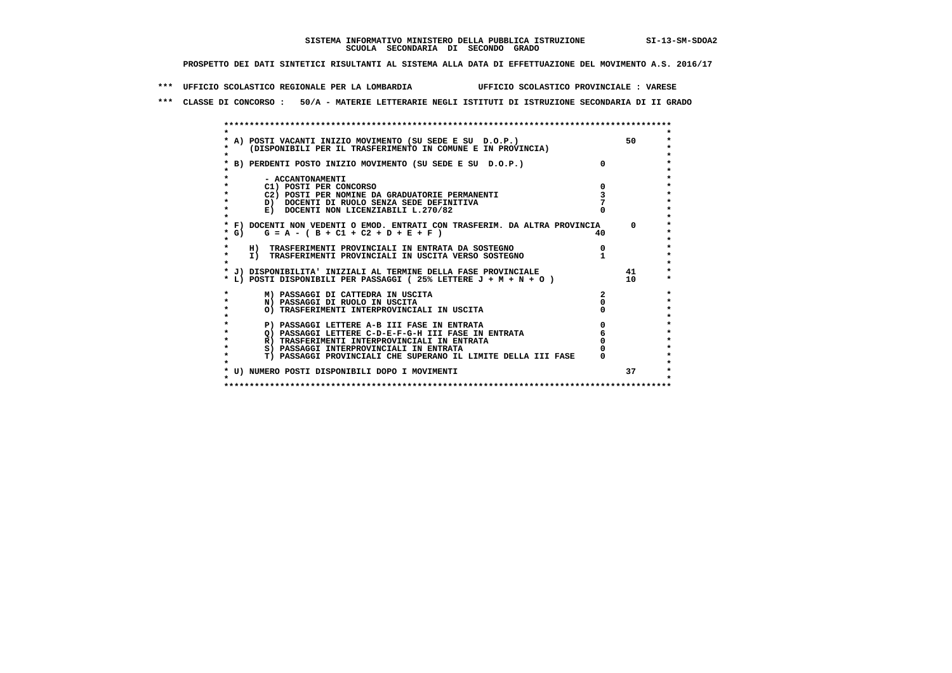**\*\*\* UFFICIO SCOLASTICO REGIONALE PER LA LOMBARDIA UFFICIO SCOLASTICO PROVINCIALE : VARESE**

 **\*\*\* CLASSE DI CONCORSO : 50/A - MATERIE LETTERARIE NEGLI ISTITUTI DI ISTRUZIONE SECONDARIA DI II GRADO**

|           | * A) POSTI VACANTI INIZIO MOVIMENTO (SU SEDE E SU D.O.P.)<br>(DISPONIBILI PER IL TRASFERIMENTO IN COMUNE E IN PROVINCIA) |     | 50         |
|-----------|--------------------------------------------------------------------------------------------------------------------------|-----|------------|
|           | * B) PERDENTI POSTO INIZIO MOVIMENTO (SU SEDE E SU D.O.P.)                                                               |     |            |
|           | - ACCANTONAMENTI                                                                                                         |     |            |
|           | C1) POSTI PER CONCORSO                                                                                                   | 0   |            |
|           |                                                                                                                          |     |            |
| $\bullet$ | C2) POSTI PER NOMINE DA GRADUATORIE PERMANENTI                                                                           |     |            |
|           | D) DOCENTI DI RUOLO SENZA SEDE DEFINITIVA                                                                                |     |            |
|           | E) DOCENTI NON LICENZIABILI L.270/82                                                                                     |     |            |
|           | * F) DOCENTI NON VEDENTI O EMOD. ENTRATI CON TRASFERIM. DA ALTRA PROVINCIA                                               |     | $^{\circ}$ |
| $*$ G)    | $G = A - (B + C1 + C2 + D + E + F)$                                                                                      | 40. |            |
| *         |                                                                                                                          |     |            |
| $\star$   | H) TRASFERIMENTI PROVINCIALI IN ENTRATA DA SOSTEGNO                                                                      | 0   |            |
| $\star$   | I) TRASFERIMENTI PROVINCIALI IN USCITA VERSO SOSTEGNO                                                                    |     |            |
|           |                                                                                                                          |     |            |
|           | * J) DISPONIBILITA' INIZIALI AL TERMINE DELLA FASE PROVINCIALE                                                           |     | 41         |
|           | * L) POSTI DISPONIBILI PER PASSAGGI (25% LETTERE J + M + N + O )                                                         |     | 10         |
|           |                                                                                                                          |     |            |
|           | M) PASSAGGI DI CATTEDRA IN USCITA                                                                                        |     |            |
| $\star$   | N) PASSAGGI DI RUOLO IN USCITA                                                                                           |     |            |
| $\star$   | O) TRASFERIMENTI INTERPROVINCIALI IN USCITA                                                                              |     |            |
|           |                                                                                                                          |     |            |
|           | P) PASSAGGI LETTERE A-B III FASE IN ENTRATA                                                                              |     |            |
|           | O) PASSAGGI LETTERE C-D-E-F-G-H III FASE IN ENTRATA                                                                      |     |            |
|           | R) TRASFERIMENTI INTERPROVINCIALI IN ENTRATA                                                                             |     |            |
| $\star$   | S) PASSAGGI INTERPROVINCIALI IN ENTRATA                                                                                  |     |            |
| $\star$   | T) PASSAGGI PROVINCIALI CHE SUPERANO IL LIMITE DELLA III FASE                                                            |     |            |
|           |                                                                                                                          |     |            |
|           |                                                                                                                          |     |            |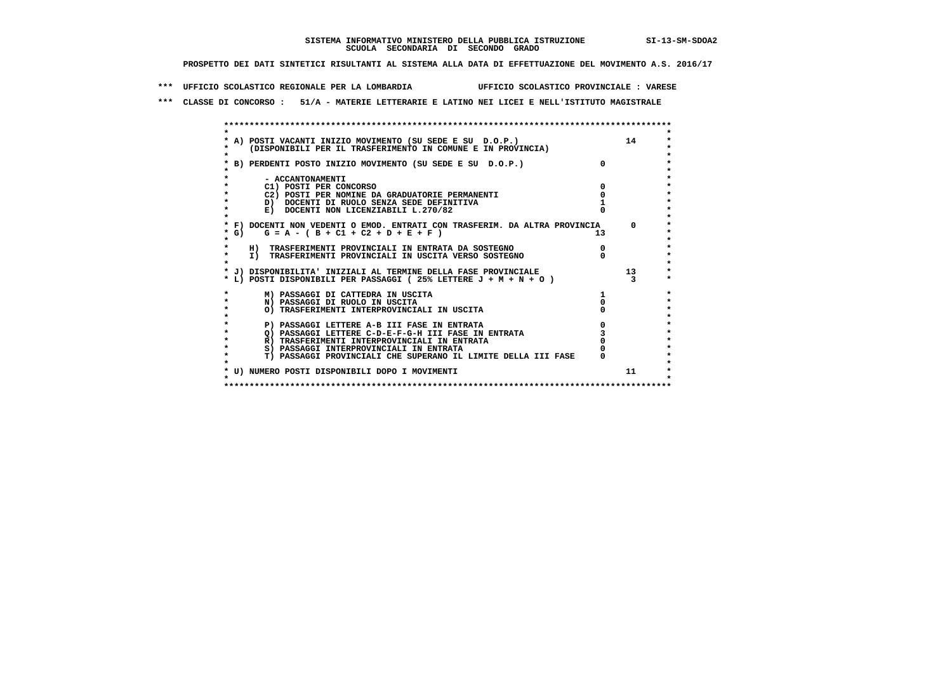**\*\*\* UFFICIO SCOLASTICO REGIONALE PER LA LOMBARDIA UFFICIO SCOLASTICO PROVINCIALE : VARESE**

 **\*\*\* CLASSE DI CONCORSO : 51/A - MATERIE LETTERARIE E LATINO NEI LICEI E NELL'ISTITUTO MAGISTRALE**

|      | * A) POSTI VACANTI INIZIO MOVIMENTO (SU SEDE E SU D.O.P.)                  |              | 14              |
|------|----------------------------------------------------------------------------|--------------|-----------------|
|      | (DISPONIBILI PER IL TRASFERIMENTO IN COMUNE E IN PROVINCIA)                |              |                 |
|      |                                                                            |              |                 |
|      | * B) PERDENTI POSTO INIZIO MOVIMENTO (SU SEDE E SU D.O.P.)                 | <sup>o</sup> |                 |
|      |                                                                            |              |                 |
|      | - ACCANTONAMENTI                                                           |              |                 |
|      | C1) POSTI PER CONCORSO                                                     |              |                 |
|      | C2) POSTI PER NOMINE DA GRADUATORIE PERMANENTI                             |              |                 |
|      | D) DOCENTI DI RUOLO SENZA SEDE DEFINITIVA                                  |              |                 |
|      | E) DOCENTI NON LICENZIABILI L.270/82                                       |              |                 |
|      |                                                                            |              |                 |
|      | * F) DOCENTI NON VEDENTI O EMOD. ENTRATI CON TRASFERIM. DA ALTRA PROVINCIA |              | $\Omega$        |
| * G) | $G = A - (B + C1 + C2 + D + E + F)$                                        | 13           |                 |
|      |                                                                            |              |                 |
|      | H) TRASFERIMENTI PROVINCIALI IN ENTRATA DA SOSTEGNO                        |              |                 |
|      | I) TRASFERIMENTI PROVINCIALI IN USCITA VERSO SOSTEGNO                      |              |                 |
|      |                                                                            |              |                 |
|      | * J) DISPONIBILITA' INIZIALI AL TERMINE DELLA FASE PROVINCIALE             |              | 13 <sup>7</sup> |
|      | * L) POSTI DISPONIBILI PER PASSAGGI (25% LETTERE $J + M + N + O$ )         |              |                 |
|      | M) PASSAGGI DI CATTEDRA IN USCITA                                          |              |                 |
|      | N) PASSAGGI DI RUOLO IN USCITA                                             |              |                 |
|      | O) TRASFERIMENTI INTERPROVINCIALI IN USCITA                                |              |                 |
|      |                                                                            |              |                 |
|      | P) PASSAGGI LETTERE A-B III FASE IN ENTRATA                                |              |                 |
|      | O) PASSAGGI LETTERE C-D-E-F-G-H III FASE IN ENTRATA                        |              |                 |
|      | R) TRASFERIMENTI INTERPROVINCIALI IN ENTRATA                               |              |                 |
|      | S) PASSAGGI INTERPROVINCIALI IN ENTRATA                                    |              |                 |
|      | T) PASSAGGI PROVINCIALI CHE SUPERANO IL LIMITE DELLA III FASE              |              |                 |
|      |                                                                            |              |                 |
|      | * U) NUMERO POSTI DISPONIBILI DOPO I MOVIMENTI                             |              | 11              |
|      |                                                                            |              |                 |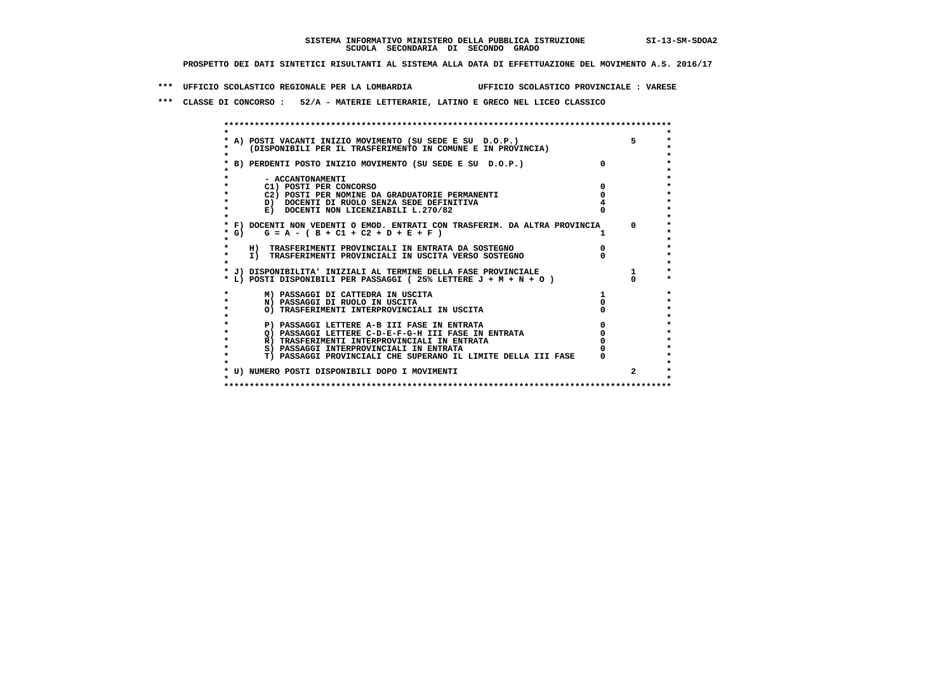**\*\*\* UFFICIO SCOLASTICO REGIONALE PER LA LOMBARDIA UFFICIO SCOLASTICO PROVINCIALE : VARESE**

 **\*\*\* CLASSE DI CONCORSO : 52/A - MATERIE LETTERARIE, LATINO E GRECO NEL LICEO CLASSICO**

|         | * A) POSTI VACANTI INIZIO MOVIMENTO (SU SEDE E SU D.O.P.)                  | 5.       |
|---------|----------------------------------------------------------------------------|----------|
|         | (DISPONIBILI PER IL TRASFERIMENTO IN COMUNE E IN PROVINCIA)                |          |
|         |                                                                            |          |
|         | * B) PERDENTI POSTO INIZIO MOVIMENTO (SU SEDE E SU D.O.P.)                 |          |
|         |                                                                            |          |
|         | - ACCANTONAMENTI                                                           |          |
|         | C1) POSTI PER CONCORSO                                                     |          |
|         | C2) POSTI PER NOMINE DA GRADUATORIE PERMANENTI                             |          |
|         | D) DOCENTI DI RUOLO SENZA SEDE DEFINITIVA                                  |          |
| $\star$ | E) DOCENTI NON LICENZIABILI L.270/82                                       |          |
|         |                                                                            |          |
|         | * F) DOCENTI NON VEDENTI O EMOD. ENTRATI CON TRASFERIM. DA ALTRA PROVINCIA | $\Omega$ |
| * G)    | $G = A - (B + C1 + C2 + D + E + F)$                                        |          |
|         |                                                                            |          |
|         | H) TRASFERIMENTI PROVINCIALI IN ENTRATA DA SOSTEGNO                        |          |
| $\star$ | I) TRASFERIMENTI PROVINCIALI IN USCITA VERSO SOSTEGNO                      |          |
|         |                                                                            |          |
|         | * J) DISPONIBILITA' INIZIALI AL TERMINE DELLA FASE PROVINCIALE             |          |
|         | * L) POSTI DISPONIBILI PER PASSAGGI (25% LETTERE J + M + N + O)            |          |
|         |                                                                            |          |
|         | M) PASSAGGI DI CATTEDRA IN USCITA                                          |          |
|         | N) PASSAGGI DI RUOLO IN USCITA                                             |          |
| $\star$ | O) TRASFERIMENTI INTERPROVINCIALI IN USCITA                                |          |
|         |                                                                            |          |
|         | P) PASSAGGI LETTERE A-B III FASE IN ENTRATA                                |          |
|         | O) PASSAGGI LETTERE C-D-E-F-G-H III FASE IN ENTRATA                        |          |
|         | R) TRASFERIMENTI INTERPROVINCIALI IN ENTRATA                               |          |
|         | S) PASSAGGI INTERPROVINCIALI IN ENTRATA                                    |          |
|         | T) PASSAGGI PROVINCIALI CHE SUPERANO IL LIMITE DELLA III FASE              |          |
|         |                                                                            |          |
|         | * U) NUMERO POSTI DISPONIBILI DOPO I MOVIMENTI                             | 2        |
|         |                                                                            |          |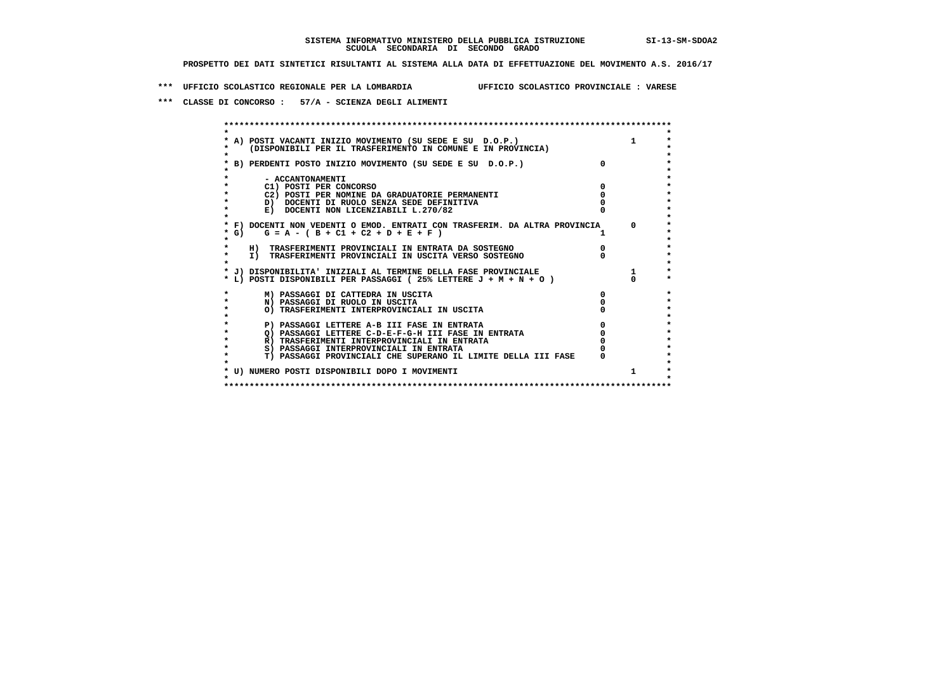**\*\*\* UFFICIO SCOLASTICO REGIONALE PER LA LOMBARDIA UFFICIO SCOLASTICO PROVINCIALE : VARESE**

 **\*\*\* CLASSE DI CONCORSO : 57/A - SCIENZA DEGLI ALIMENTI**

|         | A) POSTI VACANTI INIZIO MOVIMENTO (SU SEDE E SU D.O.P.)<br>(DISPONIBILI PER IL TRASFERIMENTO IN COMUNE E IN PROVINCIA) |   | $\mathbf{1}$ |
|---------|------------------------------------------------------------------------------------------------------------------------|---|--------------|
|         | B) PERDENTI POSTO INIZIO MOVIMENTO (SU SEDE E SU D.O.P.)                                                               |   |              |
|         | - ACCANTONAMENTI                                                                                                       |   |              |
|         | C1) POSTI PER CONCORSO                                                                                                 |   |              |
|         | C2) POSTI PER NOMINE DA GRADUATORIE PERMANENTI                                                                         |   |              |
|         | D) DOCENTI DI RUOLO SENZA SEDE DEFINITIVA                                                                              |   |              |
|         | E) DOCENTI NON LICENZIABILI L.270/82                                                                                   |   |              |
|         | * F) DOCENTI NON VEDENTI O EMOD. ENTRATI CON TRASFERIM. DA ALTRA PROVINCIA                                             |   | $^{\circ}$   |
| $*$ G)  | $G = A - (B + C1 + C2 + D + E + F)$                                                                                    |   |              |
|         | H) TRASFERIMENTI PROVINCIALI IN ENTRATA DA SOSTEGNO                                                                    |   |              |
| $\star$ | I) TRASFERIMENTI PROVINCIALI IN USCITA VERSO SOSTEGNO                                                                  |   |              |
|         | * J) DISPONIBILITA' INIZIALI AL TERMINE DELLA FASE PROVINCIALE                                                         |   | $\mathbf{1}$ |
|         | * L) POSTI DISPONIBILI PER PASSAGGI (25% LETTERE J + M + N + O)                                                        |   |              |
|         | M) PASSAGGI DI CATTEDRA IN USCITA                                                                                      | 0 |              |
|         | N) PASSAGGI DI RUOLO IN USCITA                                                                                         |   |              |
|         | O) TRASFERIMENTI INTERPROVINCIALI IN USCITA                                                                            |   |              |
|         | P) PASSAGGI LETTERE A-B III FASE IN ENTRATA                                                                            |   |              |
|         | O) PASSAGGI LETTERE C-D-E-F-G-H III FASE IN ENTRATA                                                                    |   |              |
|         | R) TRASFERIMENTI INTERPROVINCIALI IN ENTRATA                                                                           |   |              |
|         | S) PASSAGGI INTERPROVINCIALI IN ENTRATA                                                                                |   |              |
|         | T) PASSAGGI PROVINCIALI CHE SUPERANO IL LIMITE DELLA III FASE                                                          |   |              |
|         |                                                                                                                        |   | 1            |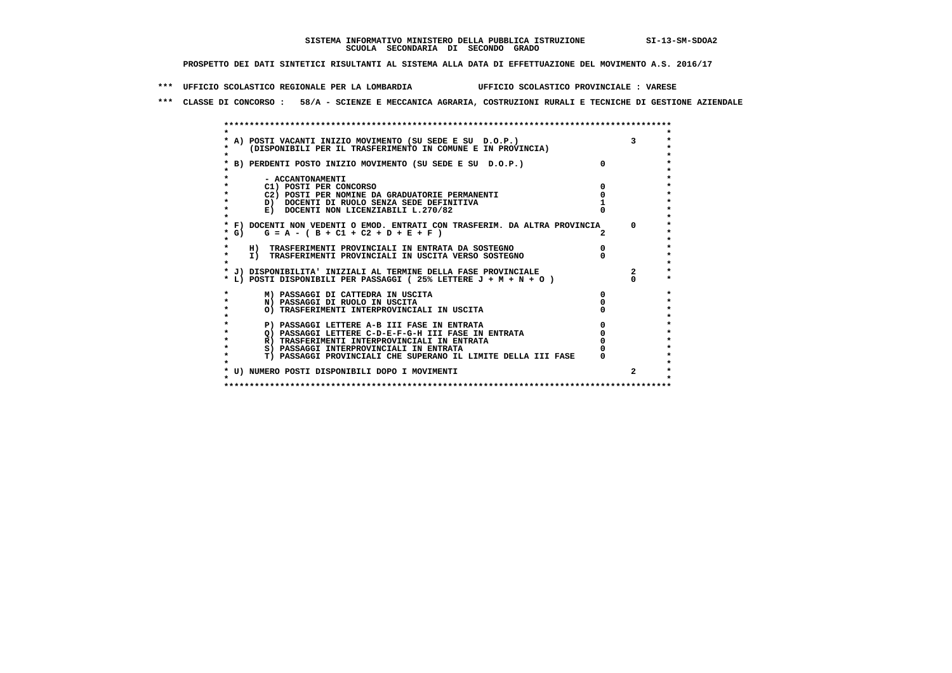**\*\*\* UFFICIO SCOLASTICO REGIONALE PER LA LOMBARDIA UFFICIO SCOLASTICO PROVINCIALE : VARESE**

 **\*\*\* CLASSE DI CONCORSO : 58/A - SCIENZE E MECCANICA AGRARIA, COSTRUZIONI RURALI E TECNICHE DI GESTIONE AZIENDALE**

|              | * A) POSTI VACANTI INIZIO MOVIMENTO (SU SEDE E SU D.O.P.)                  |          |
|--------------|----------------------------------------------------------------------------|----------|
|              | (DISPONIBILI PER IL TRASFERIMENTO IN COMUNE E IN PROVINCIA)                |          |
|              | * B) PERDENTI POSTO INIZIO MOVIMENTO (SU SEDE E SU D.O.P.)                 |          |
|              |                                                                            |          |
|              | - ACCANTONAMENTI                                                           |          |
|              | C1) POSTI PER CONCORSO                                                     |          |
|              | C2) POSTI PER NOMINE DA GRADUATORIE PERMANENTI                             |          |
| $\star$      | D) DOCENTI DI RUOLO SENZA SEDE DEFINITIVA                                  |          |
| $\star$      | E) DOCENTI NON LICENZIABILI L.270/82                                       |          |
|              |                                                                            |          |
|              | * F) DOCENTI NON VEDENTI O EMOD. ENTRATI CON TRASFERIM. DA ALTRA PROVINCIA | $\Omega$ |
| $*$ G)       | $G = A - (B + C1 + C2 + D + E + F)$                                        |          |
|              |                                                                            |          |
|              | H) TRASFERIMENTI PROVINCIALI IN ENTRATA DA SOSTEGNO                        |          |
| $\star$      | I) TRASFERIMENTI PROVINCIALI IN USCITA VERSO SOSTEGNO                      |          |
|              |                                                                            |          |
|              | * J) DISPONIBILITA' INIZIALI AL TERMINE DELLA FASE PROVINCIALE             |          |
|              | * L) POSTI DISPONIBILI PER PASSAGGI (25% LETTERE J + M + N + O )           |          |
|              | M) PASSAGGI DI CATTEDRA IN USCITA                                          |          |
| $\star$      | N) PASSAGGI DI RUOLO IN USCITA                                             |          |
| $\mathbf{r}$ | O) TRASFERIMENTI INTERPROVINCIALI IN USCITA                                |          |
|              |                                                                            |          |
| $\star$      | P) PASSAGGI LETTERE A-B III FASE IN ENTRATA                                |          |
|              | Q) PASSAGGI LETTERE C-D-E-F-G-H III FASE IN ENTRATA                        |          |
|              | R) TRASFERIMENTI INTERPROVINCIALI IN ENTRATA                               |          |
| $\star$      | S) PASSAGGI INTERPROVINCIALI IN ENTRATA                                    |          |
| $\cdot$      | T) PASSAGGI PROVINCIALI CHE SUPERANO IL LIMITE DELLA III FASE              |          |
|              | * U) NUMERO POSTI DISPONIBILI DOPO I MOVIMENTI                             |          |
|              |                                                                            |          |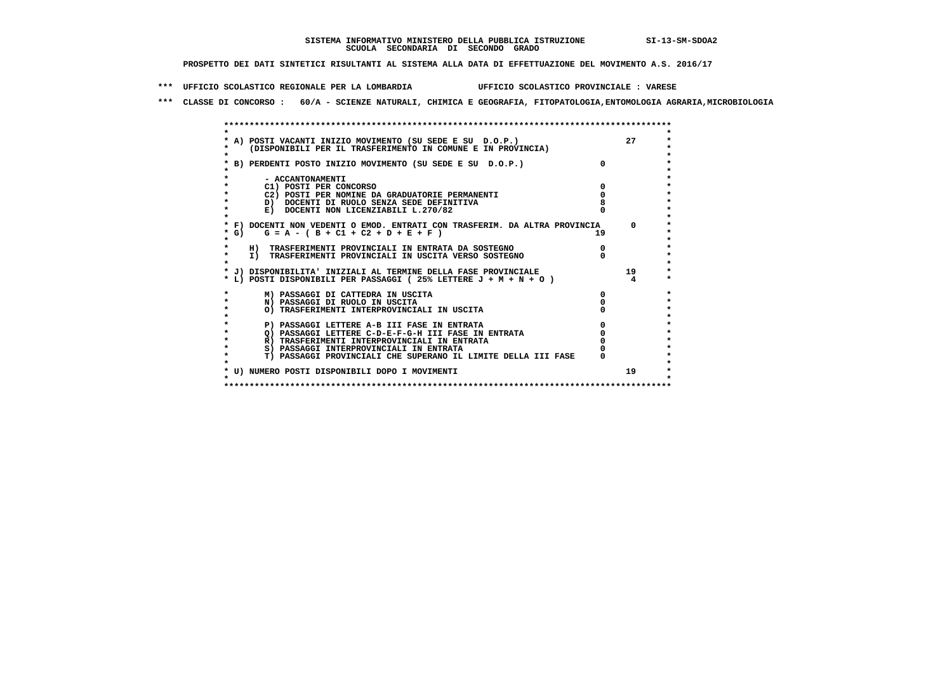**\*\*\* UFFICIO SCOLASTICO REGIONALE PER LA LOMBARDIA UFFICIO SCOLASTICO PROVINCIALE : VARESE**

 **\*\*\* CLASSE DI CONCORSO : 60/A - SCIENZE NATURALI, CHIMICA E GEOGRAFIA, FITOPATOLOGIA,ENTOMOLOGIA AGRARIA,MICROBIOLOGIA**

| A) POSTI VACANTI INIZIO MOVIMENTO (SU SEDE E SU D.O.P.)<br>(DISPONIBILI PER IL TRASFERIMENTO IN COMUNE E IN PROVINCIA) |    | 27       |
|------------------------------------------------------------------------------------------------------------------------|----|----------|
| B) PERDENTI POSTO INIZIO MOVIMENTO (SU SEDE E SU D.O.P.)                                                               |    |          |
| - ACCANTONAMENTI                                                                                                       |    |          |
| C1) POSTI PER CONCORSO                                                                                                 |    |          |
| C2) POSTI PER NOMINE DA GRADUATORIE PERMANENTI                                                                         |    |          |
| D) DOCENTI DI RUOLO SENZA SEDE DEFINITIVA                                                                              |    |          |
| E) DOCENTI NON LICENZIABILI L.270/82                                                                                   |    |          |
| * F) DOCENTI NON VEDENTI O EMOD. ENTRATI CON TRASFERIM. DA ALTRA PROVINCIA                                             |    | $\Omega$ |
| * G) $G = A - (B + C1 + C2 + D + E + F)$                                                                               | 19 |          |
|                                                                                                                        |    |          |
| H) TRASFERIMENTI PROVINCIALI IN ENTRATA DA SOSTEGNO                                                                    |    |          |
| I) TRASFERIMENTI PROVINCIALI IN USCITA VERSO SOSTEGNO                                                                  |    |          |
|                                                                                                                        |    |          |
| * J) DISPONIBILITA' INIZIALI AL TERMINE DELLA FASE PROVINCIALE                                                         |    | 19       |
| * L) POSTI DISPONIBILI PER PASSAGGI (25% LETTERE J + M + N + O)                                                        |    |          |
| M) PASSAGGI DI CATTEDRA IN USCITA                                                                                      |    |          |
| N) PASSAGGI DI RUOLO IN USCITA                                                                                         |    |          |
| O) TRASFERIMENTI INTERPROVINCIALI IN USCITA                                                                            |    |          |
|                                                                                                                        |    |          |
| P) PASSAGGI LETTERE A-B III FASE IN ENTRATA                                                                            |    |          |
| O) PASSAGGI LETTERE C-D-E-F-G-H III FASE IN ENTRATA                                                                    |    |          |
| R) TRASFERIMENTI INTERPROVINCIALI IN ENTRATA                                                                           |    |          |
| S) PASSAGGI INTERPROVINCIALI IN ENTRATA                                                                                |    |          |
| T) PASSAGGI PROVINCIALI CHE SUPERANO IL LIMITE DELLA III FASE                                                          |    |          |
| * U) NUMERO POSTI DISPONIBILI DOPO I MOVIMENTI                                                                         |    | 19       |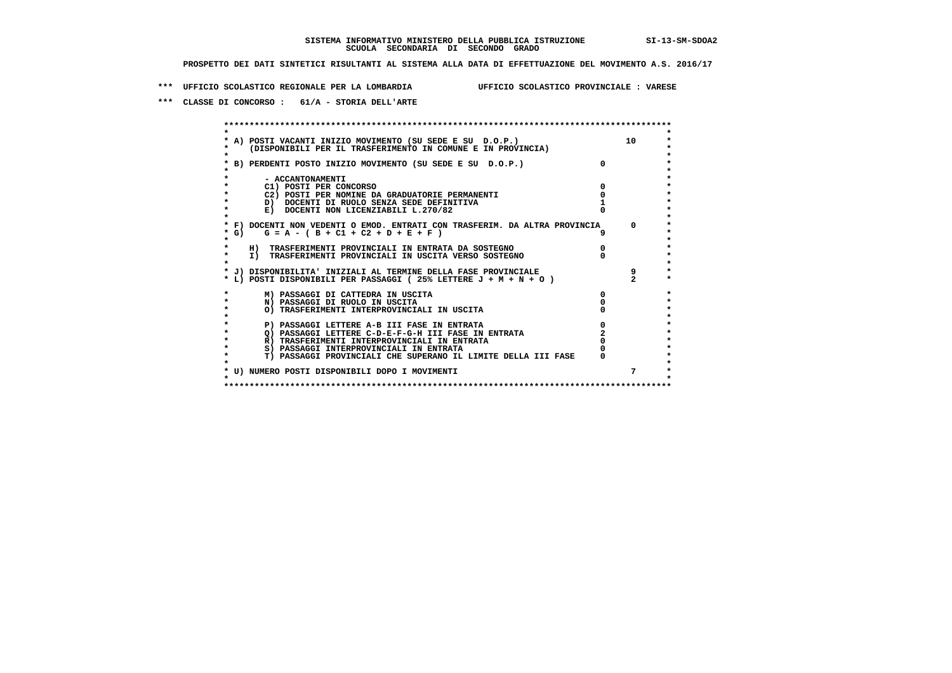**\*\*\* UFFICIO SCOLASTICO REGIONALE PER LA LOMBARDIA UFFICIO SCOLASTICO PROVINCIALE : VARESE**

 **\*\*\* CLASSE DI CONCORSO : 61/A - STORIA DELL'ARTE**

 **\*\*\*\*\*\*\*\*\*\*\*\*\*\*\*\*\*\*\*\*\*\*\*\*\*\*\*\*\*\*\*\*\*\*\*\*\*\*\*\*\*\*\*\*\*\*\*\*\*\*\*\*\*\*\*\*\*\*\*\*\*\*\*\*\*\*\*\*\*\*\*\*\*\*\*\*\*\*\*\*\*\*\*\*\*\*\*\* \* \*** $\ddot{\phantom{1}}$  **\* A) POSTI VACANTI INIZIO MOVIMENTO (SU SEDE E SU D.O.P.) 10 \*** $\star$  **\* (DISPONIBILI PER IL TRASFERIMENTO IN COMUNE E IN PROVINCIA) \*** $\bullet$  **\* \* \* B) PERDENTI POSTO INIZIO MOVIMENTO (SU SEDE E SU D.O.P.) 0 \* \* \* \* - ACCANTONAMENTI \* \* C1) POSTI PER CONCORSO 0 \* \* C2) POSTI PER NOMINE DA GRADUATORIE PERMANENTI 0 \* \* D) DOCENTI DI RUOLO SENZA SEDE DEFINITIVA 1 \*E) DOCENTI NON LICENZIABILI L.270/82 \* \* \* F) DOCENTI NON VEDENTI O EMOD. ENTRATI CON TRASFERIM. DA ALTRA PROVINCIA 0 \* \* G) G = A - ( B + C1 + C2 + D + E + F ) 9 \* \* \*** $\bullet$  **\* H) TRASFERIMENTI PROVINCIALI IN ENTRATA DA SOSTEGNO 0 \* \* I) TRASFERIMENTI PROVINCIALI IN USCITA VERSO SOSTEGNO 0 \* \* \* \* J) DISPONIBILITA' INIZIALI AL TERMINE DELLA FASE PROVINCIALE 9 \* \* L) POSTI DISPONIBILI PER PASSAGGI ( 25% LETTERE J + M + N + O ) 2 \* \* M) PASSAGGI DI CATTEDRA IN USCITA 0 \* \* N) PASSAGGI DI RUOLO IN USCITA 0 \*** $\star$  **\* O) TRASFERIMENTI INTERPROVINCIALI IN USCITA 0 \* \* \* \* P) PASSAGGI LETTERE A-B III FASE IN ENTRATA 0 \*** $\star$  **\* Q) PASSAGGI LETTERE C-D-E-F-G-H III FASE IN ENTRATA 2 \*R) TRASFERIMENTI INTERPROVINCIALI IN ENTRATA** 0<br> **8) PASSAGGI INTERPROVINCIALI IN ENTRATA** 0 **\*** S) PASSAGGI INTERPROVINCIALI IN ENTRATA  $\ddot{\bullet}$  **\* T) PASSAGGI PROVINCIALI CHE SUPERANO IL LIMITE DELLA III FASE 0 \*** $\star$  **\* \* \* U) NUMERO POSTI DISPONIBILI DOPO I MOVIMENTI 7 \* \* \* \*\*\*\*\*\*\*\*\*\*\*\*\*\*\*\*\*\*\*\*\*\*\*\*\*\*\*\*\*\*\*\*\*\*\*\*\*\*\*\*\*\*\*\*\*\*\*\*\*\*\*\*\*\*\*\*\*\*\*\*\*\*\*\*\*\*\*\*\*\*\*\*\*\*\*\*\*\*\*\*\*\*\*\*\*\*\*\***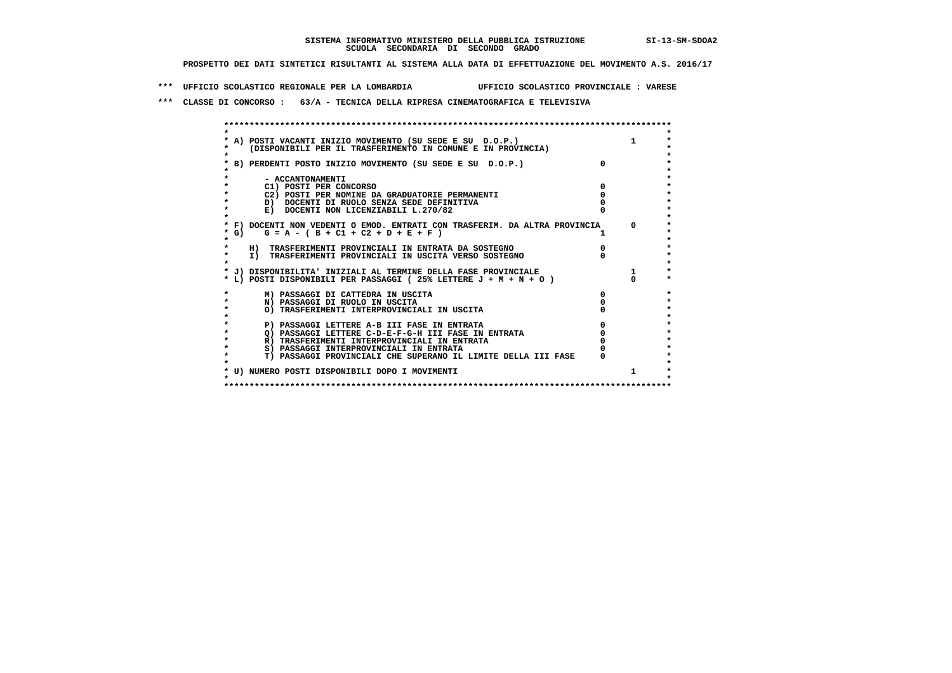**\*\*\* UFFICIO SCOLASTICO REGIONALE PER LA LOMBARDIA UFFICIO SCOLASTICO PROVINCIALE : VARESE**

 **\*\*\* CLASSE DI CONCORSO : 63/A - TECNICA DELLA RIPRESA CINEMATOGRAFICA E TELEVISIVA**

|         | * A) POSTI VACANTI INIZIO MOVIMENTO (SU SEDE E SU D.O.P.)                  |              |              |
|---------|----------------------------------------------------------------------------|--------------|--------------|
|         | (DISPONIBILI PER IL TRASFERIMENTO IN COMUNE E IN PROVINCIA)                |              |              |
|         |                                                                            |              |              |
|         | * B) PERDENTI POSTO INIZIO MOVIMENTO (SU SEDE E SU D.O.P.)                 |              |              |
|         |                                                                            |              |              |
|         | - ACCANTONAMENTI                                                           |              |              |
|         | C1) POSTI PER CONCORSO                                                     |              |              |
|         | C2) POSTI PER NOMINE DA GRADUATORIE PERMANENTI                             |              |              |
|         | D) DOCENTI DI RUOLO SENZA SEDE DEFINITIVA                                  |              |              |
| *       | E) DOCENTI NON LICENZIABILI L.270/82                                       |              |              |
|         |                                                                            |              |              |
|         | * F) DOCENTI NON VEDENTI O EMOD. ENTRATI CON TRASFERIM. DA ALTRA PROVINCIA |              | $\Omega$     |
| $*$ G)  | $G = A - (B + C1 + C2 + D + E + F)$                                        |              |              |
|         |                                                                            |              |              |
|         | H) TRASFERIMENTI PROVINCIALI IN ENTRATA DA SOSTEGNO                        |              |              |
| $\star$ | I) TRASFERIMENTI PROVINCIALI IN USCITA VERSO SOSTEGNO                      |              |              |
|         |                                                                            |              |              |
|         | * J) DISPONIBILITA' INIZIALI AL TERMINE DELLA FASE PROVINCIALE             |              |              |
|         | * L) POSTI DISPONIBILI PER PASSAGGI (25% LETTERE J + M + N + O)            |              |              |
|         |                                                                            |              |              |
|         | M) PASSAGGI DI CATTEDRA IN USCITA                                          | <sup>0</sup> |              |
| *       | N) PASSAGGI DI RUOLO IN USCITA                                             |              |              |
| $\star$ | O) TRASFERIMENTI INTERPROVINCIALI IN USCITA                                |              |              |
|         |                                                                            |              |              |
|         | P) PASSAGGI LETTERE A-B III FASE IN ENTRATA                                |              |              |
|         | O) PASSAGGI LETTERE C-D-E-F-G-H III FASE IN ENTRATA                        |              |              |
|         | R) TRASFERIMENTI INTERPROVINCIALI IN ENTRATA                               |              |              |
|         | S) PASSAGGI INTERPROVINCIALI IN ENTRATA                                    |              |              |
|         | T) PASSAGGI PROVINCIALI CHE SUPERANO IL LIMITE DELLA III FASE              |              |              |
|         |                                                                            |              |              |
|         | * U) NUMERO POSTI DISPONIBILI DOPO I MOVIMENTI                             |              | $\mathbf{1}$ |
|         |                                                                            |              |              |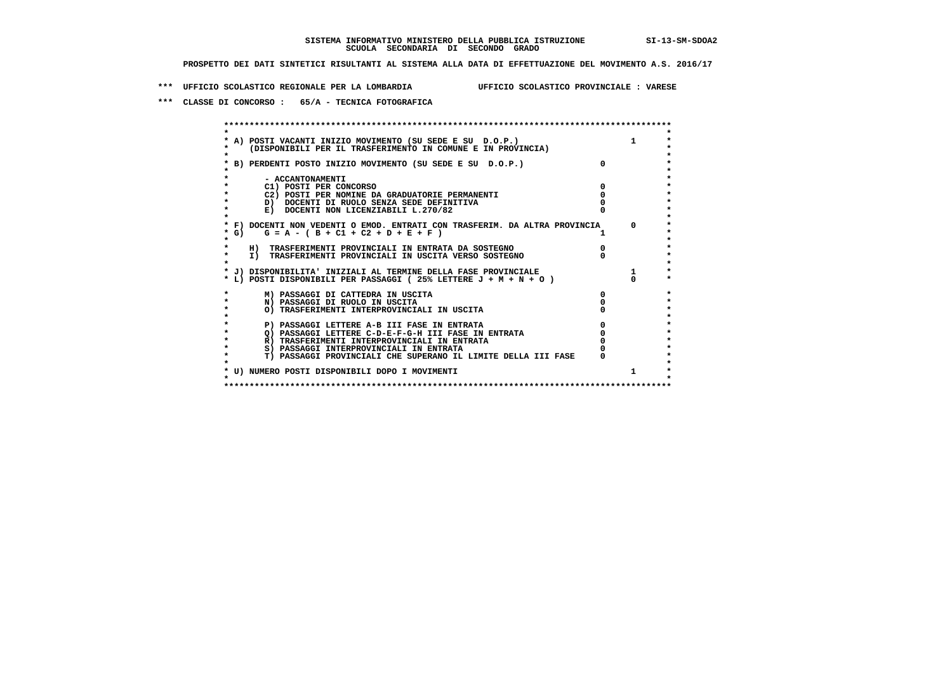**\*\*\* UFFICIO SCOLASTICO REGIONALE PER LA LOMBARDIA UFFICIO SCOLASTICO PROVINCIALE : VARESE**

 **\*\*\* CLASSE DI CONCORSO : 65/A - TECNICA FOTOGRAFICA**

|                                                                                                                                                                                                                                          | A) POSTI VACANTI INIZIO MOVIMENTO (SU SEDE E SU D.O.P.)<br>(DISPONIBILI PER IL TRASFERIMENTO IN COMUNE E IN PROVINCIA) |              |          |
|------------------------------------------------------------------------------------------------------------------------------------------------------------------------------------------------------------------------------------------|------------------------------------------------------------------------------------------------------------------------|--------------|----------|
|                                                                                                                                                                                                                                          | B) PERDENTI POSTO INIZIO MOVIMENTO (SU SEDE E SU D.O.P.)                                                               | $\mathsf{n}$ |          |
|                                                                                                                                                                                                                                          | - ACCANTONAMENTI                                                                                                       |              |          |
|                                                                                                                                                                                                                                          | C1) POSTI PER CONCORSO                                                                                                 |              |          |
|                                                                                                                                                                                                                                          | C2) POSTI PER NOMINE DA GRADUATORIE PERMANENTI                                                                         |              |          |
|                                                                                                                                                                                                                                          | D) DOCENTI DI RUOLO SENZA SEDE DEFINITIVA                                                                              |              |          |
|                                                                                                                                                                                                                                          | E) DOCENTI NON LICENZIABILI L.270/82                                                                                   |              |          |
|                                                                                                                                                                                                                                          | * F) DOCENTI NON VEDENTI O EMOD. ENTRATI CON TRASFERIM. DA ALTRA PROVINCIA                                             |              | $\Omega$ |
| G) and the set of the set of the set of the set of the set of the set of the set of the set of the set of the<br>Set of the set of the set of the set of the set of the set of the set of the set of the set of the set of the<br>S<br>* | $G = A - (B + C1 + C2 + D + E + F)$                                                                                    |              |          |
|                                                                                                                                                                                                                                          | H) TRASFERIMENTI PROVINCIALI IN ENTRATA DA SOSTEGNO                                                                    |              |          |
|                                                                                                                                                                                                                                          | I) TRASFERIMENTI PROVINCIALI IN USCITA VERSO SOSTEGNO                                                                  |              |          |
|                                                                                                                                                                                                                                          | * J) DISPONIBILITA' INIZIALI AL TERMINE DELLA FASE PROVINCIALE                                                         |              |          |
|                                                                                                                                                                                                                                          | * L) POSTI DISPONIBILI PER PASSAGGI (25% LETTERE $J + M + N + O$ )                                                     |              |          |
|                                                                                                                                                                                                                                          | M) PASSAGGI DI CATTEDRA IN USCITA                                                                                      |              |          |
|                                                                                                                                                                                                                                          | N) PASSAGGI DI RUOLO IN USCITA                                                                                         |              |          |
|                                                                                                                                                                                                                                          | O) TRASFERIMENTI INTERPROVINCIALI IN USCITA                                                                            |              |          |
|                                                                                                                                                                                                                                          | P) PASSAGGI LETTERE A-B III FASE IN ENTRATA                                                                            |              |          |
|                                                                                                                                                                                                                                          | O) PASSAGGI LETTERE C-D-E-F-G-H III FASE IN ENTRATA                                                                    |              |          |
|                                                                                                                                                                                                                                          | R) TRASFERIMENTI INTERPROVINCIALI IN ENTRATA                                                                           |              |          |
|                                                                                                                                                                                                                                          | S) PASSAGGI INTERPROVINCIALI IN ENTRATA                                                                                |              |          |
|                                                                                                                                                                                                                                          | T) PASSAGGI PROVINCIALI CHE SUPERANO IL LIMITE DELLA III FASE                                                          |              |          |
|                                                                                                                                                                                                                                          | * U) NUMERO POSTI DISPONIBILI DOPO I MOVIMENTI                                                                         |              |          |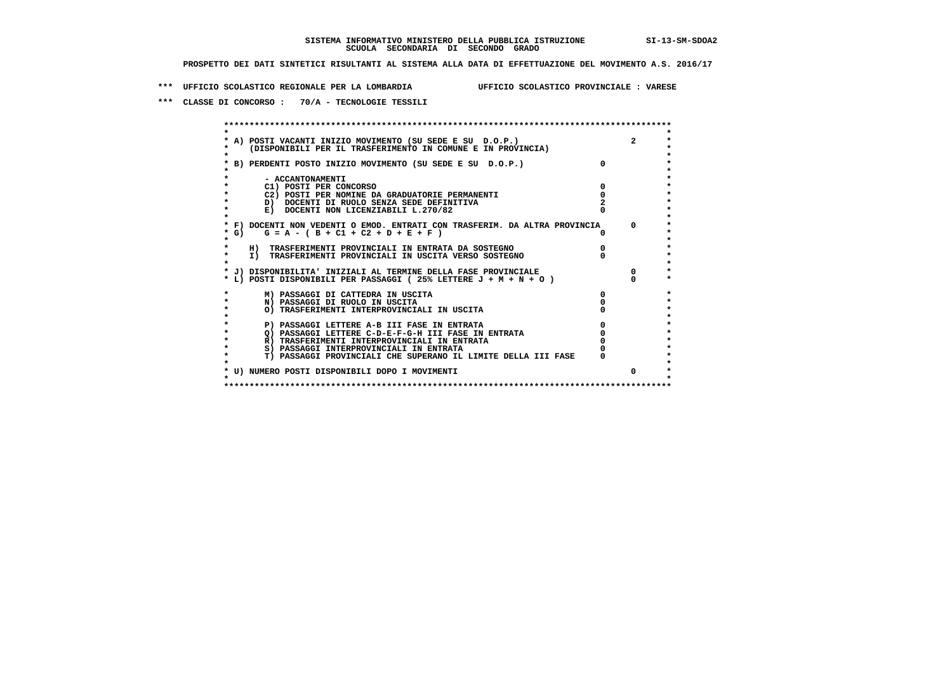**\*\*\* UFFICIO SCOLASTICO REGIONALE PER LA LOMBARDIA UFFICIO SCOLASTICO PROVINCIALE : VARESE**

 **\*\*\* CLASSE DI CONCORSO : 70/A - TECNOLOGIE TESSILI**

|                                                                                                                                                                                                                                          | A) POSTI VACANTI INIZIO MOVIMENTO (SU SEDE E SU D.O.P.)<br>(DISPONIBILI PER IL TRASFERIMENTO IN COMUNE E IN PROVINCIA) |          | $\overline{2}$ |
|------------------------------------------------------------------------------------------------------------------------------------------------------------------------------------------------------------------------------------------|------------------------------------------------------------------------------------------------------------------------|----------|----------------|
|                                                                                                                                                                                                                                          | B) PERDENTI POSTO INIZIO MOVIMENTO (SU SEDE E SU D.O.P.)                                                               | $\Omega$ |                |
|                                                                                                                                                                                                                                          | - ACCANTONAMENTI                                                                                                       |          |                |
|                                                                                                                                                                                                                                          | C1) POSTI PER CONCORSO                                                                                                 |          |                |
|                                                                                                                                                                                                                                          | C2) POSTI PER NOMINE DA GRADUATORIE PERMANENTI                                                                         |          |                |
|                                                                                                                                                                                                                                          | D) DOCENTI DI RUOLO SENZA SEDE DEFINITIVA                                                                              |          |                |
|                                                                                                                                                                                                                                          | E) DOCENTI NON LICENZIABILI L.270/82                                                                                   |          |                |
|                                                                                                                                                                                                                                          | * F) DOCENTI NON VEDENTI O EMOD. ENTRATI CON TRASFERIM. DA ALTRA PROVINCIA                                             |          | $\Omega$       |
| G) and the set of the set of the set of the set of the set of the set of the set of the set of the set of the<br>Set of the set of the set of the set of the set of the set of the set of the set of the set of the set of the<br>S<br>* | $G = A - (B + C1 + C2 + D + E + F)$                                                                                    |          |                |
|                                                                                                                                                                                                                                          | H) TRASFERIMENTI PROVINCIALI IN ENTRATA DA SOSTEGNO                                                                    |          |                |
|                                                                                                                                                                                                                                          | I) TRASFERIMENTI PROVINCIALI IN USCITA VERSO SOSTEGNO                                                                  |          |                |
|                                                                                                                                                                                                                                          | * J) DISPONIBILITA' INIZIALI AL TERMINE DELLA FASE PROVINCIALE                                                         |          | 0              |
|                                                                                                                                                                                                                                          | * L) POSTI DISPONIBILI PER PASSAGGI (25% LETTERE $J + M + N + O$ )                                                     |          |                |
|                                                                                                                                                                                                                                          | M) PASSAGGI DI CATTEDRA IN USCITA                                                                                      |          |                |
|                                                                                                                                                                                                                                          | N) PASSAGGI DI RUOLO IN USCITA                                                                                         |          |                |
|                                                                                                                                                                                                                                          | O) TRASFERIMENTI INTERPROVINCIALI IN USCITA                                                                            |          |                |
|                                                                                                                                                                                                                                          | P) PASSAGGI LETTERE A-B III FASE IN ENTRATA                                                                            |          |                |
|                                                                                                                                                                                                                                          | O) PASSAGGI LETTERE C-D-E-F-G-H III FASE IN ENTRATA                                                                    |          |                |
|                                                                                                                                                                                                                                          | R) TRASFERIMENTI INTERPROVINCIALI IN ENTRATA                                                                           |          |                |
|                                                                                                                                                                                                                                          | S) PASSAGGI INTERPROVINCIALI IN ENTRATA                                                                                |          |                |
|                                                                                                                                                                                                                                          | T) PASSAGGI PROVINCIALI CHE SUPERANO IL LIMITE DELLA III FASE                                                          |          |                |
|                                                                                                                                                                                                                                          | * U) NUMERO POSTI DISPONIBILI DOPO I MOVIMENTI                                                                         |          | $\Omega$       |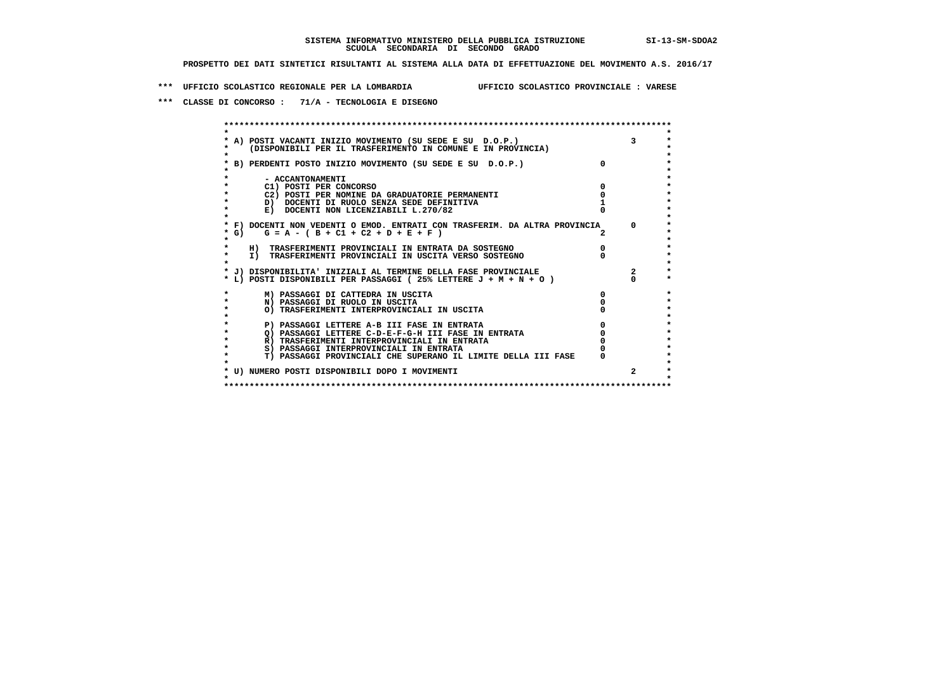**\*\*\* UFFICIO SCOLASTICO REGIONALE PER LA LOMBARDIA UFFICIO SCOLASTICO PROVINCIALE : VARESE**

 **\*\*\* CLASSE DI CONCORSO : 71/A - TECNOLOGIA E DISEGNO**

 **\*\*\*\*\*\*\*\*\*\*\*\*\*\*\*\*\*\*\*\*\*\*\*\*\*\*\*\*\*\*\*\*\*\*\*\*\*\*\*\*\*\*\*\*\*\*\*\*\*\*\*\*\*\*\*\*\*\*\*\*\*\*\*\*\*\*\*\*\*\*\*\*\*\*\*\*\*\*\*\*\*\*\*\*\*\*\*\* \* \*** $\ddot{\phantom{0}}$  **\* A) POSTI VACANTI INIZIO MOVIMENTO (SU SEDE E SU D.O.P.) 3 \*** $\star$  **\* (DISPONIBILI PER IL TRASFERIMENTO IN COMUNE E IN PROVINCIA) \*** $\bullet$  **\* \* \* B) PERDENTI POSTO INIZIO MOVIMENTO (SU SEDE E SU D.O.P.) 0 \* \* \* \* - ACCANTONAMENTI \* \* C1) POSTI PER CONCORSO 0 \* \* C2) POSTI PER NOMINE DA GRADUATORIE PERMANENTI 0 \* \* D) DOCENTI DI RUOLO SENZA SEDE DEFINITIVA 1 \*E)** DOCENTI NON LICENZIABILI L.270/82  **\* \* \* F) DOCENTI NON VEDENTI O EMOD. ENTRATI CON TRASFERIM. DA ALTRA PROVINCIA 0 \* \* G) G = A - ( B + C1 + C2 + D + E + F ) 2 \* \* \*** $\bullet$  **\* H) TRASFERIMENTI PROVINCIALI IN ENTRATA DA SOSTEGNO 0 \* \* I) TRASFERIMENTI PROVINCIALI IN USCITA VERSO SOSTEGNO 0 \* \* \* \* J) DISPONIBILITA' INIZIALI AL TERMINE DELLA FASE PROVINCIALE 2 \*** $\ddot{\bullet}$  **\* L) POSTI DISPONIBILI PER PASSAGGI ( 25% LETTERE J + M + N + O ) 0 \* \* M) PASSAGGI DI CATTEDRA IN USCITA 0 \* \* N) PASSAGGI DI RUOLO IN USCITA 0 \*** $\star$  **\* O) TRASFERIMENTI INTERPROVINCIALI IN USCITA 0 \* \* \*** $\star$ P) PASSAGGI LETTERE A-B III FASE IN ENTRATA **0**<br>Q) PASSAGGI LETTERE C-D-E-F-G-H III FASE IN ENTRATA **0** <sup>0</sup>  $\star$  **\* Q) PASSAGGI LETTERE C-D-E-F-G-H III FASE IN ENTRATA 0 \*R) TRASFERIMENTI INTERPROVINCIALI IN ENTRATA** 0<br> **S)** PASSAGGI INTERPROVINCIALI IN ENTRATA 0 **\*** S) PASSAGGI INTERPROVINCIALI IN ENTRATA  $\bullet$  **\* T) PASSAGGI PROVINCIALI CHE SUPERANO IL LIMITE DELLA III FASE 0 \*** $\star$  **\* \* \* U) NUMERO POSTI DISPONIBILI DOPO I MOVIMENTI 2 \* \* \* \*\*\*\*\*\*\*\*\*\*\*\*\*\*\*\*\*\*\*\*\*\*\*\*\*\*\*\*\*\*\*\*\*\*\*\*\*\*\*\*\*\*\*\*\*\*\*\*\*\*\*\*\*\*\*\*\*\*\*\*\*\*\*\*\*\*\*\*\*\*\*\*\*\*\*\*\*\*\*\*\*\*\*\*\*\*\*\***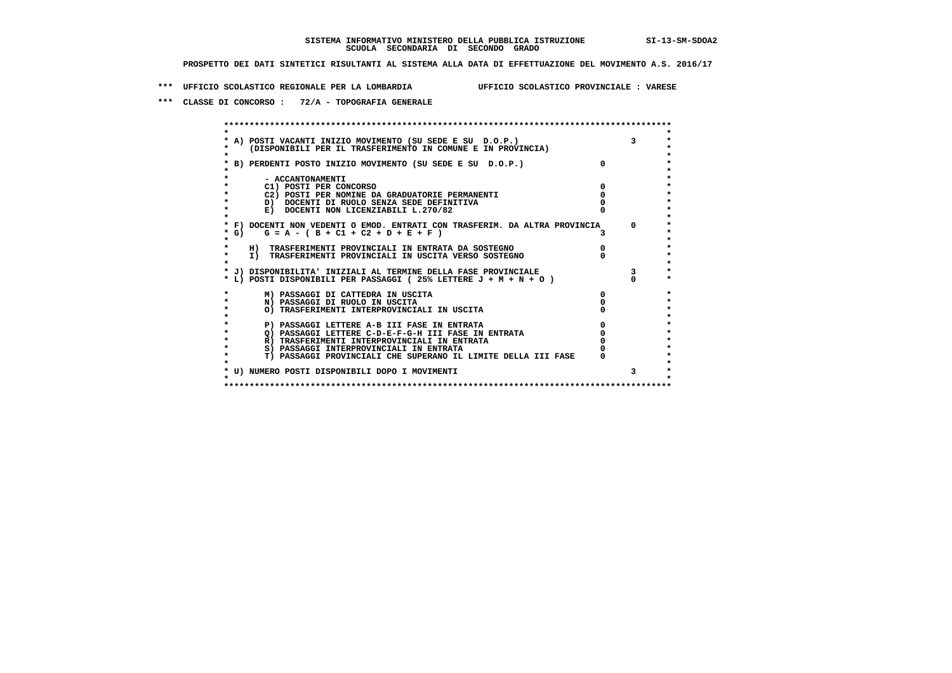**\*\*\* UFFICIO SCOLASTICO REGIONALE PER LA LOMBARDIA UFFICIO SCOLASTICO PROVINCIALE : VARESE**

 **\*\*\* CLASSE DI CONCORSO : 72/A - TOPOGRAFIA GENERALE**

|         | A) POSTI VACANTI INIZIO MOVIMENTO (SU SEDE E SU D.O.P.)<br>(DISPONIBILI PER IL TRASFERIMENTO IN COMUNE E IN PROVINCIA) |          | $\mathbf{3}$ |
|---------|------------------------------------------------------------------------------------------------------------------------|----------|--------------|
|         | B) PERDENTI POSTO INIZIO MOVIMENTO (SU SEDE E SU D.O.P.)                                                               | $\Omega$ |              |
|         | - ACCANTONAMENTI                                                                                                       |          |              |
|         | C1) POSTI PER CONCORSO                                                                                                 |          |              |
|         | C2) POSTI PER NOMINE DA GRADUATORIE PERMANENTI                                                                         |          |              |
|         | D) DOCENTI DI RUOLO SENZA SEDE DEFINITIVA                                                                              |          |              |
|         | E) DOCENTI NON LICENZIABILI L.270/82                                                                                   |          |              |
|         | * F) DOCENTI NON VEDENTI O EMOD. ENTRATI CON TRASFERIM. DA ALTRA PROVINCIA                                             |          | 0            |
| G)<br>* | $G = A - (B + C1 + C2 + D + E + F)$                                                                                    |          |              |
|         | H) TRASFERIMENTI PROVINCIALI IN ENTRATA DA SOSTEGNO                                                                    |          |              |
|         | I) TRASFERIMENTI PROVINCIALI IN USCITA VERSO SOSTEGNO                                                                  |          |              |
|         | * J) DISPONIBILITA' INIZIALI AL TERMINE DELLA FASE PROVINCIALE                                                         |          |              |
|         | * L) POSTI DISPONIBILI PER PASSAGGI (25% LETTERE J + M + N + O)                                                        |          |              |
|         | M) PASSAGGI DI CATTEDRA IN USCITA                                                                                      |          |              |
|         | N) PASSAGGI DI RUOLO IN USCITA                                                                                         |          |              |
|         | O) TRASFERIMENTI INTERPROVINCIALI IN USCITA                                                                            |          |              |
|         |                                                                                                                        |          |              |
|         | P) PASSAGGI LETTERE A-B III FASE IN ENTRATA                                                                            |          |              |
|         | O) PASSAGGI LETTERE C-D-E-F-G-H III FASE IN ENTRATA                                                                    |          |              |
|         | R) TRASFERIMENTI INTERPROVINCIALI IN ENTRATA                                                                           |          |              |
|         | S) PASSAGGI INTERPROVINCIALI IN ENTRATA                                                                                |          |              |
|         | T) PASSAGGI PROVINCIALI CHE SUPERANO IL LIMITE DELLA III FASE                                                          |          |              |
|         | * U) NUMERO POSTI DISPONIBILI DOPO I MOVIMENTI                                                                         |          | 3            |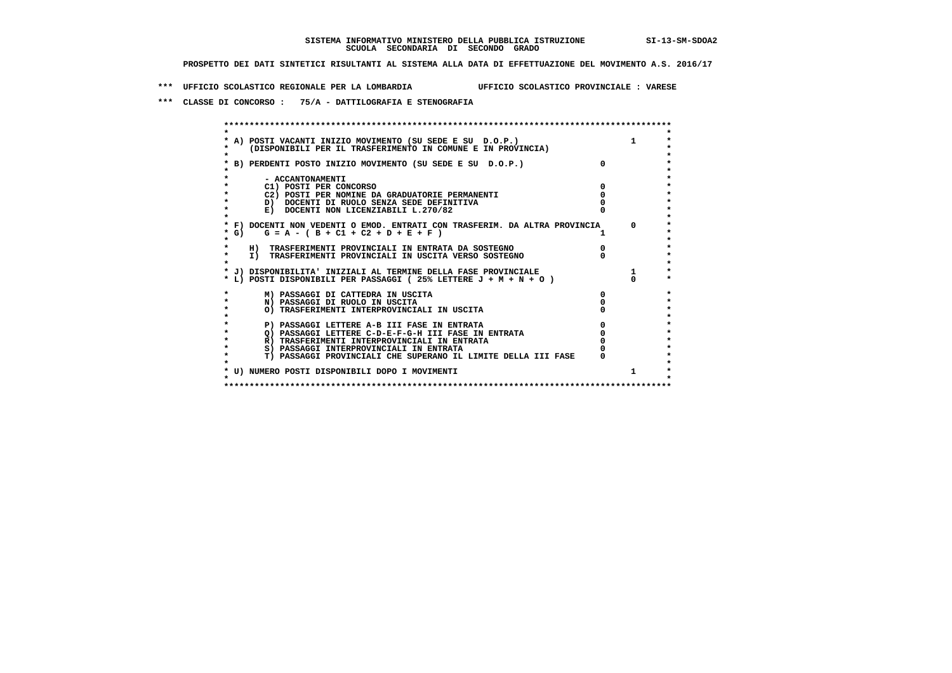**\*\*\* UFFICIO SCOLASTICO REGIONALE PER LA LOMBARDIA UFFICIO SCOLASTICO PROVINCIALE : VARESE**

 **\*\*\* CLASSE DI CONCORSO : 75/A - DATTILOGRAFIA E STENOGRAFIA**

|        | A) POSTI VACANTI INIZIO MOVIMENTO (SU SEDE E SU D.O.P.)<br>(DISPONIBILI PER IL TRASFERIMENTO IN COMUNE E IN PROVINCIA) |            |
|--------|------------------------------------------------------------------------------------------------------------------------|------------|
|        | B) PERDENTI POSTO INIZIO MOVIMENTO (SU SEDE E SU D.O.P.)                                                               |            |
|        | - ACCANTONAMENTI                                                                                                       |            |
|        | C1) POSTI PER CONCORSO                                                                                                 |            |
|        | C2) POSTI PER NOMINE DA GRADUATORIE PERMANENTI                                                                         |            |
|        | D) DOCENTI DI RUOLO SENZA SEDE DEFINITIVA                                                                              |            |
|        | E) DOCENTI NON LICENZIABILI L.270/82                                                                                   |            |
|        |                                                                                                                        |            |
|        | * F) DOCENTI NON VEDENTI O EMOD. ENTRATI CON TRASFERIM. DA ALTRA PROVINCIA                                             | $^{\circ}$ |
| $*$ G) | $G = A - (B + C1 + C2 + D + E + F)$                                                                                    |            |
|        |                                                                                                                        |            |
|        | H) TRASFERIMENTI PROVINCIALI IN ENTRATA DA SOSTEGNO                                                                    |            |
|        | I) TRASFERIMENTI PROVINCIALI IN USCITA VERSO SOSTEGNO                                                                  |            |
|        | * J) DISPONIBILITA' INIZIALI AL TERMINE DELLA FASE PROVINCIALE                                                         |            |
|        | * L) POSTI DISPONIBILI PER PASSAGGI (25% LETTERE J + M + N + O)                                                        |            |
|        |                                                                                                                        |            |
|        | M) PASSAGGI DI CATTEDRA IN USCITA                                                                                      |            |
|        | N) PASSAGGI DI RUOLO IN USCITA                                                                                         |            |
|        | O) TRASFERIMENTI INTERPROVINCIALI IN USCITA                                                                            |            |
|        |                                                                                                                        |            |
|        | P) PASSAGGI LETTERE A-B III FASE IN ENTRATA                                                                            |            |
|        | O) PASSAGGI LETTERE C-D-E-F-G-H III FASE IN ENTRATA                                                                    |            |
|        | R) TRASFERIMENTI INTERPROVINCIALI IN ENTRATA                                                                           |            |
|        | S) PASSAGGI INTERPROVINCIALI IN ENTRATA                                                                                |            |
|        | T) PASSAGGI PROVINCIALI CHE SUPERANO IL LIMITE DELLA III FASE                                                          |            |
|        |                                                                                                                        |            |
|        | * U) NUMERO POSTI DISPONIBILI DOPO I MOVIMENTI                                                                         | 1          |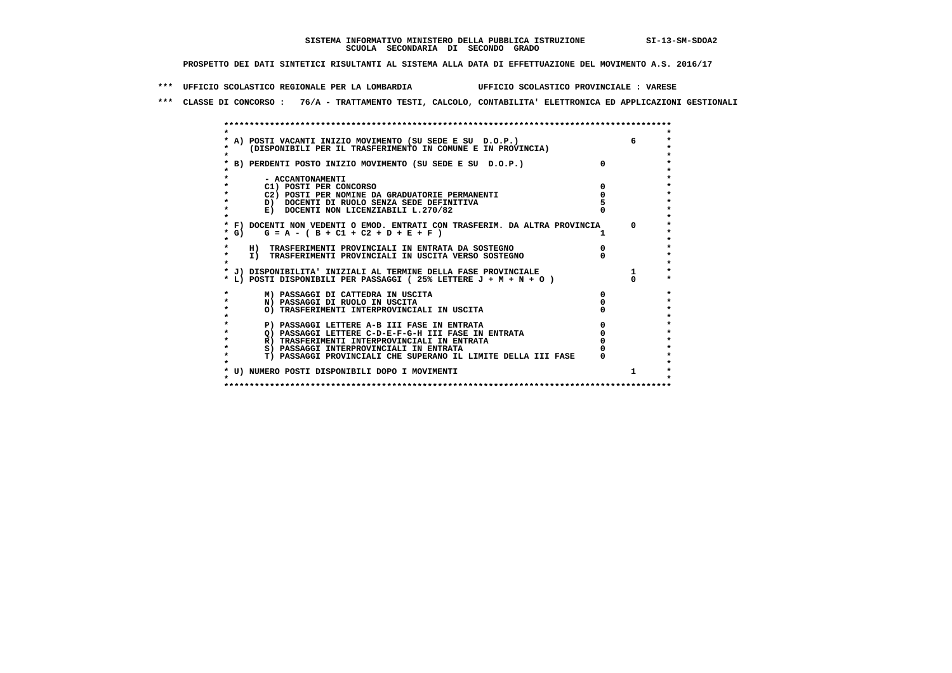**\*\*\* UFFICIO SCOLASTICO REGIONALE PER LA LOMBARDIA UFFICIO SCOLASTICO PROVINCIALE : VARESE**

 **\*\*\* CLASSE DI CONCORSO : 76/A - TRATTAMENTO TESTI, CALCOLO, CONTABILITA' ELETTRONICA ED APPLICAZIONI GESTIONALI**

|         | * A) POSTI VACANTI INIZIO MOVIMENTO (SU SEDE E SU D.O.P.)                  |          |
|---------|----------------------------------------------------------------------------|----------|
|         | (DISPONIBILI PER IL TRASFERIMENTO IN COMUNE E IN PROVINCIA)                |          |
|         |                                                                            |          |
|         | * B) PERDENTI POSTO INIZIO MOVIMENTO (SU SEDE E SU D.O.P.)                 |          |
|         |                                                                            |          |
|         | - ACCANTONAMENTI                                                           |          |
|         | C1) POSTI PER CONCORSO                                                     |          |
|         | C2) POSTI PER NOMINE DA GRADUATORIE PERMANENTI                             |          |
| $\star$ | D) DOCENTI DI RUOLO SENZA SEDE DEFINITIVA                                  |          |
| $\star$ | E) DOCENTI NON LICENZIABILI L.270/82                                       |          |
|         |                                                                            |          |
|         | * F) DOCENTI NON VEDENTI O EMOD. ENTRATI CON TRASFERIM. DA ALTRA PROVINCIA | $\Omega$ |
| $*$ G)  | $G = A - (B + C1 + C2 + D + E + F)$                                        |          |
|         |                                                                            |          |
|         | H) TRASFERIMENTI PROVINCIALI IN ENTRATA DA SOSTEGNO                        |          |
| $\star$ | I) TRASFERIMENTI PROVINCIALI IN USCITA VERSO SOSTEGNO                      |          |
|         |                                                                            |          |
|         | * J) DISPONIBILITA' INIZIALI AL TERMINE DELLA FASE PROVINCIALE             |          |
|         | * L) POSTI DISPONIBILI PER PASSAGGI (25% LETTERE J + M + N + O )           |          |
|         | M) PASSAGGI DI CATTEDRA IN USCITA                                          |          |
| $\star$ | N) PASSAGGI DI RUOLO IN USCITA                                             |          |
| $\star$ | O) TRASFERIMENTI INTERPROVINCIALI IN USCITA                                |          |
|         |                                                                            |          |
| $\star$ | P) PASSAGGI LETTERE A-B III FASE IN ENTRATA                                |          |
| $\star$ | O) PASSAGGI LETTERE C-D-E-F-G-H III FASE IN ENTRATA                        |          |
| $\star$ | R) TRASFERIMENTI INTERPROVINCIALI IN ENTRATA                               |          |
| $\star$ | S) PASSAGGI INTERPROVINCIALI IN ENTRATA                                    |          |
| $\star$ | T) PASSAGGI PROVINCIALI CHE SUPERANO IL LIMITE DELLA III FASE              |          |
|         |                                                                            |          |
|         | * U) NUMERO POSTI DISPONIBILI DOPO I MOVIMENTI                             | 1        |
|         |                                                                            |          |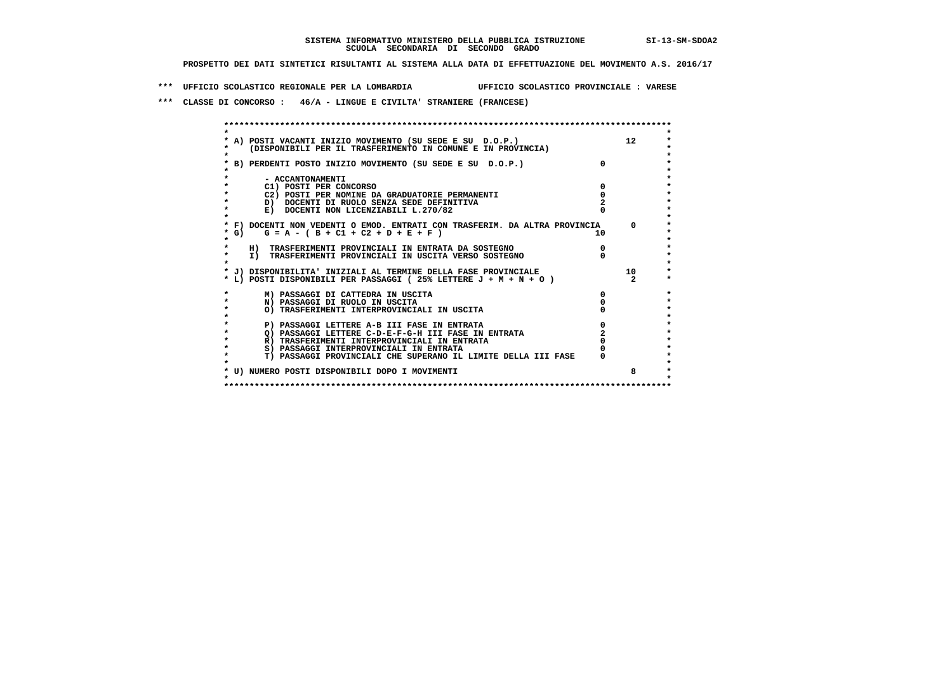**\*\*\* UFFICIO SCOLASTICO REGIONALE PER LA LOMBARDIA UFFICIO SCOLASTICO PROVINCIALE : VARESE**

 **\*\*\* CLASSE DI CONCORSO : 46/A - LINGUE E CIVILTA' STRANIERE (FRANCESE)**

|         | * A) POSTI VACANTI INIZIO MOVIMENTO (SU SEDE E SU D.O.P.)                  |            | 12              |
|---------|----------------------------------------------------------------------------|------------|-----------------|
|         | (DISPONIBILI PER IL TRASFERIMENTO IN COMUNE E IN PROVINCIA)                |            |                 |
|         |                                                                            |            |                 |
|         | * B) PERDENTI POSTO INIZIO MOVIMENTO (SU SEDE E SU D.O.P.)                 |            |                 |
|         |                                                                            |            |                 |
|         | - ACCANTONAMENTI                                                           |            |                 |
|         | C1) POSTI PER CONCORSO                                                     |            |                 |
|         | C2) POSTI PER NOMINE DA GRADUATORIE PERMANENTI                             |            |                 |
|         | D) DOCENTI DI RUOLO SENZA SEDE DEFINITIVA                                  |            |                 |
|         | E) DOCENTI NON LICENZIABILI L.270/82                                       |            |                 |
|         |                                                                            |            |                 |
|         | * F) DOCENTI NON VEDENTI O EMOD. ENTRATI CON TRASFERIM. DA ALTRA PROVINCIA |            | $^{\circ}$      |
| $*$ G)  | $G = A - (B + C1 + C2 + D + E + F)$                                        | 10 D       |                 |
|         |                                                                            |            |                 |
|         | H) TRASFERIMENTI PROVINCIALI IN ENTRATA DA SOSTEGNO                        | $^{\circ}$ |                 |
|         | I) TRASFERIMENTI PROVINCIALI IN USCITA VERSO SOSTEGNO                      |            |                 |
|         | * J) DISPONIBILITA' INIZIALI AL TERMINE DELLA FASE PROVINCIALE             |            | 10 <sup>1</sup> |
|         | * L) POSTI DISPONIBILI PER PASSAGGI (25% LETTERE J + M + N + O )           |            | $\mathbf{2}$    |
|         |                                                                            |            |                 |
|         | M) PASSAGGI DI CATTEDRA IN USCITA                                          |            |                 |
| $\star$ | N) PASSAGGI DI RUOLO IN USCITA                                             |            |                 |
| $\star$ | O) TRASFERIMENTI INTERPROVINCIALI IN USCITA                                |            |                 |
|         |                                                                            |            |                 |
|         | P) PASSAGGI LETTERE A-B III FASE IN ENTRATA                                |            |                 |
|         | O) PASSAGGI LETTERE C-D-E-F-G-H III FASE IN ENTRATA                        |            |                 |
|         | R) TRASFERIMENTI INTERPROVINCIALI IN ENTRATA                               |            |                 |
| $\star$ | S) PASSAGGI INTERPROVINCIALI IN ENTRATA                                    |            |                 |
|         | T) PASSAGGI PROVINCIALI CHE SUPERANO IL LIMITE DELLA III FASE              |            |                 |
|         |                                                                            |            |                 |
|         | * U) NUMERO POSTI DISPONIBILI DOPO I MOVIMENTI                             |            |                 |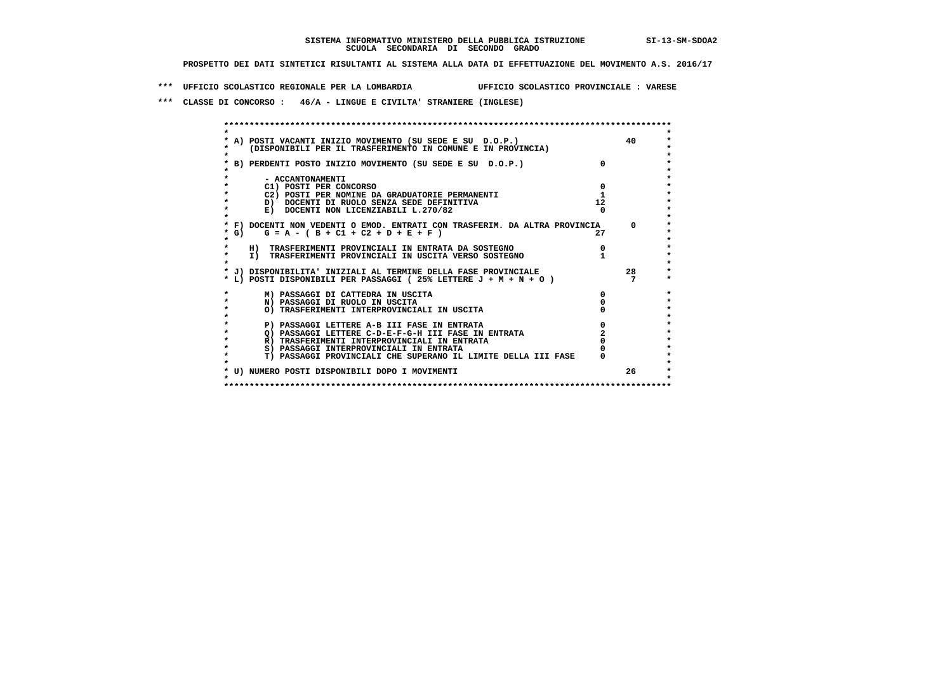**\*\*\* UFFICIO SCOLASTICO REGIONALE PER LA LOMBARDIA UFFICIO SCOLASTICO PROVINCIALE : VARESE**

 **\*\*\* CLASSE DI CONCORSO : 46/A - LINGUE E CIVILTA' STRANIERE (INGLESE)**

|           | A) POSTI VACANTI INIZIO MOVIMENTO (SU SEDE E SU D.O.P.)                                                                           |    | 40         |
|-----------|-----------------------------------------------------------------------------------------------------------------------------------|----|------------|
|           | (DISPONIBILI PER IL TRASFERIMENTO IN COMUNE E IN PROVINCIA)                                                                       |    |            |
|           |                                                                                                                                   |    |            |
|           | B) PERDENTI POSTO INIZIO MOVIMENTO (SU SEDE E SU D.O.P.)                                                                          |    |            |
|           |                                                                                                                                   |    |            |
|           | - ACCANTONAMENTI                                                                                                                  |    |            |
|           | C1) POSTI PER CONCORSO                                                                                                            |    |            |
|           | C2) POSTI PER NOMINE DA GRADUATORIE PERMANENTI                                                                                    |    |            |
|           | D) DOCENTI DI RUOLO SENZA SEDE DEFINITIVA                                                                                         | 12 |            |
| $\star$   | E) DOCENTI NON LICENZIABILI L.270/82                                                                                              |    |            |
|           |                                                                                                                                   |    |            |
|           | * F) DOCENTI NON VEDENTI O EMOD. ENTRATI CON TRASFERIM. DA ALTRA PROVINCIA                                                        |    | $^{\circ}$ |
| * G)      | $G = A - (B + C1 + C2 + D + E + F)$                                                                                               | 27 |            |
|           |                                                                                                                                   |    |            |
| $\star$   | H) TRASFERIMENTI PROVINCIALI IN ENTRATA DA SOSTEGNO                                                                               |    |            |
|           | I) TRASFERIMENTI PROVINCIALI IN USCITA VERSO SOSTEGNO                                                                             |    |            |
|           |                                                                                                                                   |    | 28         |
|           | * J) DISPONIBILITA' INIZIALI AL TERMINE DELLA FASE PROVINCIALE<br>* L) POSTI DISPONIBILI PER PASSAGGI (25% LETTERE J + M + N + O) |    |            |
|           |                                                                                                                                   |    |            |
|           | M) PASSAGGI DI CATTEDRA IN USCITA                                                                                                 |    |            |
| $\star$   | N) PASSAGGI DI RUOLO IN USCITA                                                                                                    |    |            |
| $\bullet$ | O) TRASFERIMENTI INTERPROVINCIALI IN USCITA                                                                                       |    |            |
|           |                                                                                                                                   |    |            |
| $\star$   | P) PASSAGGI LETTERE A-B III FASE IN ENTRATA                                                                                       |    |            |
|           | O) PASSAGGI LETTERE C-D-E-F-G-H III FASE IN ENTRATA                                                                               |    |            |
|           | R) TRASFERIMENTI INTERPROVINCIALI IN ENTRATA                                                                                      |    |            |
|           | S) PASSAGGI INTERPROVINCIALI IN ENTRATA                                                                                           |    |            |
|           | T) PASSAGGI PROVINCIALI CHE SUPERANO IL LIMITE DELLA III FASE                                                                     |    |            |
|           |                                                                                                                                   |    |            |
|           | * U) NUMERO POSTI DISPONIBILI DOPO I MOVIMENTI                                                                                    |    | 26         |
|           |                                                                                                                                   |    |            |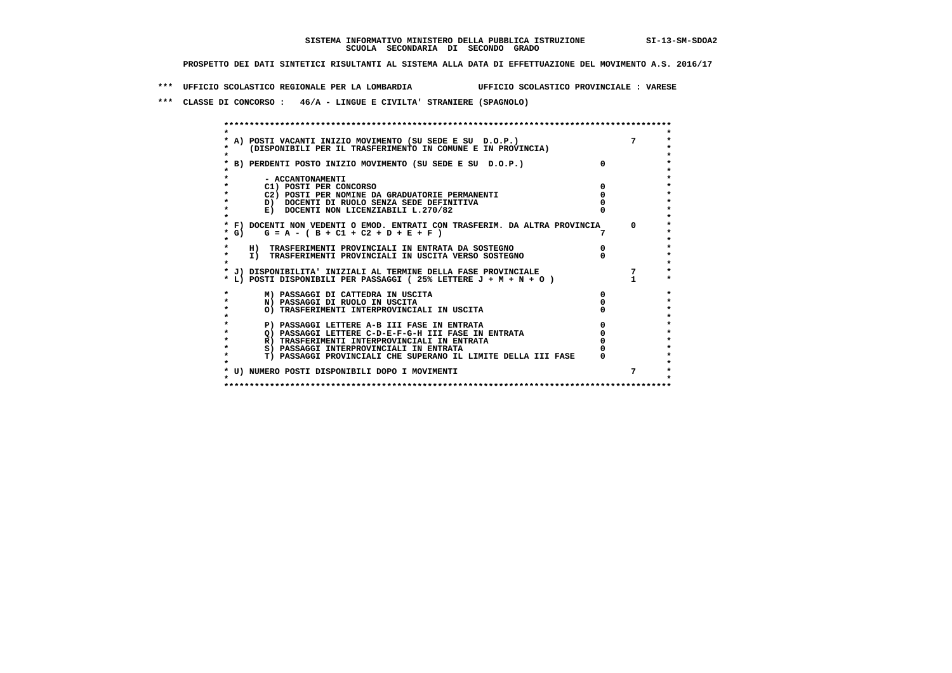**\*\*\* UFFICIO SCOLASTICO REGIONALE PER LA LOMBARDIA UFFICIO SCOLASTICO PROVINCIALE : VARESE**

 **\*\*\* CLASSE DI CONCORSO : 46/A - LINGUE E CIVILTA' STRANIERE (SPAGNOLO)**

|         | * A) POSTI VACANTI INIZIO MOVIMENTO (SU SEDE E SU D.O.P.)                  |            |
|---------|----------------------------------------------------------------------------|------------|
|         | (DISPONIBILI PER IL TRASFERIMENTO IN COMUNE E IN PROVINCIA)                |            |
|         |                                                                            |            |
|         | * B) PERDENTI POSTO INIZIO MOVIMENTO (SU SEDE E SU D.O.P.)                 |            |
|         | - ACCANTONAMENTI                                                           |            |
|         | C1) POSTI PER CONCORSO                                                     |            |
|         | C2) POSTI PER NOMINE DA GRADUATORIE PERMANENTI                             |            |
|         | D) DOCENTI DI RUOLO SENZA SEDE DEFINITIVA                                  |            |
| $\star$ | E) DOCENTI NON LICENZIABILI L.270/82                                       |            |
|         |                                                                            |            |
|         | * F) DOCENTI NON VEDENTI O EMOD. ENTRATI CON TRASFERIM. DA ALTRA PROVINCIA | $^{\circ}$ |
| $*$ G)  | $G = A - (B + C1 + C2 + D + E + F)$                                        |            |
|         |                                                                            |            |
|         | H) TRASFERIMENTI PROVINCIALI IN ENTRATA DA SOSTEGNO                        |            |
| $\star$ | I) TRASFERIMENTI PROVINCIALI IN USCITA VERSO SOSTEGNO                      |            |
|         |                                                                            |            |
|         | * J) DISPONIBILITA' INIZIALI AL TERMINE DELLA FASE PROVINCIALE             |            |
|         | * L) POSTI DISPONIBILI PER PASSAGGI (25% LETTERE J + M + N + O )           |            |
|         |                                                                            |            |
|         | M) PASSAGGI DI CATTEDRA IN USCITA                                          |            |
|         | N) PASSAGGI DI RUOLO IN USCITA                                             |            |
| $\star$ | O) TRASFERIMENTI INTERPROVINCIALI IN USCITA                                |            |
|         |                                                                            |            |
|         | P) PASSAGGI LETTERE A-B III FASE IN ENTRATA                                |            |
| $\star$ | O) PASSAGGI LETTERE C-D-E-F-G-H III FASE IN ENTRATA                        |            |
| $\star$ | R) TRASFERIMENTI INTERPROVINCIALI IN ENTRATA                               |            |
| $\star$ | S) PASSAGGI INTERPROVINCIALI IN ENTRATA                                    |            |
|         | T) PASSAGGI PROVINCIALI CHE SUPERANO IL LIMITE DELLA III FASE              |            |
|         |                                                                            |            |
|         | * U) NUMERO POSTI DISPONIBILI DOPO I MOVIMENTI                             | 7          |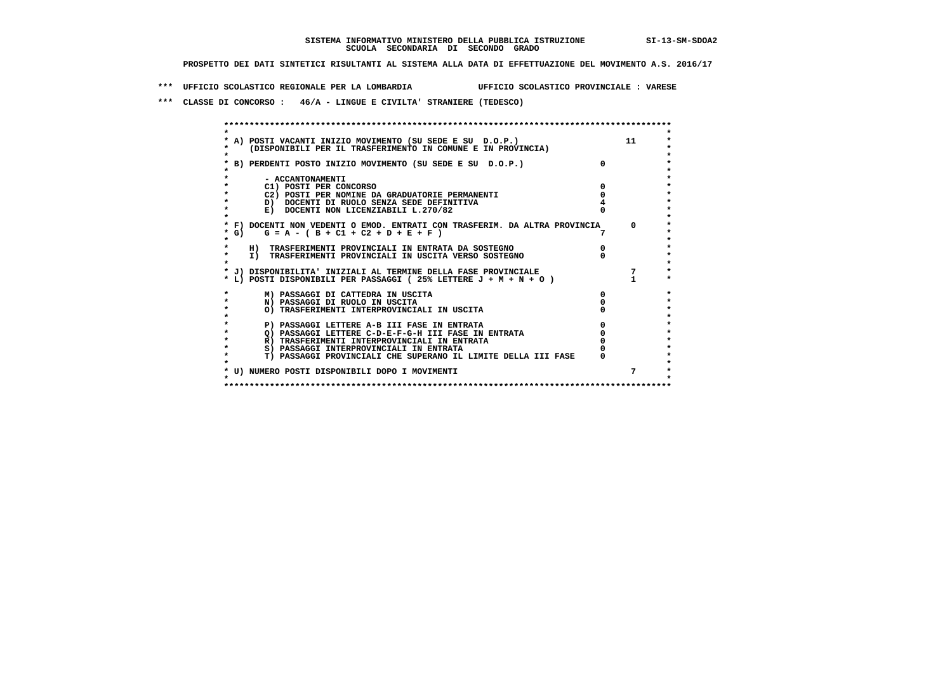**\*\*\* UFFICIO SCOLASTICO REGIONALE PER LA LOMBARDIA UFFICIO SCOLASTICO PROVINCIALE : VARESE**

 **\*\*\* CLASSE DI CONCORSO : 46/A - LINGUE E CIVILTA' STRANIERE (TEDESCO)**

|        | A) POSTI VACANTI INIZIO MOVIMENTO (SU SEDE E SU D.O.P.)<br>(DISPONIBILI PER IL TRASFERIMENTO IN COMUNE E IN PROVINCIA) | 11       |
|--------|------------------------------------------------------------------------------------------------------------------------|----------|
|        | B) PERDENTI POSTO INIZIO MOVIMENTO (SU SEDE E SU D.O.P.)                                                               |          |
|        | - ACCANTONAMENTI                                                                                                       |          |
|        | C1) POSTI PER CONCORSO                                                                                                 |          |
|        | C2) POSTI PER NOMINE DA GRADUATORIE PERMANENTI                                                                         |          |
|        | D) DOCENTI DI RUOLO SENZA SEDE DEFINITIVA                                                                              |          |
|        | E) DOCENTI NON LICENZIABILI L.270/82                                                                                   |          |
|        |                                                                                                                        |          |
|        | * F) DOCENTI NON VEDENTI O EMOD. ENTRATI CON TRASFERIM. DA ALTRA PROVINCIA                                             | $\Omega$ |
| $*$ G) | $G = A - (B + C1 + C2 + D + E + F)$                                                                                    |          |
|        |                                                                                                                        |          |
|        | H) TRASFERIMENTI PROVINCIALI IN ENTRATA DA SOSTEGNO                                                                    |          |
|        | I) TRASFERIMENTI PROVINCIALI IN USCITA VERSO SOSTEGNO                                                                  |          |
|        |                                                                                                                        |          |
|        | * J) DISPONIBILITA' INIZIALI AL TERMINE DELLA FASE PROVINCIALE                                                         |          |
|        | * L) POSTI DISPONIBILI PER PASSAGGI (25% LETTERE J + M + N + O )                                                       |          |
|        |                                                                                                                        |          |
|        | M) PASSAGGI DI CATTEDRA IN USCITA                                                                                      |          |
|        | N) PASSAGGI DI RUOLO IN USCITA                                                                                         |          |
|        | O) TRASFERIMENTI INTERPROVINCIALI IN USCITA                                                                            |          |
|        |                                                                                                                        |          |
|        | P) PASSAGGI LETTERE A-B III FASE IN ENTRATA                                                                            |          |
|        | Q) PASSAGGI LETTERE C-D-E-F-G-H III FASE IN ENTRATA                                                                    |          |
|        | R) TRASFERIMENTI INTERPROVINCIALI IN ENTRATA                                                                           |          |
|        | S) PASSAGGI INTERPROVINCIALI IN ENTRATA                                                                                |          |
|        | T) PASSAGGI PROVINCIALI CHE SUPERANO IL LIMITE DELLA III FASE                                                          |          |
|        |                                                                                                                        |          |
|        | * U) NUMERO POSTI DISPONIBILI DOPO I MOVIMENTI                                                                         |          |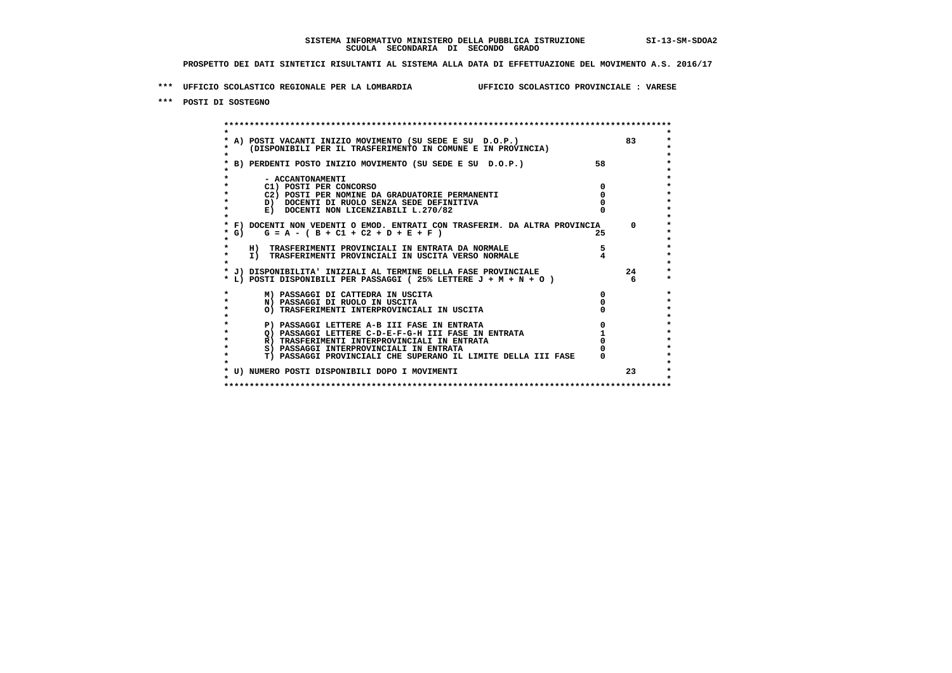**\*\*\* UFFICIO SCOLASTICO REGIONALE PER LA LOMBARDIA UFFICIO SCOLASTICO PROVINCIALE : VARESE**

 **\*\*\* POSTI DI SOSTEGNO**

 **\*\*\*\*\*\*\*\*\*\*\*\*\*\*\*\*\*\*\*\*\*\*\*\*\*\*\*\*\*\*\*\*\*\*\*\*\*\*\*\*\*\*\*\*\*\*\*\*\*\*\*\*\*\*\*\*\*\*\*\*\*\*\*\*\*\*\*\*\*\*\*\*\*\*\*\*\*\*\*\*\*\*\*\*\*\*\*\* \* \*** $\ddot{\phantom{0}}$  **\* A) POSTI VACANTI INIZIO MOVIMENTO (SU SEDE E SU D.O.P.) 83 \*** $\star$  **\* (DISPONIBILI PER IL TRASFERIMENTO IN COMUNE E IN PROVINCIA) \*** $\bullet$  **\* \* \* B) PERDENTI POSTO INIZIO MOVIMENTO (SU SEDE E SU D.O.P.) 58 \* \* \* \* - ACCANTONAMENTI \* \* C1) POSTI PER CONCORSO 0 \* \* C2) POSTI PER NOMINE DA GRADUATORIE PERMANENTI 0 \*b b** docenti di RUOLO SENZA SEDE DEFINITIVA  $\overline{D}$  **b**  $\overline{D}$  0  $\overline{D}$  0  $\overline{D}$  0  $\overline{D}$  0  $\overline{D}$  0  $\overline{D}$  0  $\overline{D}$  0  $\overline{D}$  0  $\overline{D}$  0  $\overline{D}$  0  $\overline{D}$  0  $\overline{D}$  0  $\overline{D}$  0  $\overline{D}$  0  $\overline{D}$ **E)** DOCENTI NON LICENZIABILI L.270/82  **\* \* \* F) DOCENTI NON VEDENTI O EMOD. ENTRATI CON TRASFERIM. DA ALTRA PROVINCIA 0 \* \* G) G = A - ( B + C1 + C2 + D + E + F ) 25 \* \* \*** $\star$  **\* H) TRASFERIMENTI PROVINCIALI IN ENTRATA DA NORMALE 5 \* \* I) TRASFERIMENTI PROVINCIALI IN USCITA VERSO NORMALE 4 \* \* \* \* J) DISPONIBILITA' INIZIALI AL TERMINE DELLA FASE PROVINCIALE 24 \* \* L) POSTI DISPONIBILI PER PASSAGGI ( 25% LETTERE J + M + N + O ) 6 \*** $\ddot{\bullet}$  **\* M) PASSAGGI DI CATTEDRA IN USCITA 0 \* \* N) PASSAGGI DI RUOLO IN USCITA 0 \*** $\star$  **\* O) TRASFERIMENTI INTERPROVINCIALI IN USCITA 0 \* \* \*** $\star$  **P) PASSAGGI LETTERE A-B III FASE IN ENTRATA de la passaggi LETTERE C-D-E-F-G-H III FASE IN ENTRATA de la passaggi de la passaggi de la passaggi de la passaggi de la passaggi de la passaggi de la passaggi de la passaggi d**  $\star$  **\* Q) PASSAGGI LETTERE C-D-E-F-G-H III FASE IN ENTRATA 1 \*R) TRASFERIMENTI INTERPROVINCIALI IN ENTRATA** 0<br> **8) PASSAGGI INTERPROVINCIALI IN ENTRATA** 0 **\*** S) PASSAGGI INTERPROVINCIALI IN ENTRATA  $\bullet$  **\* T) PASSAGGI PROVINCIALI CHE SUPERANO IL LIMITE DELLA III FASE 0 \*** $\star$  **\* \*** $\star$  **\* U) NUMERO POSTI DISPONIBILI DOPO I MOVIMENTI 23 \* \* \* \*\*\*\*\*\*\*\*\*\*\*\*\*\*\*\*\*\*\*\*\*\*\*\*\*\*\*\*\*\*\*\*\*\*\*\*\*\*\*\*\*\*\*\*\*\*\*\*\*\*\*\*\*\*\*\*\*\*\*\*\*\*\*\*\*\*\*\*\*\*\*\*\*\*\*\*\*\*\*\*\*\*\*\*\*\*\*\***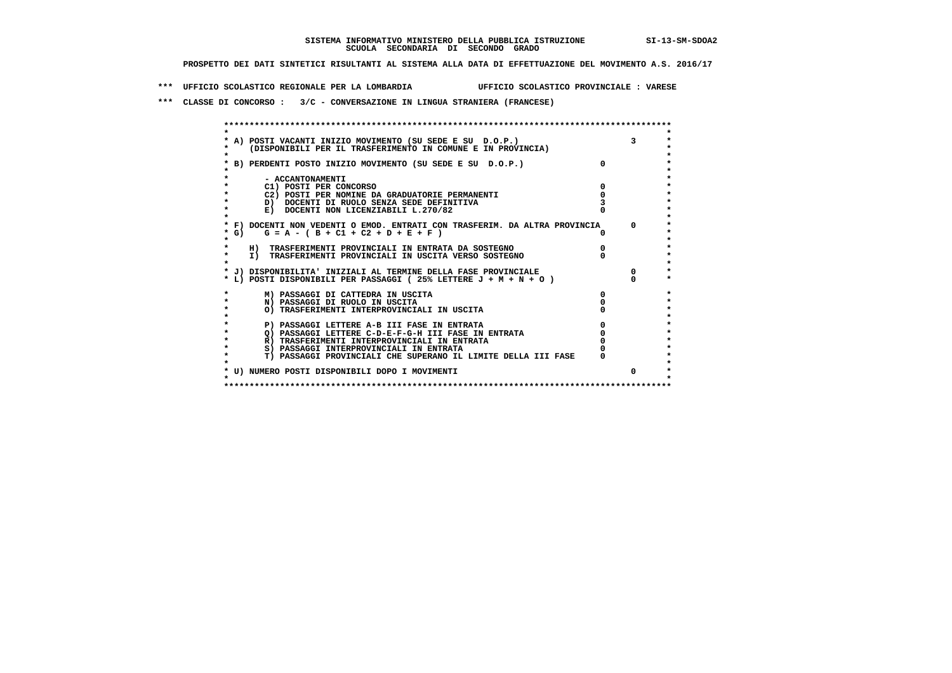**\*\*\* UFFICIO SCOLASTICO REGIONALE PER LA LOMBARDIA UFFICIO SCOLASTICO PROVINCIALE : VARESE**

 **\*\*\* CLASSE DI CONCORSO : 3/C - CONVERSAZIONE IN LINGUA STRANIERA (FRANCESE)**

|           | * A) POSTI VACANTI INIZIO MOVIMENTO (SU SEDE E SU D.O.P.)                  |            |
|-----------|----------------------------------------------------------------------------|------------|
|           | (DISPONIBILI PER IL TRASFERIMENTO IN COMUNE E IN PROVINCIA)                |            |
|           | * B) PERDENTI POSTO INIZIO MOVIMENTO (SU SEDE E SU D.O.P.)                 |            |
|           |                                                                            |            |
|           | - ACCANTONAMENTI                                                           |            |
|           | C1) POSTI PER CONCORSO                                                     |            |
|           | C2) POSTI PER NOMINE DA GRADUATORIE PERMANENTI                             |            |
| $\star$   | D) DOCENTI DI RUOLO SENZA SEDE DEFINITIVA                                  |            |
| $\star$   | E) DOCENTI NON LICENZIABILI L.270/82                                       |            |
|           |                                                                            |            |
|           | * F) DOCENTI NON VEDENTI O EMOD. ENTRATI CON TRASFERIM. DA ALTRA PROVINCIA | $\Omega$   |
| $*$ G)    | $G = A - (B + C1 + C2 + D + E + F)$                                        |            |
|           |                                                                            |            |
|           | H) TRASFERIMENTI PROVINCIALI IN ENTRATA DA SOSTEGNO                        |            |
| $\star$   | I) TRASFERIMENTI PROVINCIALI IN USCITA VERSO SOSTEGNO                      |            |
|           |                                                                            |            |
|           | * J) DISPONIBILITA' INIZIALI AL TERMINE DELLA FASE PROVINCIALE             | $^{\circ}$ |
|           | * L) POSTI DISPONIBILI PER PASSAGGI (25% LETTERE J + M + N + O )           |            |
|           | M) PASSAGGI DI CATTEDRA IN USCITA                                          |            |
| $\star$   | N) PASSAGGI DI RUOLO IN USCITA                                             |            |
| $\bullet$ | O) TRASFERIMENTI INTERPROVINCIALI IN USCITA                                |            |
|           |                                                                            |            |
| $\star$   | P) PASSAGGI LETTERE A-B III FASE IN ENTRATA                                |            |
|           | Q) PASSAGGI LETTERE C-D-E-F-G-H III FASE IN ENTRATA                        |            |
|           | R) TRASFERIMENTI INTERPROVINCIALI IN ENTRATA                               |            |
| $\star$   | S) PASSAGGI INTERPROVINCIALI IN ENTRATA                                    |            |
|           | T) PASSAGGI PROVINCIALI CHE SUPERANO IL LIMITE DELLA III FASE              |            |
|           | * U) NUMERO POSTI DISPONIBILI DOPO I MOVIMENTI                             |            |
|           |                                                                            |            |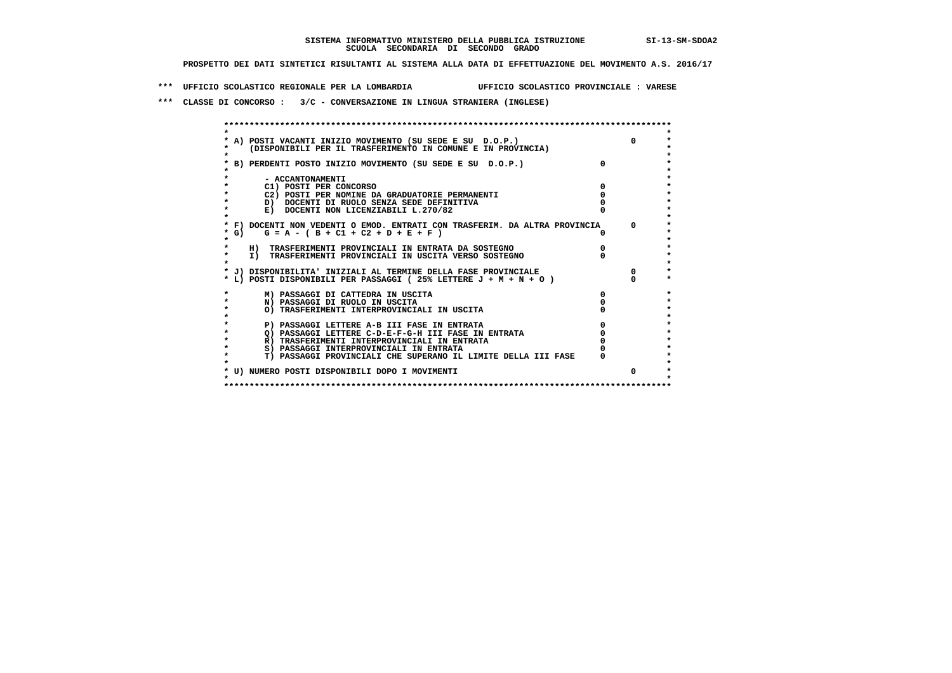**\*\*\* UFFICIO SCOLASTICO REGIONALE PER LA LOMBARDIA UFFICIO SCOLASTICO PROVINCIALE : VARESE**

 **\*\*\* CLASSE DI CONCORSO : 3/C - CONVERSAZIONE IN LINGUA STRANIERA (INGLESE)**

|         | * A) POSTI VACANTI INIZIO MOVIMENTO (SU SEDE E SU D.O.P.)                  | $\Omega$ |
|---------|----------------------------------------------------------------------------|----------|
|         | (DISPONIBILI PER IL TRASFERIMENTO IN COMUNE E IN PROVINCIA)                |          |
|         |                                                                            |          |
|         | * B) PERDENTI POSTO INIZIO MOVIMENTO (SU SEDE E SU D.O.P.)                 |          |
|         |                                                                            |          |
|         | - ACCANTONAMENTI                                                           |          |
|         | C1) POSTI PER CONCORSO                                                     |          |
| $\star$ | C2) POSTI PER NOMINE DA GRADUATORIE PERMANENTI                             |          |
|         | D) DOCENTI DI RUOLO SENZA SEDE DEFINITIVA                                  |          |
| $\star$ | E) DOCENTI NON LICENZIABILI L.270/82                                       |          |
| $\star$ |                                                                            |          |
|         | * F) DOCENTI NON VEDENTI O EMOD. ENTRATI CON TRASFERIM. DA ALTRA PROVINCIA | $\Omega$ |
| $*$ G)  | $G = A - (B + C1 + C2 + D + E + F)$                                        |          |
|         |                                                                            |          |
| $\star$ | H) TRASFERIMENTI PROVINCIALI IN ENTRATA DA SOSTEGNO                        |          |
| $\star$ | I) TRASFERIMENTI PROVINCIALI IN USCITA VERSO SOSTEGNO                      |          |
|         |                                                                            |          |
|         | * J) DISPONIBILITA' INIZIALI AL TERMINE DELLA FASE PROVINCIALE             | $\Omega$ |
|         | * L) POSTI DISPONIBILI PER PASSAGGI (25% LETTERE J + M + N + O )           |          |
| *       | M) PASSAGGI DI CATTEDRA IN USCITA                                          |          |
| $\star$ | N) PASSAGGI DI RUOLO IN USCITA                                             |          |
| $\star$ | O) TRASFERIMENTI INTERPROVINCIALI IN USCITA                                |          |
|         |                                                                            |          |
|         | P) PASSAGGI LETTERE A-B III FASE IN ENTRATA                                |          |
| $\star$ | O) PASSAGGI LETTERE C-D-E-F-G-H III FASE IN ENTRATA                        |          |
|         | R) TRASFERIMENTI INTERPROVINCIALI IN ENTRATA                               |          |
| $\star$ | S) PASSAGGI INTERPROVINCIALI IN ENTRATA                                    |          |
| $\star$ | T) PASSAGGI PROVINCIALI CHE SUPERANO IL LIMITE DELLA III FASE              |          |
|         |                                                                            |          |
|         | * U) NUMERO POSTI DISPONIBILI DOPO I MOVIMENTI                             |          |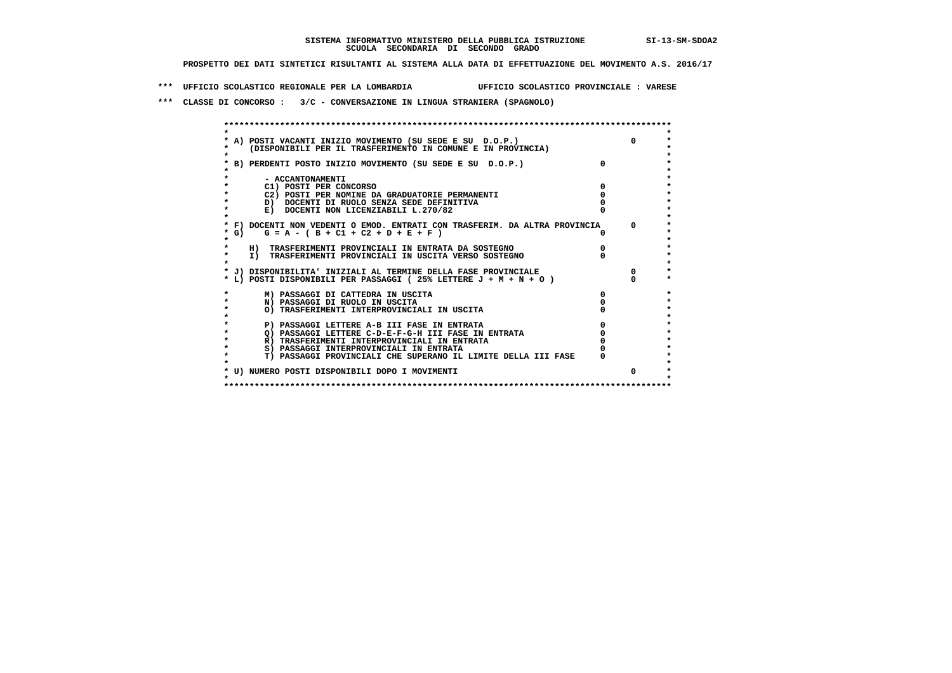**\*\*\* UFFICIO SCOLASTICO REGIONALE PER LA LOMBARDIA UFFICIO SCOLASTICO PROVINCIALE : VARESE**

 **\*\*\* CLASSE DI CONCORSO : 3/C - CONVERSAZIONE IN LINGUA STRANIERA (SPAGNOLO)**

|           | * A) POSTI VACANTI INIZIO MOVIMENTO (SU SEDE E SU D.O.P.)                  | $\Omega$     |
|-----------|----------------------------------------------------------------------------|--------------|
|           | (DISPONIBILI PER IL TRASFERIMENTO IN COMUNE E IN PROVINCIA)                |              |
|           |                                                                            |              |
|           | * B) PERDENTI POSTO INIZIO MOVIMENTO (SU SEDE E SU D.O.P.)                 |              |
|           |                                                                            |              |
|           | - ACCANTONAMENTI                                                           |              |
|           | C1) POSTI PER CONCORSO                                                     |              |
|           | C2) POSTI PER NOMINE DA GRADUATORIE PERMANENTI                             |              |
| $\bullet$ | D) DOCENTI DI RUOLO SENZA SEDE DEFINITIVA                                  |              |
|           | E) DOCENTI NON LICENZIABILI L.270/82                                       |              |
| $\star$   |                                                                            |              |
|           | * F) DOCENTI NON VEDENTI O EMOD. ENTRATI CON TRASFERIM. DA ALTRA PROVINCIA | $\mathbf{O}$ |
| * G)      | $G = A - (B + C1 + C2 + D + E + F)$                                        |              |
|           |                                                                            |              |
| $\star$   | H) TRASFERIMENTI PROVINCIALI IN ENTRATA DA SOSTEGNO                        |              |
| $\star$   | I) TRASFERIMENTI PROVINCIALI IN USCITA VERSO SOSTEGNO                      |              |
|           |                                                                            |              |
|           | * J) DISPONIBILITA' INIZIALI AL TERMINE DELLA FASE PROVINCIALE             | $^{\circ}$   |
|           | * L) POSTI DISPONIBILI PER PASSAGGI (25% LETTERE J + M + N + O )           |              |
|           | M) PASSAGGI DI CATTEDRA IN USCITA                                          |              |
| $\star$   | N) PASSAGGI DI RUOLO IN USCITA                                             |              |
| $\star$   | O) TRASFERIMENTI INTERPROVINCIALI IN USCITA                                |              |
|           |                                                                            |              |
|           | P) PASSAGGI LETTERE A-B III FASE IN ENTRATA                                |              |
| $\star$   | O) PASSAGGI LETTERE C-D-E-F-G-H III FASE IN ENTRATA                        |              |
|           | R) TRASFERIMENTI INTERPROVINCIALI IN ENTRATA                               |              |
| $\star$   | S) PASSAGGI INTERPROVINCIALI IN ENTRATA                                    |              |
|           | T) PASSAGGI PROVINCIALI CHE SUPERANO IL LIMITE DELLA III FASE              |              |
|           |                                                                            |              |
|           | * U) NUMERO POSTI DISPONIBILI DOPO I MOVIMENTI                             |              |
|           |                                                                            |              |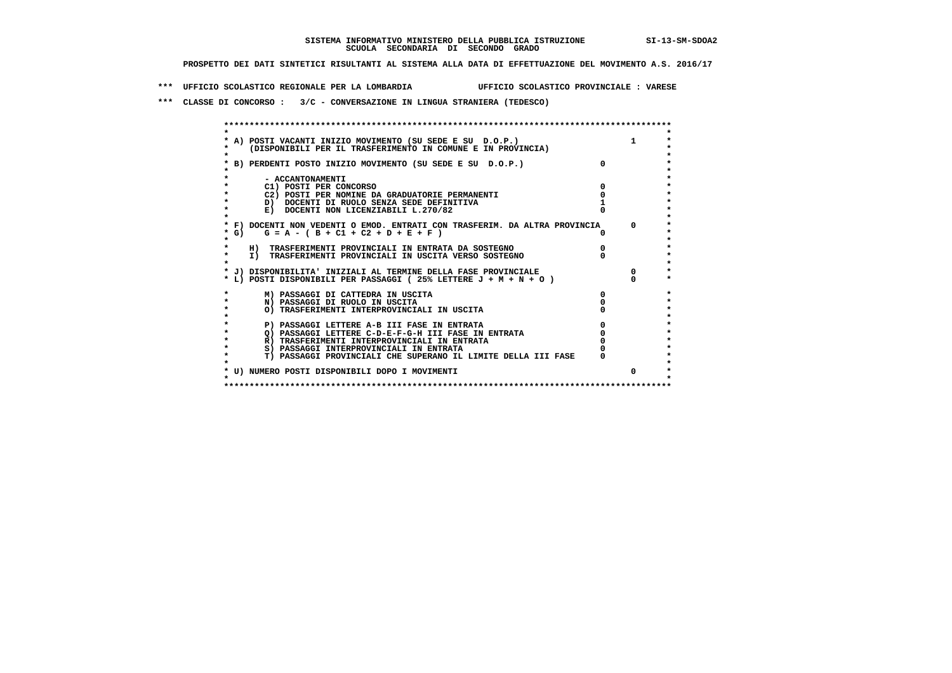**\*\*\* UFFICIO SCOLASTICO REGIONALE PER LA LOMBARDIA UFFICIO SCOLASTICO PROVINCIALE : VARESE**

 **\*\*\* CLASSE DI CONCORSO : 3/C - CONVERSAZIONE IN LINGUA STRANIERA (TEDESCO)**

|           | * A) POSTI VACANTI INIZIO MOVIMENTO (SU SEDE E SU D.O.P.)                  |            |
|-----------|----------------------------------------------------------------------------|------------|
|           | (DISPONIBILI PER IL TRASFERIMENTO IN COMUNE E IN PROVINCIA)                |            |
|           |                                                                            |            |
|           | * B) PERDENTI POSTO INIZIO MOVIMENTO (SU SEDE E SU D.O.P.)                 |            |
|           |                                                                            |            |
|           | - ACCANTONAMENTI                                                           |            |
|           | C1) POSTI PER CONCORSO                                                     |            |
|           | C2) POSTI PER NOMINE DA GRADUATORIE PERMANENTI                             |            |
|           | D) DOCENTI DI RUOLO SENZA SEDE DEFINITIVA                                  |            |
|           | E) DOCENTI NON LICENZIABILI L.270/82                                       |            |
|           |                                                                            |            |
|           | * F) DOCENTI NON VEDENTI O EMOD. ENTRATI CON TRASFERIM. DA ALTRA PROVINCIA | $^{\circ}$ |
| $*$ G)    | $G = A - (B + C1 + C2 + D + E + F)$                                        |            |
|           |                                                                            |            |
|           | H) TRASFERIMENTI PROVINCIALI IN ENTRATA DA SOSTEGNO                        |            |
|           | I) TRASFERIMENTI PROVINCIALI IN USCITA VERSO SOSTEGNO                      |            |
|           |                                                                            |            |
|           | * J) DISPONIBILITA' INIZIALI AL TERMINE DELLA FASE PROVINCIALE             | $\Omega$   |
|           | * L) POSTI DISPONIBILI PER PASSAGGI (25% LETTERE J + M + N + O )           |            |
|           | M) PASSAGGI DI CATTEDRA IN USCITA                                          |            |
| $\star$   | N) PASSAGGI DI RUOLO IN USCITA                                             |            |
| $\bullet$ | O) TRASFERIMENTI INTERPROVINCIALI IN USCITA                                |            |
|           |                                                                            |            |
| $\star$   | P) PASSAGGI LETTERE A-B III FASE IN ENTRATA                                |            |
|           | O) PASSAGGI LETTERE C-D-E-F-G-H III FASE IN ENTRATA                        |            |
| $\star$   | R) TRASFERIMENTI INTERPROVINCIALI IN ENTRATA                               |            |
|           | S) PASSAGGI INTERPROVINCIALI IN ENTRATA                                    |            |
|           | T) PASSAGGI PROVINCIALI CHE SUPERANO IL LIMITE DELLA III FASE              |            |
|           |                                                                            |            |
|           | * U) NUMERO POSTI DISPONIBILI DOPO I MOVIMENTI                             | $\Omega$   |
|           |                                                                            |            |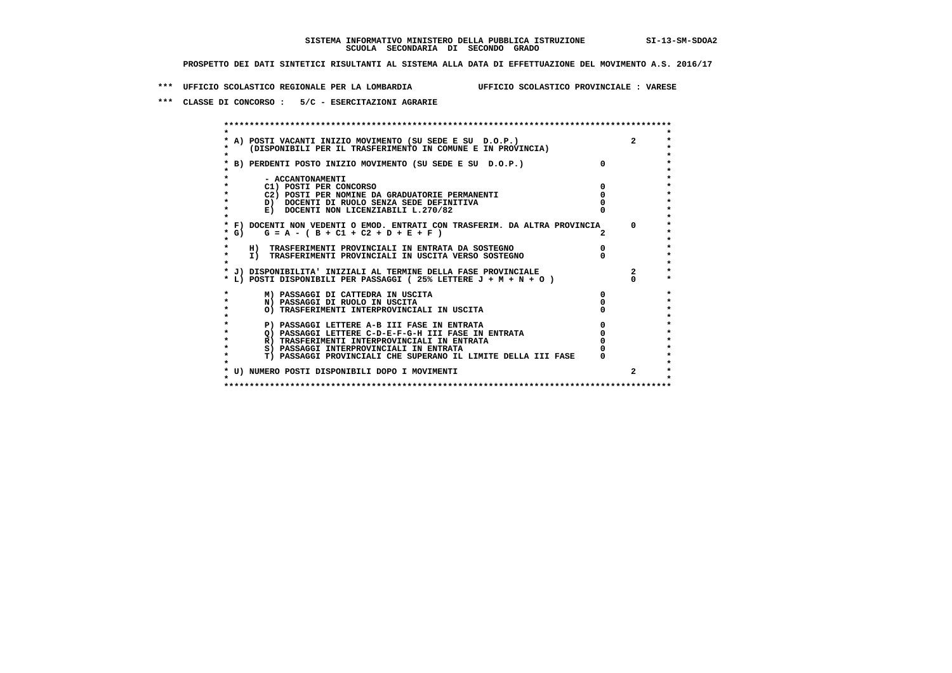**\*\*\* UFFICIO SCOLASTICO REGIONALE PER LA LOMBARDIA UFFICIO SCOLASTICO PROVINCIALE : VARESE**

 **\*\*\* CLASSE DI CONCORSO : 5/C - ESERCITAZIONI AGRARIE**

 **\*\*\*\*\*\*\*\*\*\*\*\*\*\*\*\*\*\*\*\*\*\*\*\*\*\*\*\*\*\*\*\*\*\*\*\*\*\*\*\*\*\*\*\*\*\*\*\*\*\*\*\*\*\*\*\*\*\*\*\*\*\*\*\*\*\*\*\*\*\*\*\*\*\*\*\*\*\*\*\*\*\*\*\*\*\*\*\* \* \*** $\ddot{\phantom{0}}$  **\* A) POSTI VACANTI INIZIO MOVIMENTO (SU SEDE E SU D.O.P.) 2 \*** $\star$  **\* (DISPONIBILI PER IL TRASFERIMENTO IN COMUNE E IN PROVINCIA) \*** $\bullet$  **\* \* \* B) PERDENTI POSTO INIZIO MOVIMENTO (SU SEDE E SU D.O.P.) 0 \* \* \* \* - ACCANTONAMENTI \* \* C1) POSTI PER CONCORSO 0 \* \* C2) POSTI PER NOMINE DA GRADUATORIE PERMANENTI 0 \*b b** docenti di RUOLO SENZA SEDE DEFINITIVA  $\overline{D}$  **b**  $\overline{D}$  0  $\overline{D}$  0  $\overline{D}$  0  $\overline{D}$  0  $\overline{D}$  0  $\overline{D}$  0  $\overline{D}$  0  $\overline{D}$  0  $\overline{D}$  0  $\overline{D}$  0  $\overline{D}$  0  $\overline{D}$  0  $\overline{D}$  0  $\overline{D}$  0  $\overline{D}$ **E) DOCENTI NON LICENZIABILI L.270/82 \* \* \* F) DOCENTI NON VEDENTI O EMOD. ENTRATI CON TRASFERIM. DA ALTRA PROVINCIA 0 \* \* G) G = A - ( B + C1 + C2 + D + E + F ) 2 \* \* \*** $\bullet$  **\* H) TRASFERIMENTI PROVINCIALI IN ENTRATA DA SOSTEGNO 0 \* \* I) TRASFERIMENTI PROVINCIALI IN USCITA VERSO SOSTEGNO 0 \* \* \* \* J) DISPONIBILITA' INIZIALI AL TERMINE DELLA FASE PROVINCIALE 2 \*** $\ddot{\bullet}$  **\* L) POSTI DISPONIBILI PER PASSAGGI ( 25% LETTERE J + M + N + O ) 0 \* \* M) PASSAGGI DI CATTEDRA IN USCITA 0 \* \* N) PASSAGGI DI RUOLO IN USCITA 0 \*** $\star$  **\* O) TRASFERIMENTI INTERPROVINCIALI IN USCITA 0 \* \* \* \* P) PASSAGGI LETTERE A-B III FASE IN ENTRATA 0 \*** $\star$  **\* Q) PASSAGGI LETTERE C-D-E-F-G-H III FASE IN ENTRATA 0 \*R) TRASFERIMENTI INTERPROVINCIALI IN ENTRATA** 0<br> **S)** PASSAGGI INTERPROVINCIALI IN ENTRATA 0 **\*** S) PASSAGGI INTERPROVINCIALI IN ENTRATA  $\ddot{\bullet}$  **\* T) PASSAGGI PROVINCIALI CHE SUPERANO IL LIMITE DELLA III FASE 0 \*** $\star$  **\* \* \* U) NUMERO POSTI DISPONIBILI DOPO I MOVIMENTI 2 \* \* \* \*\*\*\*\*\*\*\*\*\*\*\*\*\*\*\*\*\*\*\*\*\*\*\*\*\*\*\*\*\*\*\*\*\*\*\*\*\*\*\*\*\*\*\*\*\*\*\*\*\*\*\*\*\*\*\*\*\*\*\*\*\*\*\*\*\*\*\*\*\*\*\*\*\*\*\*\*\*\*\*\*\*\*\*\*\*\*\***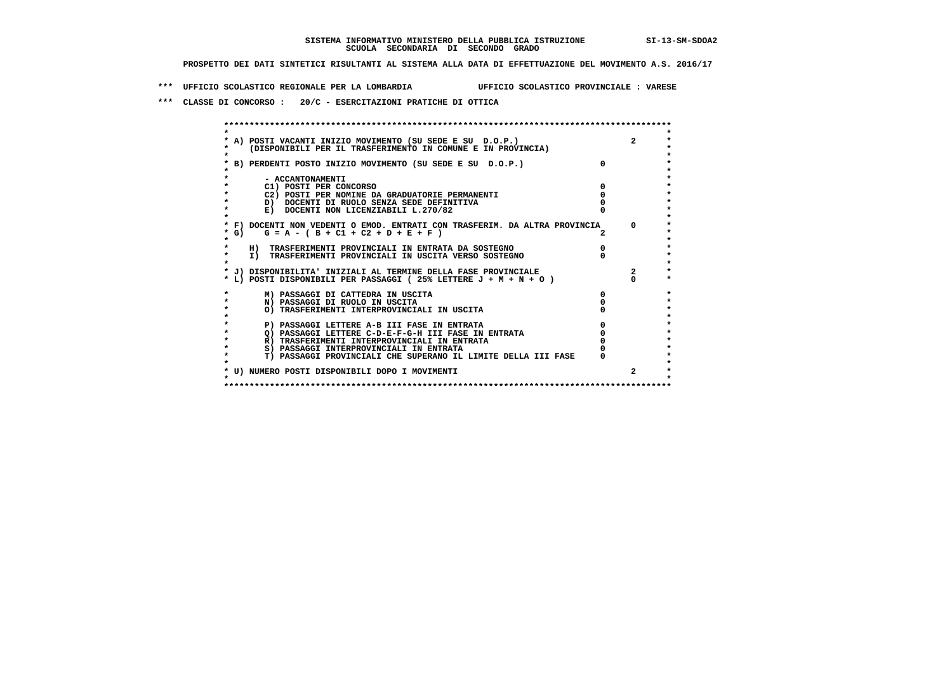**\*\*\* UFFICIO SCOLASTICO REGIONALE PER LA LOMBARDIA UFFICIO SCOLASTICO PROVINCIALE : VARESE**

 **\*\*\* CLASSE DI CONCORSO : 20/C - ESERCITAZIONI PRATICHE DI OTTICA**

|        | A) POSTI VACANTI INIZIO MOVIMENTO (SU SEDE E SU D.O.P.)                    |   |  |
|--------|----------------------------------------------------------------------------|---|--|
|        | (DISPONIBILI PER IL TRASFERIMENTO IN COMUNE E IN PROVINCIA)                |   |  |
|        |                                                                            |   |  |
|        | B) PERDENTI POSTO INIZIO MOVIMENTO (SU SEDE E SU D.O.P.)                   |   |  |
|        |                                                                            |   |  |
|        | - ACCANTONAMENTI                                                           |   |  |
|        | C1) POSTI PER CONCORSO                                                     |   |  |
|        | C2) POSTI PER NOMINE DA GRADUATORIE PERMANENTI                             |   |  |
|        | D) DOCENTI DI RUOLO SENZA SEDE DEFINITIVA                                  |   |  |
|        | E) DOCENTI NON LICENZIABILI L.270/82                                       |   |  |
|        | * F) DOCENTI NON VEDENTI O EMOD. ENTRATI CON TRASFERIM. DA ALTRA PROVINCIA |   |  |
| $*$ G) | $G = A - (B + C1 + C2 + D + E + F)$                                        |   |  |
|        |                                                                            |   |  |
|        | H) TRASFERIMENTI PROVINCIALI IN ENTRATA DA SOSTEGNO                        |   |  |
|        | I) TRASFERIMENTI PROVINCIALI IN USCITA VERSO SOSTEGNO                      |   |  |
|        |                                                                            |   |  |
|        | * J) DISPONIBILITA' INIZIALI AL TERMINE DELLA FASE PROVINCIALE             |   |  |
|        | * L) POSTI DISPONIBILI PER PASSAGGI (25% LETTERE $J + M + N + O$ )         |   |  |
|        |                                                                            |   |  |
|        | M) PASSAGGI DI CATTEDRA IN USCITA                                          | 0 |  |
|        | N) PASSAGGI DI RUOLO IN USCITA                                             |   |  |
|        | O) TRASFERIMENTI INTERPROVINCIALI IN USCITA                                |   |  |
|        |                                                                            |   |  |
|        | P) PASSAGGI LETTERE A-B III FASE IN ENTRATA                                |   |  |
|        | O) PASSAGGI LETTERE C-D-E-F-G-H III FASE IN ENTRATA                        |   |  |
|        | R) TRASFERIMENTI INTERPROVINCIALI IN ENTRATA                               |   |  |
|        | S) PASSAGGI INTERPROVINCIALI IN ENTRATA                                    |   |  |
|        | T) PASSAGGI PROVINCIALI CHE SUPERANO IL LIMITE DELLA III FASE              |   |  |
|        |                                                                            |   |  |
|        | * U) NUMERO POSTI DISPONIBILI DOPO I MOVIMENTI                             |   |  |
|        |                                                                            |   |  |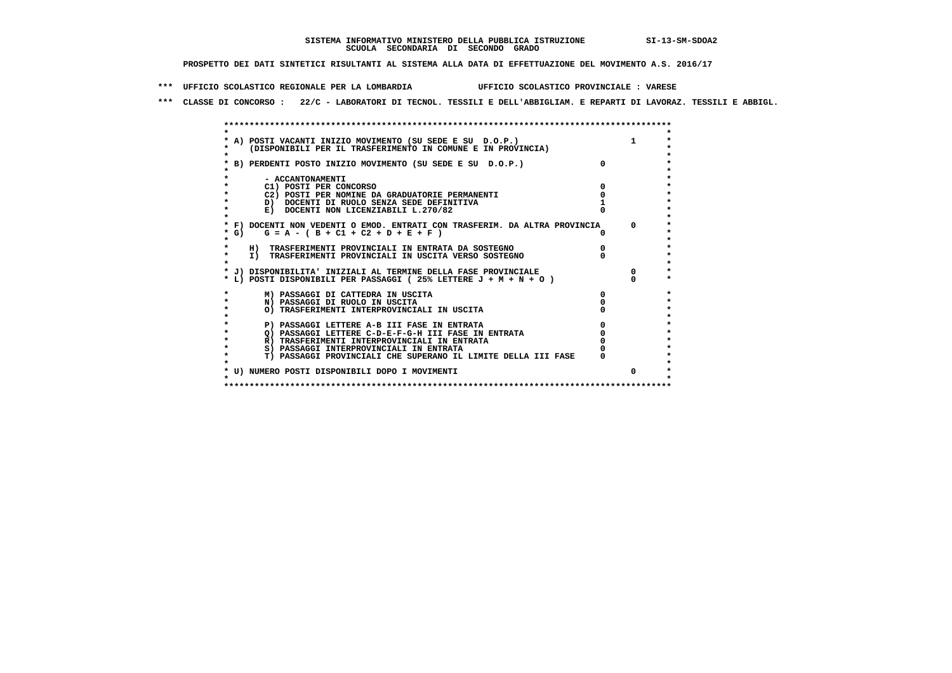**\*\*\* UFFICIO SCOLASTICO REGIONALE PER LA LOMBARDIA UFFICIO SCOLASTICO PROVINCIALE : VARESE**

 **\*\*\* CLASSE DI CONCORSO : 22/C - LABORATORI DI TECNOL. TESSILI E DELL'ABBIGLIAM. E REPARTI DI LAVORAZ. TESSILI E ABBIGL.**

|      | A) POSTI VACANTI INIZIO MOVIMENTO (SU SEDE E SU D.O.P.)                                                                           |  |
|------|-----------------------------------------------------------------------------------------------------------------------------------|--|
|      | (DISPONIBILI PER IL TRASFERIMENTO IN COMUNE E IN PROVINCIA)                                                                       |  |
|      |                                                                                                                                   |  |
|      | B) PERDENTI POSTO INIZIO MOVIMENTO (SU SEDE E SU D.O.P.)                                                                          |  |
|      |                                                                                                                                   |  |
|      | - ACCANTONAMENTI                                                                                                                  |  |
|      | C1) POSTI PER CONCORSO                                                                                                            |  |
|      | C2) POSTI PER NOMINE DA GRADUATORIE PERMANENTI                                                                                    |  |
|      | D) DOCENTI DI RUOLO SENZA SEDE DEFINITIVA                                                                                         |  |
|      | E) DOCENTI NON LICENZIABILI L.270/82                                                                                              |  |
|      |                                                                                                                                   |  |
|      | * F) DOCENTI NON VEDENTI O EMOD. ENTRATI CON TRASFERIM. DA ALTRA PROVINCIA                                                        |  |
| * G) | $G = A - (B + C1 + C2 + D + E + F)$                                                                                               |  |
|      |                                                                                                                                   |  |
|      | H) TRASFERIMENTI PROVINCIALI IN ENTRATA DA SOSTEGNO                                                                               |  |
|      | I) TRASFERIMENTI PROVINCIALI IN USCITA VERSO SOSTEGNO                                                                             |  |
|      |                                                                                                                                   |  |
|      | * J) DISPONIBILITA' INIZIALI AL TERMINE DELLA FASE PROVINCIALE<br>* L) POSTI DISPONIBILI PER PASSAGGI (25% LETTERE J + M + N + O) |  |
|      |                                                                                                                                   |  |
|      | M) PASSAGGI DI CATTEDRA IN USCITA                                                                                                 |  |
|      | N) PASSAGGI DI RUOLO IN USCITA                                                                                                    |  |
|      | O) TRASFERIMENTI INTERPROVINCIALI IN USCITA                                                                                       |  |
|      |                                                                                                                                   |  |
|      | P) PASSAGGI LETTERE A-B III FASE IN ENTRATA                                                                                       |  |
|      | Q) PASSAGGI LETTERE C-D-E-F-G-H III FASE IN ENTRATA                                                                               |  |
|      | R) TRASFERIMENTI INTERPROVINCIALI IN ENTRATA                                                                                      |  |
|      | S) PASSAGGI INTERPROVINCIALI IN ENTRATA                                                                                           |  |
|      | T) PASSAGGI PROVINCIALI CHE SUPERANO IL LIMITE DELLA III FASE                                                                     |  |
|      |                                                                                                                                   |  |
|      | * U) NUMERO POSTI DISPONIBILI DOPO I MOVIMENTI                                                                                    |  |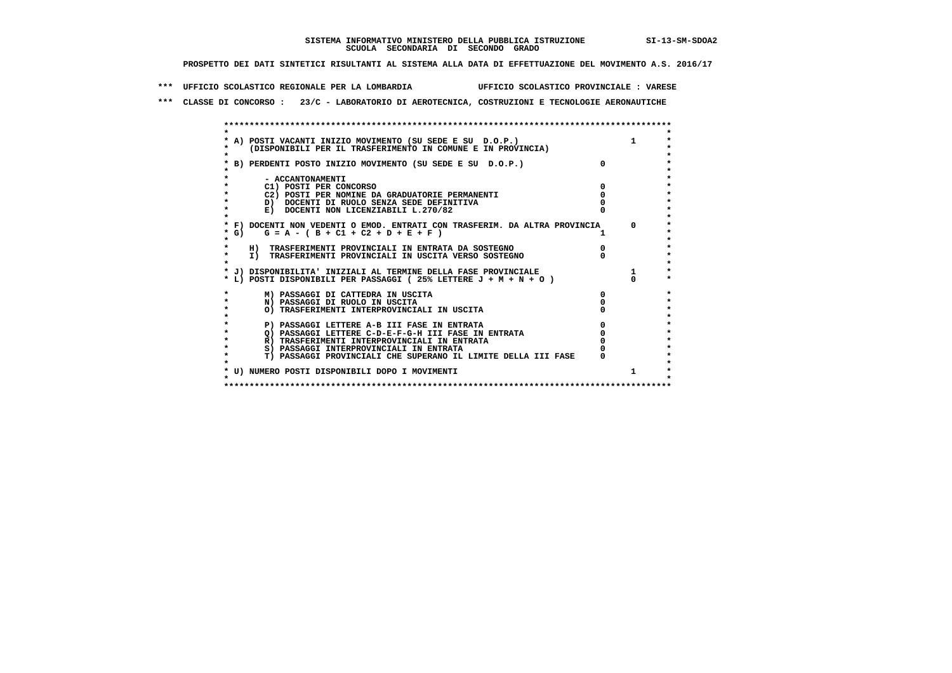**\*\*\* UFFICIO SCOLASTICO REGIONALE PER LA LOMBARDIA UFFICIO SCOLASTICO PROVINCIALE : VARESE**

 **\*\*\* CLASSE DI CONCORSO : 23/C - LABORATORIO DI AEROTECNICA, COSTRUZIONI E TECNOLOGIE AERONAUTICHE**

|        | * A) POSTI VACANTI INIZIO MOVIMENTO (SU SEDE E SU D.O.P.)                  |              |         |
|--------|----------------------------------------------------------------------------|--------------|---------|
|        | (DISPONIBILI PER IL TRASFERIMENTO IN COMUNE E IN PROVINCIA)                |              |         |
|        |                                                                            |              |         |
|        | * B) PERDENTI POSTO INIZIO MOVIMENTO (SU SEDE E SU D.O.P.)                 | $\Omega$     |         |
|        |                                                                            |              |         |
|        | - ACCANTONAMENTI                                                           |              |         |
|        | C1) POSTI PER CONCORSO                                                     |              |         |
|        | C2) POSTI PER NOMINE DA GRADUATORIE PERMANENTI                             |              |         |
|        | D) DOCENTI DI RUOLO SENZA SEDE DEFINITIVA                                  |              |         |
|        | E) DOCENTI NON LICENZIABILI L.270/82                                       |              |         |
|        |                                                                            |              |         |
|        | * F) DOCENTI NON VEDENTI O EMOD. ENTRATI CON TRASFERIM. DA ALTRA PROVINCIA |              | $\circ$ |
| $*$ G) | $G = A - (B + C1 + C2 + D + E + F)$                                        |              |         |
|        |                                                                            |              |         |
|        | H) TRASFERIMENTI PROVINCIALI IN ENTRATA DA SOSTEGNO                        |              |         |
|        | I) TRASFERIMENTI PROVINCIALI IN USCITA VERSO SOSTEGNO                      |              |         |
|        |                                                                            |              |         |
|        | * J) DISPONIBILITA' INIZIALI AL TERMINE DELLA FASE PROVINCIALE             |              |         |
|        | * L) POSTI DISPONIBILI PER PASSAGGI (25% LETTERE J + M + N + O )           |              |         |
|        |                                                                            |              |         |
|        | M) PASSAGGI DI CATTEDRA IN USCITA                                          | <sup>0</sup> |         |
|        | N) PASSAGGI DI RUOLO IN USCITA                                             |              |         |
|        | O) TRASFERIMENTI INTERPROVINCIALI IN USCITA                                |              |         |
|        |                                                                            |              |         |
|        | P) PASSAGGI LETTERE A-B III FASE IN ENTRATA                                |              |         |
|        | O) PASSAGGI LETTERE C-D-E-F-G-H III FASE IN ENTRATA                        |              |         |
|        | R) TRASFERIMENTI INTERPROVINCIALI IN ENTRATA                               |              |         |
|        | S) PASSAGGI INTERPROVINCIALI IN ENTRATA                                    |              |         |
|        |                                                                            |              |         |
|        | T) PASSAGGI PROVINCIALI CHE SUPERANO IL LIMITE DELLA III FASE              |              |         |
|        |                                                                            |              |         |
|        | * U) NUMERO POSTI DISPONIBILI DOPO I MOVIMENTI                             |              | 1.      |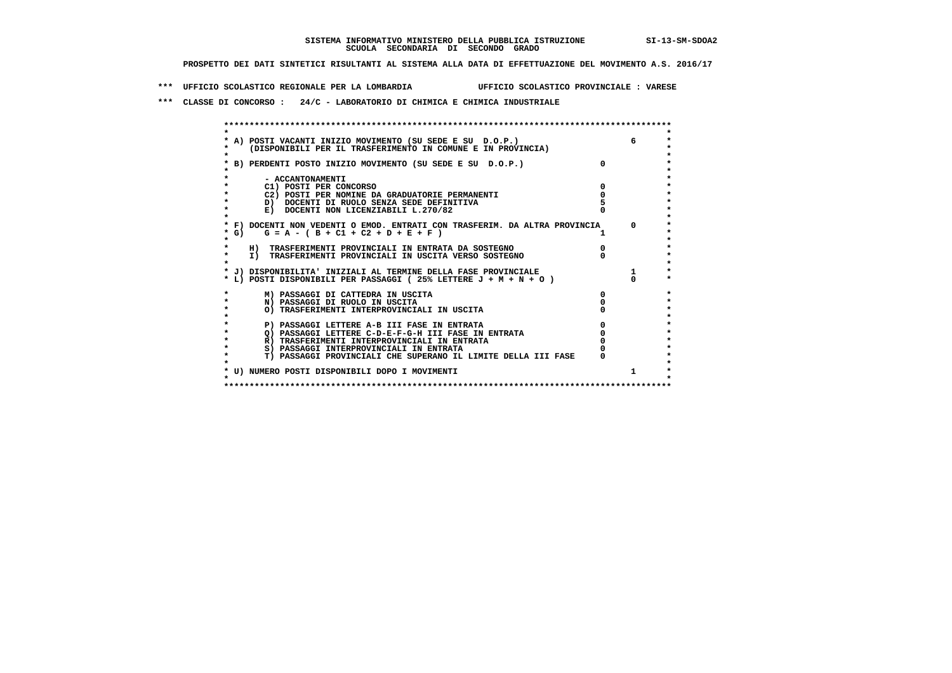**\*\*\* UFFICIO SCOLASTICO REGIONALE PER LA LOMBARDIA UFFICIO SCOLASTICO PROVINCIALE : VARESE**

 **\*\*\* CLASSE DI CONCORSO : 24/C - LABORATORIO DI CHIMICA E CHIMICA INDUSTRIALE**

 **\*\*\*\*\*\*\*\*\*\*\*\*\*\*\*\*\*\*\*\*\*\*\*\*\*\*\*\*\*\*\*\*\*\*\*\*\*\*\*\*\*\*\*\*\*\*\*\*\*\*\*\*\*\*\*\*\*\*\*\*\*\*\*\*\*\*\*\*\*\*\*\*\*\*\*\*\*\*\*\*\*\*\*\*\*\*\*\* \* \*** $\ddot{\phantom{0}}$  **\* A) POSTI VACANTI INIZIO MOVIMENTO (SU SEDE E SU D.O.P.) 6 \*** $\star$  **\* (DISPONIBILI PER IL TRASFERIMENTO IN COMUNE E IN PROVINCIA) \*** $\bullet$  **\* \* \* B) PERDENTI POSTO INIZIO MOVIMENTO (SU SEDE E SU D.O.P.) 0 \* \* \* \* - ACCANTONAMENTI \* \* C1) POSTI PER CONCORSO 0 \* \* C2) POSTI PER NOMINE DA GRADUATORIE PERMANENTI 0 \* \* D) DOCENTI DI RUOLO SENZA SEDE DEFINITIVA 5 \*E) DOCENTI NON LICENZIABILI L.270/82 \* \* \* F) DOCENTI NON VEDENTI O EMOD. ENTRATI CON TRASFERIM. DA ALTRA PROVINCIA 0 \* \* G) G = A - ( B + C1 + C2 + D + E + F ) 1 \* \* \*** $\bullet$  **\* H) TRASFERIMENTI PROVINCIALI IN ENTRATA DA SOSTEGNO 0 \* \* I) TRASFERIMENTI PROVINCIALI IN USCITA VERSO SOSTEGNO 0 \* \* \* \* J) DISPONIBILITA' INIZIALI AL TERMINE DELLA FASE PROVINCIALE 1 \* \* L) POSTI DISPONIBILI PER PASSAGGI ( 25% LETTERE J + M + N + O ) 0 \*** $\ddot{\bullet}$  **\* M) PASSAGGI DI CATTEDRA IN USCITA 0 \* \* N) PASSAGGI DI RUOLO IN USCITA 0 \*** $\star$  **\* O) TRASFERIMENTI INTERPROVINCIALI IN USCITA 0 \* \* \*** $\star$  **P) PASSAGGI LETTERE A-B III FASE IN ENTRATA**  $\begin{array}{c} 0 \\ 0 \\ 0 \end{array}$  **PASSAGGI LETTERE C-D-E-F-G-H III FASE IN ENTRATA**  $\begin{array}{c} 0 \\ 0 \\ \end{array}$  $\star$  **\* Q) PASSAGGI LETTERE C-D-E-F-G-H III FASE IN ENTRATA 0 \*R) TRASFERIMENTI INTERPROVINCIALI IN ENTRATA** 0<br> **S)** PASSAGGI INTERPROVINCIALI IN ENTRATA 0 **\*** S) PASSAGGI INTERPROVINCIALI IN ENTRATA  $\bullet$  **\* T) PASSAGGI PROVINCIALI CHE SUPERANO IL LIMITE DELLA III FASE 0 \*** $\star$  **\* \* \* U) NUMERO POSTI DISPONIBILI DOPO I MOVIMENTI 1 \* \* \* \*\*\*\*\*\*\*\*\*\*\*\*\*\*\*\*\*\*\*\*\*\*\*\*\*\*\*\*\*\*\*\*\*\*\*\*\*\*\*\*\*\*\*\*\*\*\*\*\*\*\*\*\*\*\*\*\*\*\*\*\*\*\*\*\*\*\*\*\*\*\*\*\*\*\*\*\*\*\*\*\*\*\*\*\*\*\*\***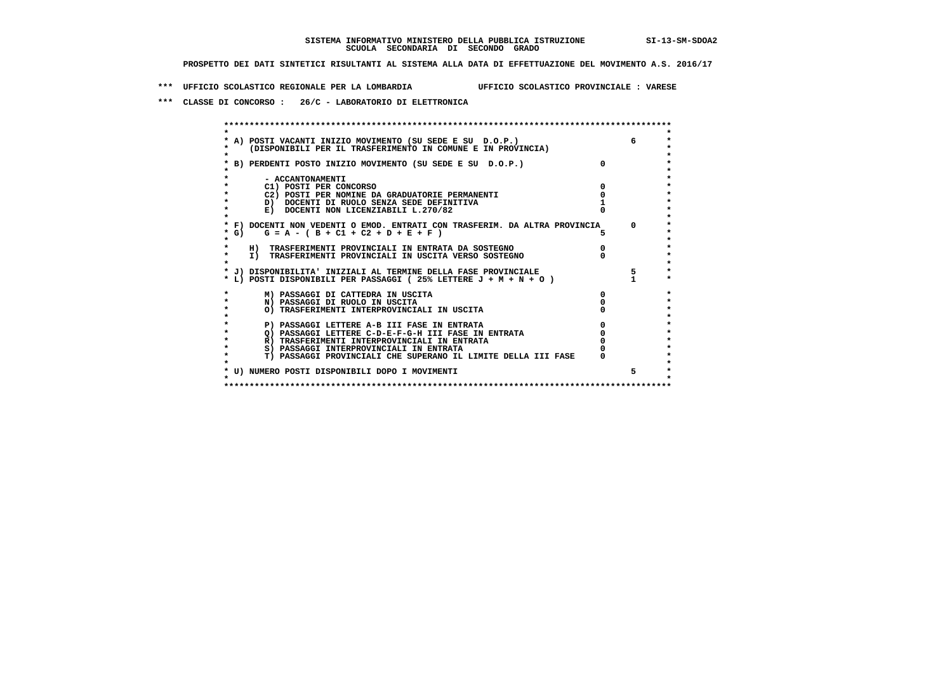**\*\*\* UFFICIO SCOLASTICO REGIONALE PER LA LOMBARDIA UFFICIO SCOLASTICO PROVINCIALE : VARESE**

 **\*\*\* CLASSE DI CONCORSO : 26/C - LABORATORIO DI ELETTRONICA**

|        | A) POSTI VACANTI INIZIO MOVIMENTO (SU SEDE E SU D.O.P.)<br>(DISPONIBILI PER IL TRASFERIMENTO IN COMUNE E IN PROVINCIA) |              | 6        |
|--------|------------------------------------------------------------------------------------------------------------------------|--------------|----------|
|        | B) PERDENTI POSTO INIZIO MOVIMENTO (SU SEDE E SU D.O.P.)                                                               | $\Omega$     |          |
|        | - ACCANTONAMENTI                                                                                                       |              |          |
|        | C1) POSTI PER CONCORSO                                                                                                 |              |          |
|        | C2) POSTI PER NOMINE DA GRADUATORIE PERMANENTI                                                                         |              |          |
|        | D) DOCENTI DI RUOLO SENZA SEDE DEFINITIVA                                                                              |              |          |
|        | E) DOCENTI NON LICENZIABILI L.270/82                                                                                   |              |          |
|        | * F) DOCENTI NON VEDENTI O EMOD. ENTRATI CON TRASFERIM. DA ALTRA PROVINCIA                                             |              | $\Omega$ |
| $*$ G) | $G = A - (B + C1 + C2 + D + E + F)$                                                                                    | 5.           |          |
|        | H) TRASFERIMENTI PROVINCIALI IN ENTRATA DA SOSTEGNO                                                                    |              |          |
|        | I) TRASFERIMENTI PROVINCIALI IN USCITA VERSO SOSTEGNO                                                                  |              |          |
|        | * J) DISPONIBILITA' INIZIALI AL TERMINE DELLA FASE PROVINCIALE                                                         |              | 5        |
|        | * L) POSTI DISPONIBILI PER PASSAGGI (25% LETTERE $J + M + N + O$ )                                                     |              |          |
|        | M) PASSAGGI DI CATTEDRA IN USCITA                                                                                      | <sup>n</sup> |          |
|        | N) PASSAGGI DI RUOLO IN USCITA                                                                                         |              |          |
|        | O) TRASFERIMENTI INTERPROVINCIALI IN USCITA                                                                            |              |          |
|        | P) PASSAGGI LETTERE A-B III FASE IN ENTRATA                                                                            |              |          |
|        | O) PASSAGGI LETTERE C-D-E-F-G-H III FASE IN ENTRATA                                                                    |              |          |
|        | R) TRASFERIMENTI INTERPROVINCIALI IN ENTRATA                                                                           |              |          |
|        | S) PASSAGGI INTERPROVINCIALI IN ENTRATA                                                                                |              |          |
|        | T) PASSAGGI PROVINCIALI CHE SUPERANO IL LIMITE DELLA III FASE                                                          |              |          |
|        | * U) NUMERO POSTI DISPONIBILI DOPO I MOVIMENTI                                                                         |              | 5        |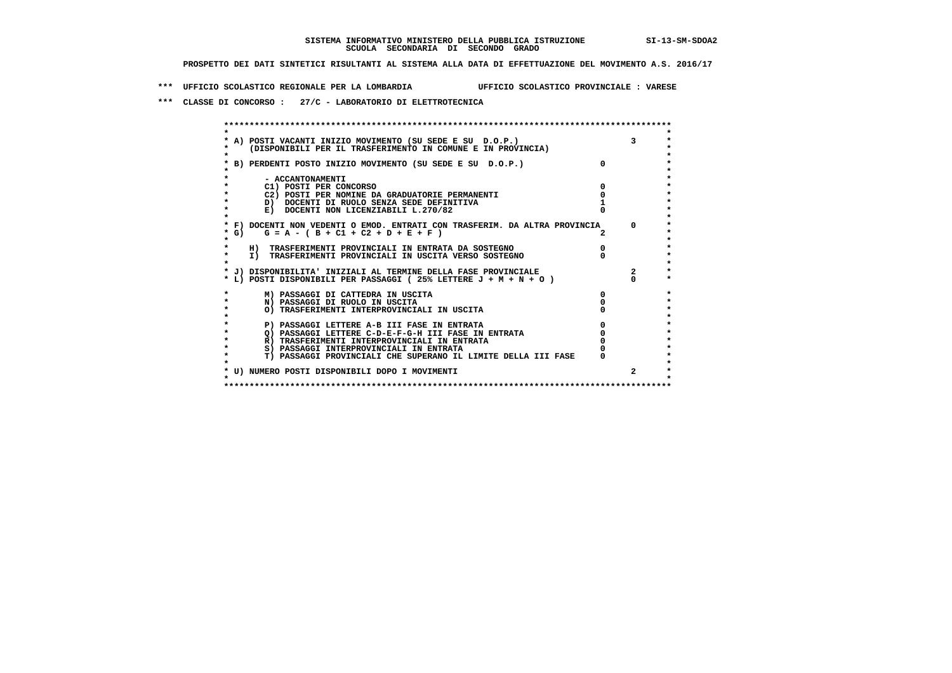**\*\*\* UFFICIO SCOLASTICO REGIONALE PER LA LOMBARDIA UFFICIO SCOLASTICO PROVINCIALE : VARESE**

 **\*\*\* CLASSE DI CONCORSO : 27/C - LABORATORIO DI ELETTROTECNICA**

|        | * A) POSTI VACANTI INIZIO MOVIMENTO (SU SEDE E SU D.O.P.)                                                |              |
|--------|----------------------------------------------------------------------------------------------------------|--------------|
|        | (DISPONIBILI PER IL TRASFERIMENTO IN COMUNE E IN PROVINCIA)                                              |              |
|        | B) PERDENTI POSTO INIZIO MOVIMENTO (SU SEDE E SU D.O.P.)                                                 |              |
|        |                                                                                                          |              |
|        | - ACCANTONAMENTI                                                                                         |              |
|        | C1) POSTI PER CONCORSO                                                                                   |              |
|        | C2) POSTI PER NOMINE DA GRADUATORIE PERMANENTI                                                           |              |
|        | D) DOCENTI DI RUOLO SENZA SEDE DEFINITIVA                                                                |              |
|        | E) DOCENTI NON LICENZIABILI L.270/82                                                                     |              |
|        | * F) DOCENTI NON VEDENTI O EMOD. ENTRATI CON TRASFERIM. DA ALTRA PROVINCIA                               | $\Omega$     |
| $*$ G) | $G = A - (B + C1 + C2 + D + E + F)$                                                                      |              |
|        |                                                                                                          |              |
|        | H) TRASFERIMENTI PROVINCIALI IN ENTRATA DA SOSTEGNO                                                      |              |
|        | I) TRASFERIMENTI PROVINCIALI IN USCITA VERSO SOSTEGNO                                                    |              |
|        |                                                                                                          |              |
|        | * J) DISPONIBILITA' INIZIALI AL TERMINE DELLA FASE PROVINCIALE                                           |              |
|        | * L) POSTI DISPONIBILI PER PASSAGGI (25% LETTERE J + M + N + O )                                         |              |
|        | M) PASSAGGI DI CATTEDRA IN USCITA                                                                        |              |
|        | N) PASSAGGI DI RUOLO IN USCITA                                                                           |              |
|        | O) TRASFERIMENTI INTERPROVINCIALI IN USCITA                                                              |              |
|        |                                                                                                          |              |
|        | P) PASSAGGI LETTERE A-B III FASE IN ENTRATA                                                              |              |
|        | O) PASSAGGI LETTERE C-D-E-F-G-H III FASE IN ENTRATA                                                      |              |
|        | R) TRASFERIMENTI INTERPROVINCIALI IN ENTRATA                                                             |              |
|        | S) PASSAGGI INTERPROVINCIALI IN ENTRATA<br>T) PASSAGGI PROVINCIALI CHE SUPERANO IL LIMITE DELLA III FASE |              |
|        |                                                                                                          |              |
|        | * U) NUMERO POSTI DISPONIBILI DOPO I MOVIMENTI                                                           | $\mathbf{2}$ |
|        |                                                                                                          |              |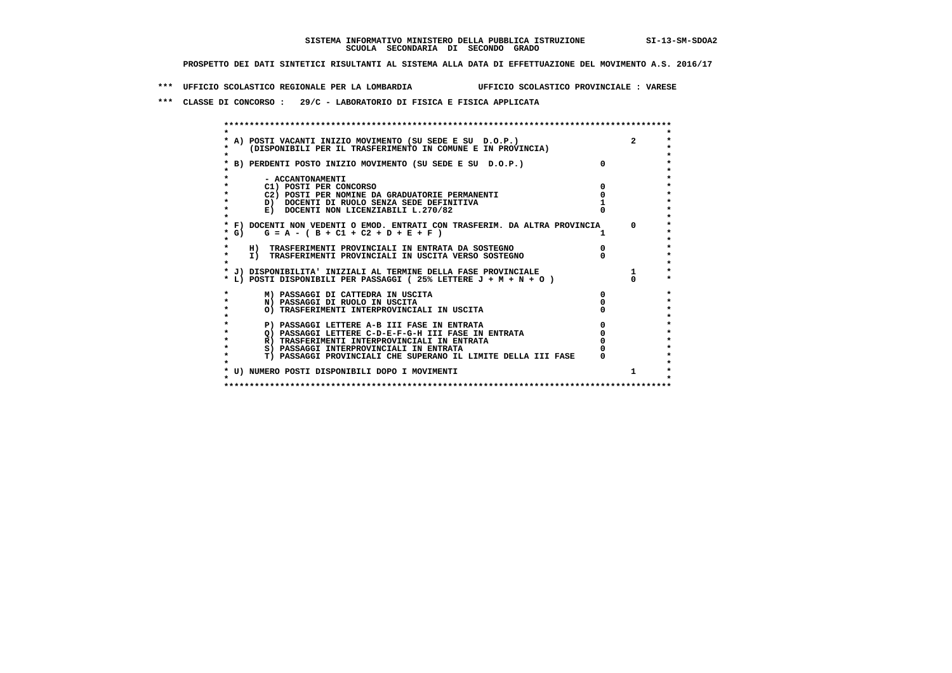**\*\*\* UFFICIO SCOLASTICO REGIONALE PER LA LOMBARDIA UFFICIO SCOLASTICO PROVINCIALE : VARESE**

 **\*\*\* CLASSE DI CONCORSO : 29/C - LABORATORIO DI FISICA E FISICA APPLICATA**

| A) POSTI VACANTI INIZIO MOVIMENTO (SU SEDE E SU D.O.P.)                    |            |
|----------------------------------------------------------------------------|------------|
| (DISPONIBILI PER IL TRASFERIMENTO IN COMUNE E IN PROVINCIA)                |            |
|                                                                            |            |
| B) PERDENTI POSTO INIZIO MOVIMENTO (SU SEDE E SU D.O.P.)                   |            |
|                                                                            |            |
| - ACCANTONAMENTI                                                           |            |
| C1) POSTI PER CONCORSO                                                     |            |
| C2) POSTI PER NOMINE DA GRADUATORIE PERMANENTI                             |            |
| D) DOCENTI DI RUOLO SENZA SEDE DEFINITIVA                                  |            |
| E) DOCENTI NON LICENZIABILI L.270/82                                       |            |
|                                                                            |            |
| * F) DOCENTI NON VEDENTI O EMOD. ENTRATI CON TRASFERIM. DA ALTRA PROVINCIA | $^{\circ}$ |
| * G) $G = A - (B + C1 + C2 + D + E + F)$                                   |            |
|                                                                            |            |
| H) TRASFERIMENTI PROVINCIALI IN ENTRATA DA SOSTEGNO                        |            |
| I) TRASFERIMENTI PROVINCIALI IN USCITA VERSO SOSTEGNO                      |            |
| * J) DISPONIBILITA' INIZIALI AL TERMINE DELLA FASE PROVINCIALE             |            |
| * L) POSTI DISPONIBILI PER PASSAGGI (25% LETTERE $J + M + N + O$ )         |            |
|                                                                            |            |
| M) PASSAGGI DI CATTEDRA IN USCITA                                          |            |
| N) PASSAGGI DI RUOLO IN USCITA                                             |            |
| O) TRASFERIMENTI INTERPROVINCIALI IN USCITA                                |            |
|                                                                            |            |
| P) PASSAGGI LETTERE A-B III FASE IN ENTRATA                                |            |
| O) PASSAGGI LETTERE C-D-E-F-G-H III FASE IN ENTRATA                        |            |
| R) TRASFERIMENTI INTERPROVINCIALI IN ENTRATA                               |            |
| S) PASSAGGI INTERPROVINCIALI IN ENTRATA                                    |            |
| T) PASSAGGI PROVINCIALI CHE SUPERANO IL LIMITE DELLA III FASE              |            |
|                                                                            |            |
| * U) NUMERO POSTI DISPONIBILI DOPO I MOVIMENTI                             |            |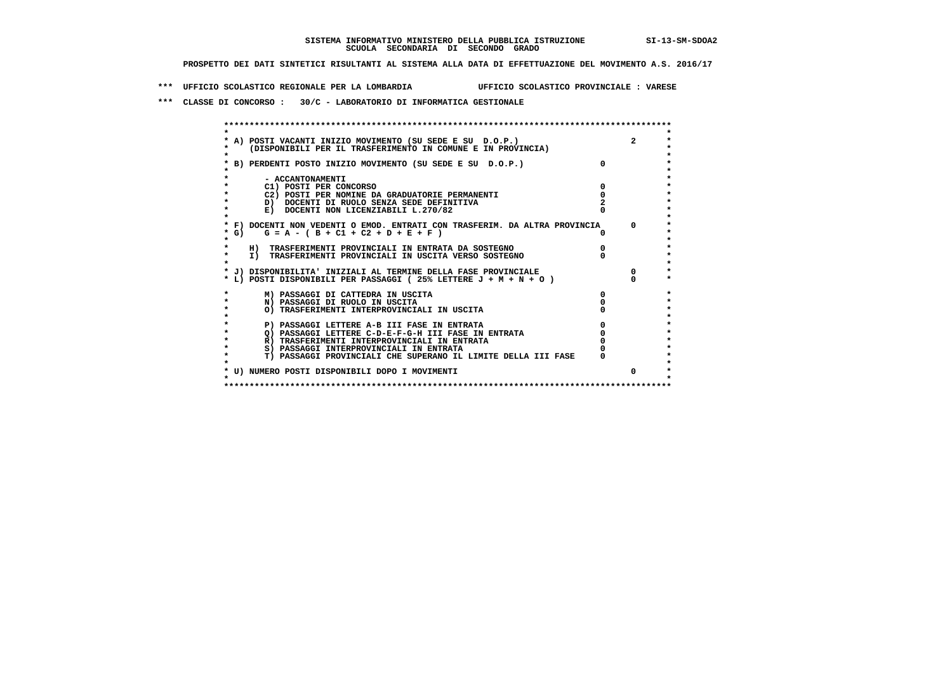**\*\*\* UFFICIO SCOLASTICO REGIONALE PER LA LOMBARDIA UFFICIO SCOLASTICO PROVINCIALE : VARESE**

 **\*\*\* CLASSE DI CONCORSO : 30/C - LABORATORIO DI INFORMATICA GESTIONALE**

| A) POSTI VACANTI INIZIO MOVIMENTO (SU SEDE E SU D.O.P.)                    | $\overline{2}$ |
|----------------------------------------------------------------------------|----------------|
| (DISPONIBILI PER IL TRASFERIMENTO IN COMUNE E IN PROVINCIA)                |                |
|                                                                            |                |
| B) PERDENTI POSTO INIZIO MOVIMENTO (SU SEDE E SU D.O.P.)                   |                |
|                                                                            |                |
| - ACCANTONAMENTI                                                           |                |
| C1) POSTI PER CONCORSO                                                     |                |
| C2) POSTI PER NOMINE DA GRADUATORIE PERMANENTI                             |                |
| D) DOCENTI DI RUOLO SENZA SEDE DEFINITIVA                                  |                |
| E) DOCENTI NON LICENZIABILI L.270/82                                       |                |
|                                                                            |                |
| * F) DOCENTI NON VEDENTI O EMOD. ENTRATI CON TRASFERIM. DA ALTRA PROVINCIA | $\Omega$       |
| * G) $G = A - (B + C1 + C2 + D + E + F)$                                   |                |
|                                                                            |                |
| H) TRASFERIMENTI PROVINCIALI IN ENTRATA DA SOSTEGNO                        |                |
| I) TRASFERIMENTI PROVINCIALI IN USCITA VERSO SOSTEGNO                      |                |
|                                                                            |                |
| * J) DISPONIBILITA' INIZIALI AL TERMINE DELLA FASE PROVINCIALE             |                |
| * L) POSTI DISPONIBILI PER PASSAGGI (25% LETTERE J + M + N + O)            |                |
| M) PASSAGGI DI CATTEDRA IN USCITA                                          |                |
| N) PASSAGGI DI RUOLO IN USCITA                                             |                |
| O) TRASFERIMENTI INTERPROVINCIALI IN USCITA                                |                |
|                                                                            |                |
| P) PASSAGGI LETTERE A-B III FASE IN ENTRATA                                |                |
| O) PASSAGGI LETTERE C-D-E-F-G-H III FASE IN ENTRATA                        |                |
| R) TRASFERIMENTI INTERPROVINCIALI IN ENTRATA                               |                |
| S) PASSAGGI INTERPROVINCIALI IN ENTRATA                                    |                |
| T) PASSAGGI PROVINCIALI CHE SUPERANO IL LIMITE DELLA III FASE              |                |
|                                                                            |                |
| * U) NUMERO POSTI DISPONIBILI DOPO I MOVIMENTI                             |                |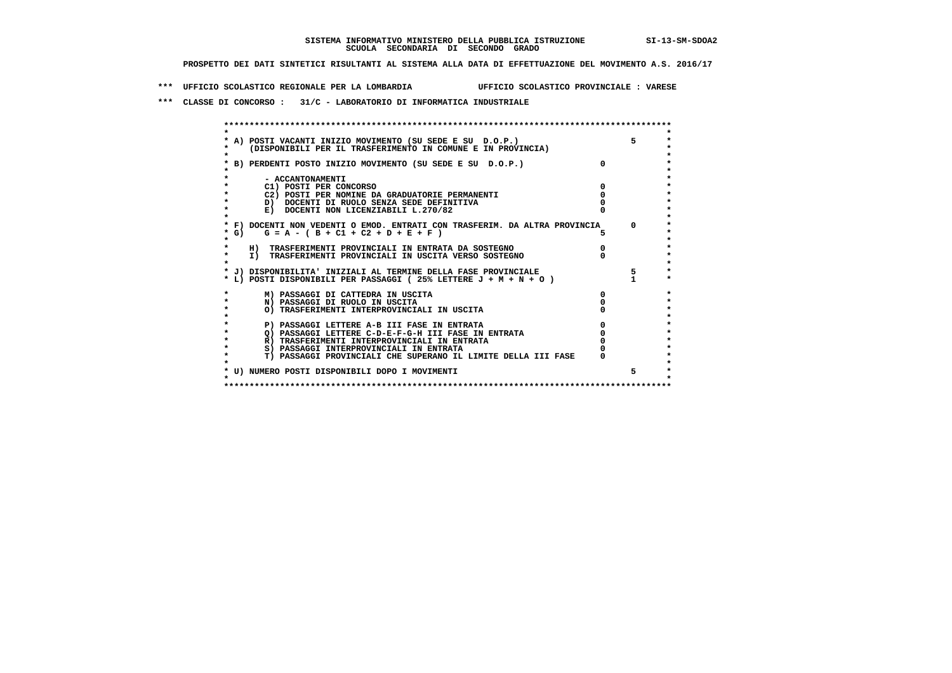**\*\*\* UFFICIO SCOLASTICO REGIONALE PER LA LOMBARDIA UFFICIO SCOLASTICO PROVINCIALE : VARESE**

 **\*\*\* CLASSE DI CONCORSO : 31/C - LABORATORIO DI INFORMATICA INDUSTRIALE**

|        | A) POSTI VACANTI INIZIO MOVIMENTO (SU SEDE E SU D.O.P.)                    |          |    |
|--------|----------------------------------------------------------------------------|----------|----|
|        | (DISPONIBILI PER IL TRASFERIMENTO IN COMUNE E IN PROVINCIA)                |          |    |
|        |                                                                            |          |    |
|        | B) PERDENTI POSTO INIZIO MOVIMENTO (SU SEDE E SU D.O.P.)                   | $\Omega$ |    |
|        |                                                                            |          |    |
|        | - ACCANTONAMENTI                                                           |          |    |
|        | C1) POSTI PER CONCORSO                                                     |          |    |
|        | C2) POSTI PER NOMINE DA GRADUATORIE PERMANENTI                             |          |    |
|        | D) DOCENTI DI RUOLO SENZA SEDE DEFINITIVA                                  |          |    |
|        | E) DOCENTI NON LICENZIABILI L.270/82                                       |          |    |
|        |                                                                            |          |    |
|        | * F) DOCENTI NON VEDENTI O EMOD. ENTRATI CON TRASFERIM. DA ALTRA PROVINCIA |          |    |
| $*$ G) | $G = A - (B + C1 + C2 + D + E + F)$                                        |          |    |
|        |                                                                            |          |    |
|        | H) TRASFERIMENTI PROVINCIALI IN ENTRATA DA SOSTEGNO                        |          |    |
|        | I) TRASFERIMENTI PROVINCIALI IN USCITA VERSO SOSTEGNO                      |          |    |
|        | * J) DISPONIBILITA' INIZIALI AL TERMINE DELLA FASE PROVINCIALE             |          |    |
|        | * L) POSTI DISPONIBILI PER PASSAGGI (25% LETTERE $J + M + N + O$ )         |          |    |
|        |                                                                            |          |    |
|        | M) PASSAGGI DI CATTEDRA IN USCITA                                          |          |    |
|        | N) PASSAGGI DI RUOLO IN USCITA                                             |          |    |
|        | O) TRASFERIMENTI INTERPROVINCIALI IN USCITA                                |          |    |
|        |                                                                            |          |    |
|        | P) PASSAGGI LETTERE A-B III FASE IN ENTRATA                                |          |    |
|        | Q) PASSAGGI LETTERE C-D-E-F-G-H III FASE IN ENTRATA                        |          |    |
|        | R) TRASFERIMENTI INTERPROVINCIALI IN ENTRATA                               |          |    |
|        | S) PASSAGGI INTERPROVINCIALI IN ENTRATA                                    |          |    |
|        | T) PASSAGGI PROVINCIALI CHE SUPERANO IL LIMITE DELLA III FASE              |          |    |
|        | * U) NUMERO POSTI DISPONIBILI DOPO I MOVIMENTI                             |          |    |
|        |                                                                            |          | 5. |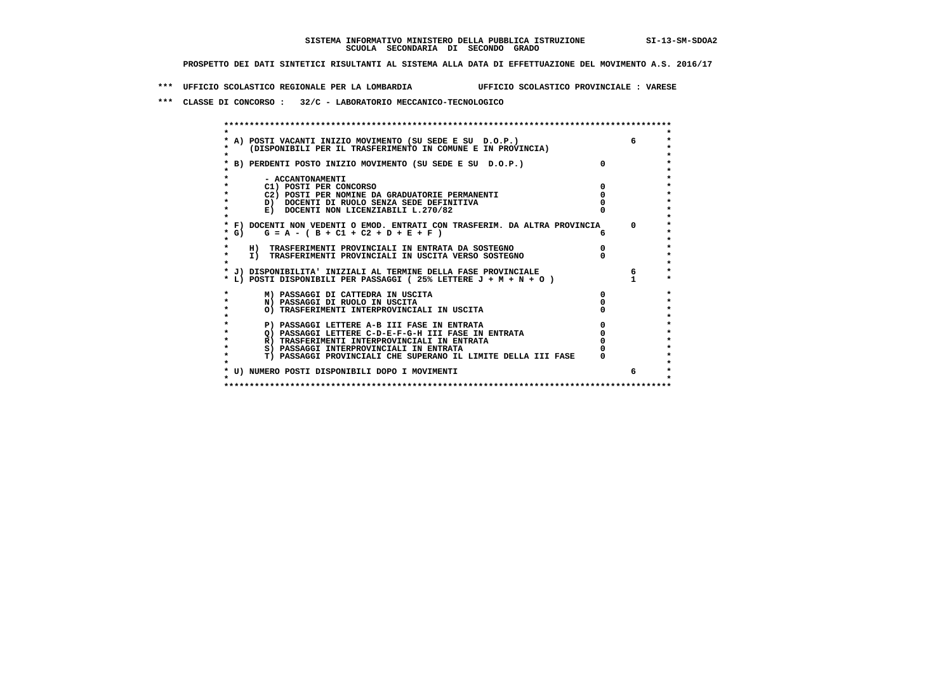**\*\*\* UFFICIO SCOLASTICO REGIONALE PER LA LOMBARDIA UFFICIO SCOLASTICO PROVINCIALE : VARESE**

 **\*\*\* CLASSE DI CONCORSO : 32/C - LABORATORIO MECCANICO-TECNOLOGICO**

|        | A) POSTI VACANTI INIZIO MOVIMENTO (SU SEDE E SU D.O.P.)                    |              |
|--------|----------------------------------------------------------------------------|--------------|
|        | (DISPONIBILI PER IL TRASFERIMENTO IN COMUNE E IN PROVINCIA)                |              |
|        |                                                                            |              |
|        | B) PERDENTI POSTO INIZIO MOVIMENTO (SU SEDE E SU D.O.P.)                   |              |
|        |                                                                            |              |
|        | - ACCANTONAMENTI                                                           |              |
|        | C1) POSTI PER CONCORSO                                                     |              |
|        | C2) POSTI PER NOMINE DA GRADUATORIE PERMANENTI                             |              |
|        | D) DOCENTI DI RUOLO SENZA SEDE DEFINITIVA                                  |              |
|        | E) DOCENTI NON LICENZIABILI L.270/82                                       |              |
|        |                                                                            |              |
|        | * F) DOCENTI NON VEDENTI O EMOD. ENTRATI CON TRASFERIM. DA ALTRA PROVINCIA | $\mathsf{D}$ |
| $*$ G) | $G = A - (B + C1 + C2 + D + E + F)$                                        |              |
|        |                                                                            |              |
|        | H) TRASFERIMENTI PROVINCIALI IN ENTRATA DA SOSTEGNO                        |              |
|        | I) TRASFERIMENTI PROVINCIALI IN USCITA VERSO SOSTEGNO                      |              |
|        |                                                                            |              |
|        | * J) DISPONIBILITA' INIZIALI AL TERMINE DELLA FASE PROVINCIALE             |              |
|        | * L) POSTI DISPONIBILI PER PASSAGGI (25% LETTERE $J + M + N + O$ )         |              |
|        | M) PASSAGGI DI CATTEDRA IN USCITA                                          |              |
|        | N) PASSAGGI DI RUOLO IN USCITA                                             |              |
|        | O) TRASFERIMENTI INTERPROVINCIALI IN USCITA                                |              |
|        |                                                                            |              |
|        | P) PASSAGGI LETTERE A-B III FASE IN ENTRATA                                |              |
|        | O) PASSAGGI LETTERE C-D-E-F-G-H III FASE IN ENTRATA                        |              |
|        | R) TRASFERIMENTI INTERPROVINCIALI IN ENTRATA                               |              |
|        | S) PASSAGGI INTERPROVINCIALI IN ENTRATA                                    |              |
|        | T) PASSAGGI PROVINCIALI CHE SUPERANO IL LIMITE DELLA III FASE              |              |
|        |                                                                            |              |
|        | * U) NUMERO POSTI DISPONIBILI DOPO I MOVIMENTI                             |              |
|        |                                                                            |              |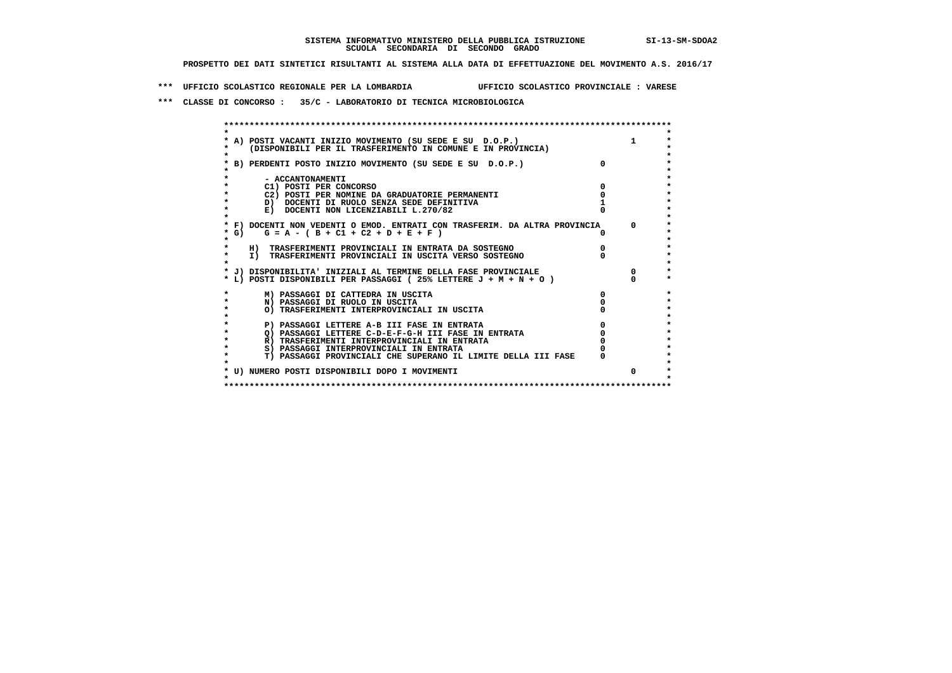**\*\*\* UFFICIO SCOLASTICO REGIONALE PER LA LOMBARDIA UFFICIO SCOLASTICO PROVINCIALE : VARESE**

 **\*\*\* CLASSE DI CONCORSO : 35/C - LABORATORIO DI TECNICA MICROBIOLOGICA**

|      | A) POSTI VACANTI INIZIO MOVIMENTO (SU SEDE E SU D.O.P.)                                                                           |  |
|------|-----------------------------------------------------------------------------------------------------------------------------------|--|
|      | (DISPONIBILI PER IL TRASFERIMENTO IN COMUNE E IN PROVINCIA)                                                                       |  |
|      |                                                                                                                                   |  |
|      | B) PERDENTI POSTO INIZIO MOVIMENTO (SU SEDE E SU D.O.P.)                                                                          |  |
|      |                                                                                                                                   |  |
|      | - ACCANTONAMENTI                                                                                                                  |  |
|      | C1) POSTI PER CONCORSO                                                                                                            |  |
|      | C2) POSTI PER NOMINE DA GRADUATORIE PERMANENTI                                                                                    |  |
|      | D) DOCENTI DI RUOLO SENZA SEDE DEFINITIVA                                                                                         |  |
|      | E) DOCENTI NON LICENZIABILI L.270/82                                                                                              |  |
|      |                                                                                                                                   |  |
|      | * F) DOCENTI NON VEDENTI O EMOD. ENTRATI CON TRASFERIM. DA ALTRA PROVINCIA                                                        |  |
| * G) | $G = A - (B + C1 + C2 + D + E + F)$                                                                                               |  |
|      |                                                                                                                                   |  |
|      | H) TRASFERIMENTI PROVINCIALI IN ENTRATA DA SOSTEGNO                                                                               |  |
|      | I) TRASFERIMENTI PROVINCIALI IN USCITA VERSO SOSTEGNO                                                                             |  |
|      |                                                                                                                                   |  |
|      | * J) DISPONIBILITA' INIZIALI AL TERMINE DELLA FASE PROVINCIALE<br>* L) POSTI DISPONIBILI PER PASSAGGI (25% LETTERE J + M + N + O) |  |
|      |                                                                                                                                   |  |
|      | M) PASSAGGI DI CATTEDRA IN USCITA                                                                                                 |  |
|      | N) PASSAGGI DI RUOLO IN USCITA                                                                                                    |  |
|      | O) TRASFERIMENTI INTERPROVINCIALI IN USCITA                                                                                       |  |
|      |                                                                                                                                   |  |
|      | P) PASSAGGI LETTERE A-B III FASE IN ENTRATA                                                                                       |  |
|      | Q) PASSAGGI LETTERE C-D-E-F-G-H III FASE IN ENTRATA                                                                               |  |
|      | R) TRASFERIMENTI INTERPROVINCIALI IN ENTRATA                                                                                      |  |
|      | S) PASSAGGI INTERPROVINCIALI IN ENTRATA                                                                                           |  |
|      | T) PASSAGGI PROVINCIALI CHE SUPERANO IL LIMITE DELLA III FASE                                                                     |  |
|      |                                                                                                                                   |  |
|      | * U) NUMERO POSTI DISPONIBILI DOPO I MOVIMENTI                                                                                    |  |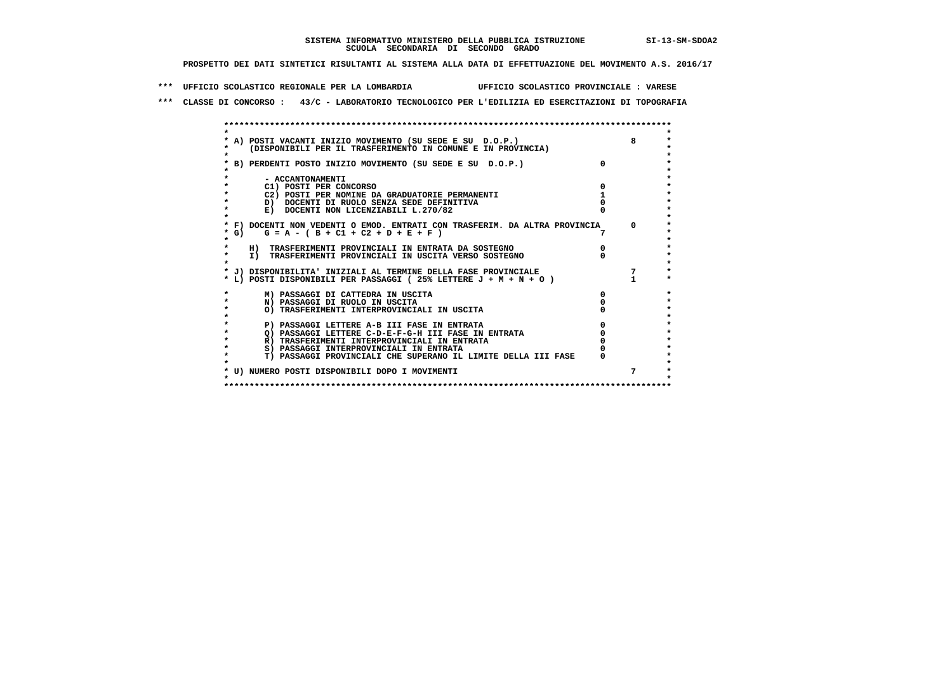**\*\*\* UFFICIO SCOLASTICO REGIONALE PER LA LOMBARDIA UFFICIO SCOLASTICO PROVINCIALE : VARESE**

 **\*\*\* CLASSE DI CONCORSO : 43/C - LABORATORIO TECNOLOGICO PER L'EDILIZIA ED ESERCITAZIONI DI TOPOGRAFIA**

|         | * A) POSTI VACANTI INIZIO MOVIMENTO (SU SEDE E SU D.O.P.)                  |          |
|---------|----------------------------------------------------------------------------|----------|
|         | (DISPONIBILI PER IL TRASFERIMENTO IN COMUNE E IN PROVINCIA)                |          |
|         |                                                                            |          |
|         | * B) PERDENTI POSTO INIZIO MOVIMENTO (SU SEDE E SU D.O.P.)                 |          |
|         |                                                                            |          |
|         | - ACCANTONAMENTI                                                           |          |
|         | C1) POSTI PER CONCORSO                                                     |          |
|         | C2) POSTI PER NOMINE DA GRADUATORIE PERMANENTI                             |          |
|         | D) DOCENTI DI RUOLO SENZA SEDE DEFINITIVA                                  |          |
|         | E) DOCENTI NON LICENZIABILI L.270/82                                       |          |
|         |                                                                            |          |
|         | * F) DOCENTI NON VEDENTI O EMOD. ENTRATI CON TRASFERIM. DA ALTRA PROVINCIA | $\Omega$ |
| * G) +  | $G = A - (B + C1 + C2 + D + E + F)$                                        |          |
|         |                                                                            |          |
|         | H) TRASFERIMENTI PROVINCIALI IN ENTRATA DA SOSTEGNO                        |          |
| $\star$ | I) TRASFERIMENTI PROVINCIALI IN USCITA VERSO SOSTEGNO                      |          |
|         |                                                                            |          |
|         | * J) DISPONIBILITA' INIZIALI AL TERMINE DELLA FASE PROVINCIALE             |          |
|         | * L) POSTI DISPONIBILI PER PASSAGGI (25% LETTERE J + M + N + O )           |          |
|         |                                                                            |          |
| $\star$ | M) PASSAGGI DI CATTEDRA IN USCITA                                          |          |
|         | N) PASSAGGI DI RUOLO IN USCITA                                             |          |
|         | O) TRASFERIMENTI INTERPROVINCIALI IN USCITA                                |          |
|         |                                                                            |          |
|         | P) PASSAGGI LETTERE A-B III FASE IN ENTRATA                                |          |
|         | Q) PASSAGGI LETTERE C-D-E-F-G-H III FASE IN ENTRATA                        |          |
|         | R) TRASFERIMENTI INTERPROVINCIALI IN ENTRATA                               |          |
| $\star$ | S) PASSAGGI INTERPROVINCIALI IN ENTRATA                                    |          |
|         | T) PASSAGGI PROVINCIALI CHE SUPERANO IL LIMITE DELLA III FASE              |          |
|         |                                                                            |          |
|         |                                                                            | 7        |
|         | * U) NUMERO POSTI DISPONIBILI DOPO I MOVIMENTI                             |          |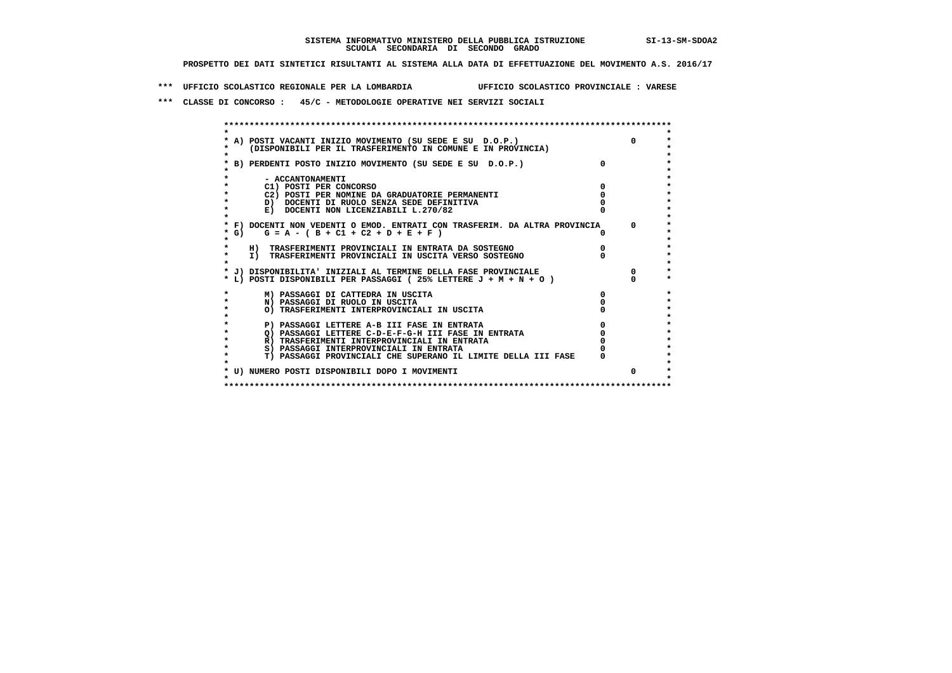**\*\*\* UFFICIO SCOLASTICO REGIONALE PER LA LOMBARDIA UFFICIO SCOLASTICO PROVINCIALE : VARESE**

 **\*\*\* CLASSE DI CONCORSO : 45/C - METODOLOGIE OPERATIVE NEI SERVIZI SOCIALI**

| A) POSTI VACANTI INIZIO MOVIMENTO (SU SEDE E SU D.O.P.)                    |              | $\mathsf{n}$ |
|----------------------------------------------------------------------------|--------------|--------------|
| (DISPONIBILI PER IL TRASFERIMENTO IN COMUNE E IN PROVINCIA)                |              |              |
| B) PERDENTI POSTO INIZIO MOVIMENTO (SU SEDE E SU D.O.P.)                   |              |              |
|                                                                            |              |              |
| - ACCANTONAMENTI                                                           |              |              |
| C1) POSTI PER CONCORSO                                                     |              |              |
| C2) POSTI PER NOMINE DA GRADUATORIE PERMANENTI                             |              |              |
| D) DOCENTI DI RUOLO SENZA SEDE DEFINITIVA                                  |              |              |
| E) DOCENTI NON LICENZIABILI L.270/82                                       |              |              |
|                                                                            |              |              |
| * F) DOCENTI NON VEDENTI O EMOD. ENTRATI CON TRASFERIM. DA ALTRA PROVINCIA |              | $\Omega$     |
| * G) $G = A - (B + C1 + C2 + D + E + F)$                                   |              |              |
|                                                                            |              |              |
| H) TRASFERIMENTI PROVINCIALI IN ENTRATA DA SOSTEGNO                        |              |              |
| I) TRASFERIMENTI PROVINCIALI IN USCITA VERSO SOSTEGNO                      |              |              |
|                                                                            |              |              |
| * J) DISPONIBILITA' INIZIALI AL TERMINE DELLA FASE PROVINCIALE             |              | $\Omega$     |
| * L) POSTI DISPONIBILI PER PASSAGGI (25% LETTERE J + M + N + O )           |              |              |
| M) PASSAGGI DI CATTEDRA IN USCITA                                          | <sup>0</sup> |              |
| N) PASSAGGI DI RUOLO IN USCITA                                             |              |              |
| O) TRASFERIMENTI INTERPROVINCIALI IN USCITA                                |              |              |
|                                                                            |              |              |
| P) PASSAGGI LETTERE A-B III FASE IN ENTRATA                                |              |              |
| O) PASSAGGI LETTERE C-D-E-F-G-H III FASE IN ENTRATA                        |              |              |
| R) TRASFERIMENTI INTERPROVINCIALI IN ENTRATA                               |              |              |
| S) PASSAGGI INTERPROVINCIALI IN ENTRATA                                    |              |              |
| T) PASSAGGI PROVINCIALI CHE SUPERANO IL LIMITE DELLA III FASE              |              |              |
|                                                                            |              |              |
|                                                                            |              | 0            |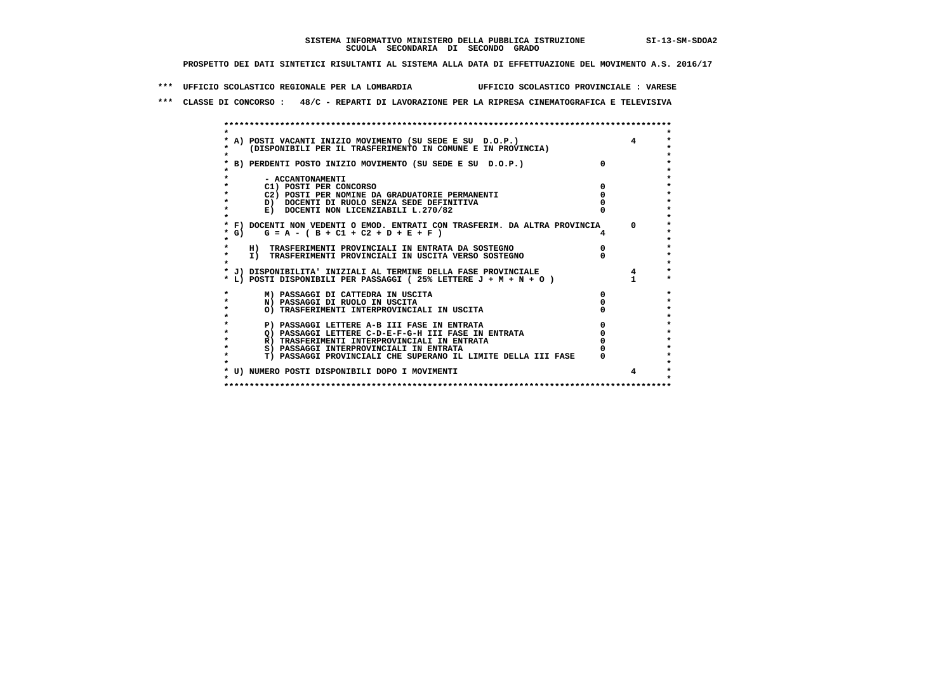**\*\*\* UFFICIO SCOLASTICO REGIONALE PER LA LOMBARDIA UFFICIO SCOLASTICO PROVINCIALE : VARESE**

 **\*\*\* CLASSE DI CONCORSO : 48/C - REPARTI DI LAVORAZIONE PER LA RIPRESA CINEMATOGRAFICA E TELEVISIVA**

| * A) POSTI VACANTI INIZIO MOVIMENTO (SU SEDE E SU D.O.P.) |                                                                                                                                                                                                                                                                                                                                                                                                                                                                                                                                                                                                                                                                                                          |                                                                                                                                                             |
|-----------------------------------------------------------|----------------------------------------------------------------------------------------------------------------------------------------------------------------------------------------------------------------------------------------------------------------------------------------------------------------------------------------------------------------------------------------------------------------------------------------------------------------------------------------------------------------------------------------------------------------------------------------------------------------------------------------------------------------------------------------------------------|-------------------------------------------------------------------------------------------------------------------------------------------------------------|
|                                                           |                                                                                                                                                                                                                                                                                                                                                                                                                                                                                                                                                                                                                                                                                                          |                                                                                                                                                             |
|                                                           |                                                                                                                                                                                                                                                                                                                                                                                                                                                                                                                                                                                                                                                                                                          |                                                                                                                                                             |
|                                                           |                                                                                                                                                                                                                                                                                                                                                                                                                                                                                                                                                                                                                                                                                                          |                                                                                                                                                             |
|                                                           |                                                                                                                                                                                                                                                                                                                                                                                                                                                                                                                                                                                                                                                                                                          |                                                                                                                                                             |
|                                                           |                                                                                                                                                                                                                                                                                                                                                                                                                                                                                                                                                                                                                                                                                                          |                                                                                                                                                             |
|                                                           |                                                                                                                                                                                                                                                                                                                                                                                                                                                                                                                                                                                                                                                                                                          |                                                                                                                                                             |
|                                                           |                                                                                                                                                                                                                                                                                                                                                                                                                                                                                                                                                                                                                                                                                                          |                                                                                                                                                             |
|                                                           |                                                                                                                                                                                                                                                                                                                                                                                                                                                                                                                                                                                                                                                                                                          |                                                                                                                                                             |
|                                                           |                                                                                                                                                                                                                                                                                                                                                                                                                                                                                                                                                                                                                                                                                                          |                                                                                                                                                             |
|                                                           |                                                                                                                                                                                                                                                                                                                                                                                                                                                                                                                                                                                                                                                                                                          |                                                                                                                                                             |
|                                                           |                                                                                                                                                                                                                                                                                                                                                                                                                                                                                                                                                                                                                                                                                                          | $\Omega$                                                                                                                                                    |
|                                                           |                                                                                                                                                                                                                                                                                                                                                                                                                                                                                                                                                                                                                                                                                                          |                                                                                                                                                             |
|                                                           |                                                                                                                                                                                                                                                                                                                                                                                                                                                                                                                                                                                                                                                                                                          |                                                                                                                                                             |
|                                                           |                                                                                                                                                                                                                                                                                                                                                                                                                                                                                                                                                                                                                                                                                                          |                                                                                                                                                             |
|                                                           |                                                                                                                                                                                                                                                                                                                                                                                                                                                                                                                                                                                                                                                                                                          |                                                                                                                                                             |
|                                                           |                                                                                                                                                                                                                                                                                                                                                                                                                                                                                                                                                                                                                                                                                                          |                                                                                                                                                             |
|                                                           |                                                                                                                                                                                                                                                                                                                                                                                                                                                                                                                                                                                                                                                                                                          |                                                                                                                                                             |
|                                                           |                                                                                                                                                                                                                                                                                                                                                                                                                                                                                                                                                                                                                                                                                                          |                                                                                                                                                             |
| M) PASSAGGI DI CATTEDRA IN USCITA                         |                                                                                                                                                                                                                                                                                                                                                                                                                                                                                                                                                                                                                                                                                                          |                                                                                                                                                             |
| N) PASSAGGI DI RUOLO IN USCITA                            |                                                                                                                                                                                                                                                                                                                                                                                                                                                                                                                                                                                                                                                                                                          |                                                                                                                                                             |
| O) TRASFERIMENTI INTERPROVINCIALI IN USCITA               |                                                                                                                                                                                                                                                                                                                                                                                                                                                                                                                                                                                                                                                                                                          |                                                                                                                                                             |
|                                                           |                                                                                                                                                                                                                                                                                                                                                                                                                                                                                                                                                                                                                                                                                                          |                                                                                                                                                             |
| P) PASSAGGI LETTERE A-B III FASE IN ENTRATA               |                                                                                                                                                                                                                                                                                                                                                                                                                                                                                                                                                                                                                                                                                                          |                                                                                                                                                             |
| O) PASSAGGI LETTERE C-D-E-F-G-H III FASE IN ENTRATA       |                                                                                                                                                                                                                                                                                                                                                                                                                                                                                                                                                                                                                                                                                                          |                                                                                                                                                             |
|                                                           |                                                                                                                                                                                                                                                                                                                                                                                                                                                                                                                                                                                                                                                                                                          |                                                                                                                                                             |
|                                                           |                                                                                                                                                                                                                                                                                                                                                                                                                                                                                                                                                                                                                                                                                                          |                                                                                                                                                             |
|                                                           |                                                                                                                                                                                                                                                                                                                                                                                                                                                                                                                                                                                                                                                                                                          |                                                                                                                                                             |
|                                                           |                                                                                                                                                                                                                                                                                                                                                                                                                                                                                                                                                                                                                                                                                                          |                                                                                                                                                             |
| * U) NUMERO POSTI DISPONIBILI DOPO I MOVIMENTI            |                                                                                                                                                                                                                                                                                                                                                                                                                                                                                                                                                                                                                                                                                                          | 4                                                                                                                                                           |
|                                                           | (DISPONIBILI PER IL TRASFERIMENTO IN COMUNE E IN PROVINCIA)<br>* B) PERDENTI POSTO INIZIO MOVIMENTO (SU SEDE E SU D.O.P.)<br>- ACCANTONAMENTI<br>C1) POSTI PER CONCORSO<br>C2) POSTI PER NOMINE DA GRADUATORIE PERMANENTI<br>D) DOCENTI DI RUOLO SENZA SEDE DEFINITIVA<br>E) DOCENTI NON LICENZIABILI L.270/82<br>$G = A - (B + C1 + C2 + D + E + F)$<br>H) TRASFERIMENTI PROVINCIALI IN ENTRATA DA SOSTEGNO<br>I) TRASFERIMENTI PROVINCIALI IN USCITA VERSO SOSTEGNO<br>* J) DISPONIBILITA' INIZIALI AL TERMINE DELLA FASE PROVINCIALE<br>* L) POSTI DISPONIBILI PER PASSAGGI (25% LETTERE $J + M + N + O$ )<br>R) TRASFERIMENTI INTERPROVINCIALI IN ENTRATA<br>S) PASSAGGI INTERPROVINCIALI IN ENTRATA | <sup>o</sup><br>* F) DOCENTI NON VEDENTI O EMOD. ENTRATI CON TRASFERIM. DA ALTRA PROVINCIA<br>T) PASSAGGI PROVINCIALI CHE SUPERANO IL LIMITE DELLA III FASE |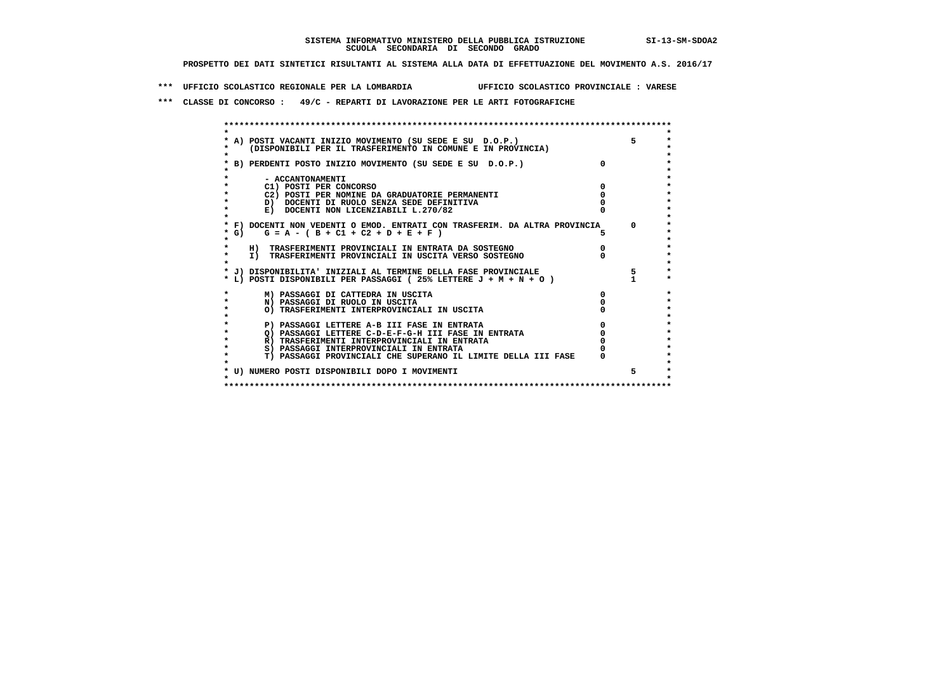**\*\*\* UFFICIO SCOLASTICO REGIONALE PER LA LOMBARDIA UFFICIO SCOLASTICO PROVINCIALE : VARESE**

 **\*\*\* CLASSE DI CONCORSO : 49/C - REPARTI DI LAVORAZIONE PER LE ARTI FOTOGRAFICHE**

|         | * A) POSTI VACANTI INIZIO MOVIMENTO (SU SEDE E SU D.O.P.)                  |   |  |
|---------|----------------------------------------------------------------------------|---|--|
|         | (DISPONIBILI PER IL TRASFERIMENTO IN COMUNE E IN PROVINCIA)                |   |  |
|         |                                                                            |   |  |
|         | * B) PERDENTI POSTO INIZIO MOVIMENTO (SU SEDE E SU D.O.P.)                 |   |  |
|         |                                                                            |   |  |
|         | - ACCANTONAMENTI                                                           |   |  |
|         | C1) POSTI PER CONCORSO                                                     |   |  |
|         | C2) POSTI PER NOMINE DA GRADUATORIE PERMANENTI                             |   |  |
|         | D) DOCENTI DI RUOLO SENZA SEDE DEFINITIVA                                  |   |  |
|         | E) DOCENTI NON LICENZIABILI L.270/82                                       |   |  |
|         |                                                                            |   |  |
|         | * F) DOCENTI NON VEDENTI O EMOD. ENTRATI CON TRASFERIM. DA ALTRA PROVINCIA |   |  |
| $*$ G)  | $G = A - (B + C1 + C2 + D + E + F)$                                        |   |  |
|         |                                                                            |   |  |
|         | H) TRASFERIMENTI PROVINCIALI IN ENTRATA DA SOSTEGNO                        |   |  |
| $\star$ | I) TRASFERIMENTI PROVINCIALI IN USCITA VERSO SOSTEGNO                      |   |  |
|         |                                                                            |   |  |
|         | * J) DISPONIBILITA' INIZIALI AL TERMINE DELLA FASE PROVINCIALE             |   |  |
|         | * L) POSTI DISPONIBILI PER PASSAGGI (25% LETTERE J + M + N + O )           |   |  |
|         | M) PASSAGGI DI CATTEDRA IN USCITA                                          | 0 |  |
| $\star$ | N) PASSAGGI DI RUOLO IN USCITA                                             |   |  |
| ÷       | O) TRASFERIMENTI INTERPROVINCIALI IN USCITA                                |   |  |
|         |                                                                            |   |  |
|         | P) PASSAGGI LETTERE A-B III FASE IN ENTRATA                                |   |  |
|         | O) PASSAGGI LETTERE C-D-E-F-G-H III FASE IN ENTRATA                        |   |  |
|         | R) TRASFERIMENTI INTERPROVINCIALI IN ENTRATA                               |   |  |
|         | S) PASSAGGI INTERPROVINCIALI IN ENTRATA                                    |   |  |
| $\star$ | T) PASSAGGI PROVINCIALI CHE SUPERANO IL LIMITE DELLA III FASE              |   |  |
|         |                                                                            |   |  |
|         | * U) NUMERO POSTI DISPONIBILI DOPO I MOVIMENTI                             |   |  |
|         |                                                                            |   |  |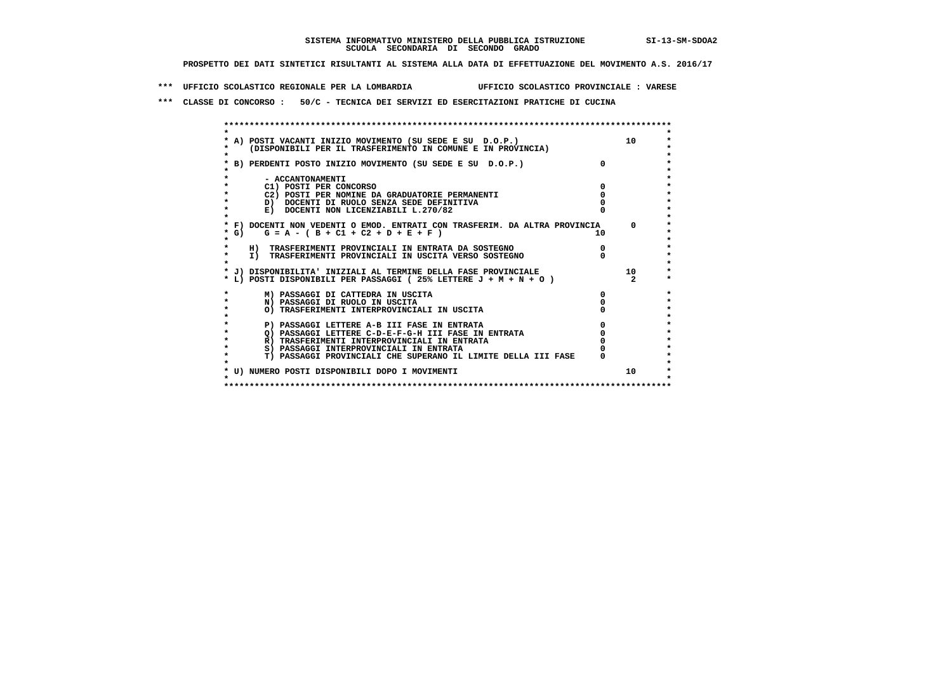**\*\*\* UFFICIO SCOLASTICO REGIONALE PER LA LOMBARDIA UFFICIO SCOLASTICO PROVINCIALE : VARESE**

 **\*\*\* CLASSE DI CONCORSO : 50/C - TECNICA DEI SERVIZI ED ESERCITAZIONI PRATICHE DI CUCINA**

 **\*\*\*\*\*\*\*\*\*\*\*\*\*\*\*\*\*\*\*\*\*\*\*\*\*\*\*\*\*\*\*\*\*\*\*\*\*\*\*\*\*\*\*\*\*\*\*\*\*\*\*\*\*\*\*\*\*\*\*\*\*\*\*\*\*\*\*\*\*\*\*\*\*\*\*\*\*\*\*\*\*\*\*\*\*\*\*\* \* \*** $\ddot{\phantom{1}}$  **\* A) POSTI VACANTI INIZIO MOVIMENTO (SU SEDE E SU D.O.P.) 10 \*** $\star$  **\* (DISPONIBILI PER IL TRASFERIMENTO IN COMUNE E IN PROVINCIA) \*** $\bullet$  **\* \* \* B) PERDENTI POSTO INIZIO MOVIMENTO (SU SEDE E SU D.O.P.) 0 \* \* \* \* - ACCANTONAMENTI \* \* C1) POSTI PER CONCORSO 0 \* \* C2) POSTI PER NOMINE DA GRADUATORIE PERMANENTI 0 \*b b** docenti di RUOLO SENZA SEDE DEFINITIVA  $\overline{D}$  **b**  $\overline{D}$  0  $\overline{D}$  0  $\overline{D}$  0  $\overline{D}$  0  $\overline{D}$  0  $\overline{D}$  0  $\overline{D}$  0  $\overline{D}$  0  $\overline{D}$  0  $\overline{D}$  0  $\overline{D}$  0  $\overline{D}$  0  $\overline{D}$  0  $\overline{D}$  0  $\overline{D}$ **E) DOCENTI NON LICENZIABILI L.270/82 \* \* \* F) DOCENTI NON VEDENTI O EMOD. ENTRATI CON TRASFERIM. DA ALTRA PROVINCIA 0 \* \* G) G = A - ( B + C1 + C2 + D + E + F ) 10 \* \* \*** $\bullet$  **\* H) TRASFERIMENTI PROVINCIALI IN ENTRATA DA SOSTEGNO 0 \* \* I) TRASFERIMENTI PROVINCIALI IN USCITA VERSO SOSTEGNO 0 \* \* \* \* J) DISPONIBILITA' INIZIALI AL TERMINE DELLA FASE PROVINCIALE 10 \* \* L) POSTI DISPONIBILI PER PASSAGGI ( 25% LETTERE J + M + N + O ) 2 \*** $\ddot{\phantom{1}}$  **\* M) PASSAGGI DI CATTEDRA IN USCITA 0 \* \* N) PASSAGGI DI RUOLO IN USCITA 0 \*** $\star$  **\* O) TRASFERIMENTI INTERPROVINCIALI IN USCITA 0 \* \* \*** $\star$  **\* P) PASSAGGI LETTERE A-B III FASE IN ENTRATA 0 \*** $\star$  **\* Q) PASSAGGI LETTERE C-D-E-F-G-H III FASE IN ENTRATA 0 \*R) TRASFERIMENTI INTERPROVINCIALI IN ENTRATA** 0<br> **S)** PASSAGGI INTERPROVINCIALI IN ENTRATA 0 **\*** S) PASSAGGI INTERPROVINCIALI IN ENTRATA  $\bullet$  **\* T) PASSAGGI PROVINCIALI CHE SUPERANO IL LIMITE DELLA III FASE 0 \*** $\star$  **\* \*** $\star$  **\* U) NUMERO POSTI DISPONIBILI DOPO I MOVIMENTI 10 \* \* \* \*\*\*\*\*\*\*\*\*\*\*\*\*\*\*\*\*\*\*\*\*\*\*\*\*\*\*\*\*\*\*\*\*\*\*\*\*\*\*\*\*\*\*\*\*\*\*\*\*\*\*\*\*\*\*\*\*\*\*\*\*\*\*\*\*\*\*\*\*\*\*\*\*\*\*\*\*\*\*\*\*\*\*\*\*\*\*\***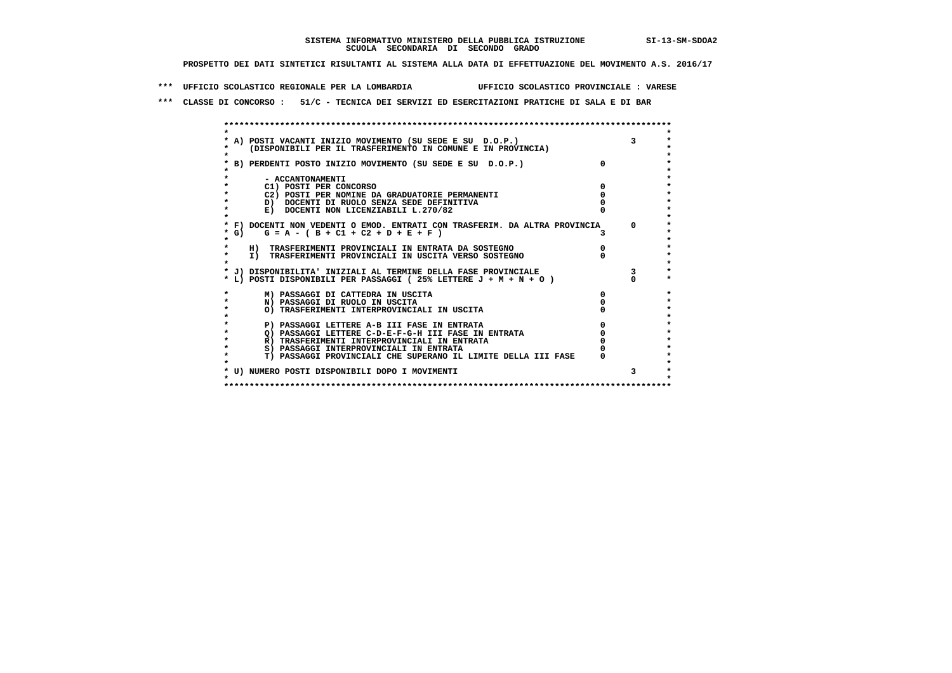**\*\*\* UFFICIO SCOLASTICO REGIONALE PER LA LOMBARDIA UFFICIO SCOLASTICO PROVINCIALE : VARESE**

 **\*\*\* CLASSE DI CONCORSO : 51/C - TECNICA DEI SERVIZI ED ESERCITAZIONI PRATICHE DI SALA E DI BAR**

| * A) POSTI VACANTI INIZIO MOVIMENTO (SU SEDE E SU D.O.P.)                  |              |              |
|----------------------------------------------------------------------------|--------------|--------------|
|                                                                            |              |              |
|                                                                            |              |              |
| (DISPONIBILI PER IL TRASFERIMENTO IN COMUNE E IN PROVINCIA)                |              |              |
|                                                                            |              |              |
| * B) PERDENTI POSTO INIZIO MOVIMENTO (SU SEDE E SU D.O.P.)                 | <sup>o</sup> |              |
|                                                                            |              |              |
| - ACCANTONAMENTI                                                           |              |              |
| C1) POSTI PER CONCORSO                                                     |              |              |
| C2) POSTI PER NOMINE DA GRADUATORIE PERMANENTI                             |              |              |
| D) DOCENTI DI RUOLO SENZA SEDE DEFINITIVA                                  |              |              |
| E) DOCENTI NON LICENZIABILI L.270/82                                       |              |              |
|                                                                            |              |              |
| * F) DOCENTI NON VEDENTI O EMOD. ENTRATI CON TRASFERIM. DA ALTRA PROVINCIA |              | $\Omega$     |
| $G = A - (B + C1 + C2 + D + E + F)$<br>* G) +                              |              |              |
|                                                                            |              |              |
| H) TRASFERIMENTI PROVINCIALI IN ENTRATA DA SOSTEGNO                        |              |              |
| $\star$<br>I) TRASFERIMENTI PROVINCIALI IN USCITA VERSO SOSTEGNO           |              |              |
|                                                                            |              |              |
| * J) DISPONIBILITA' INIZIALI AL TERMINE DELLA FASE PROVINCIALE             |              | $\mathbf{3}$ |
| * L) POSTI DISPONIBILI PER PASSAGGI (25% LETTERE J + M + N + O)            |              |              |
|                                                                            |              |              |
| M) PASSAGGI DI CATTEDRA IN USCITA                                          |              |              |
| N) PASSAGGI DI RUOLO IN USCITA                                             |              |              |
| O) TRASFERIMENTI INTERPROVINCIALI IN USCITA                                |              |              |
|                                                                            |              |              |
| P) PASSAGGI LETTERE A-B III FASE IN ENTRATA                                |              |              |
| O) PASSAGGI LETTERE C-D-E-F-G-H III FASE IN ENTRATA                        |              |              |
| R) TRASFERIMENTI INTERPROVINCIALI IN ENTRATA                               |              |              |
| S) PASSAGGI INTERPROVINCIALI IN ENTRATA                                    |              |              |
| T) PASSAGGI PROVINCIALI CHE SUPERANO IL LIMITE DELLA III FASE              |              |              |
|                                                                            |              |              |
| * U) NUMERO POSTI DISPONIBILI DOPO I MOVIMENTI                             |              | 3            |
|                                                                            |              |              |